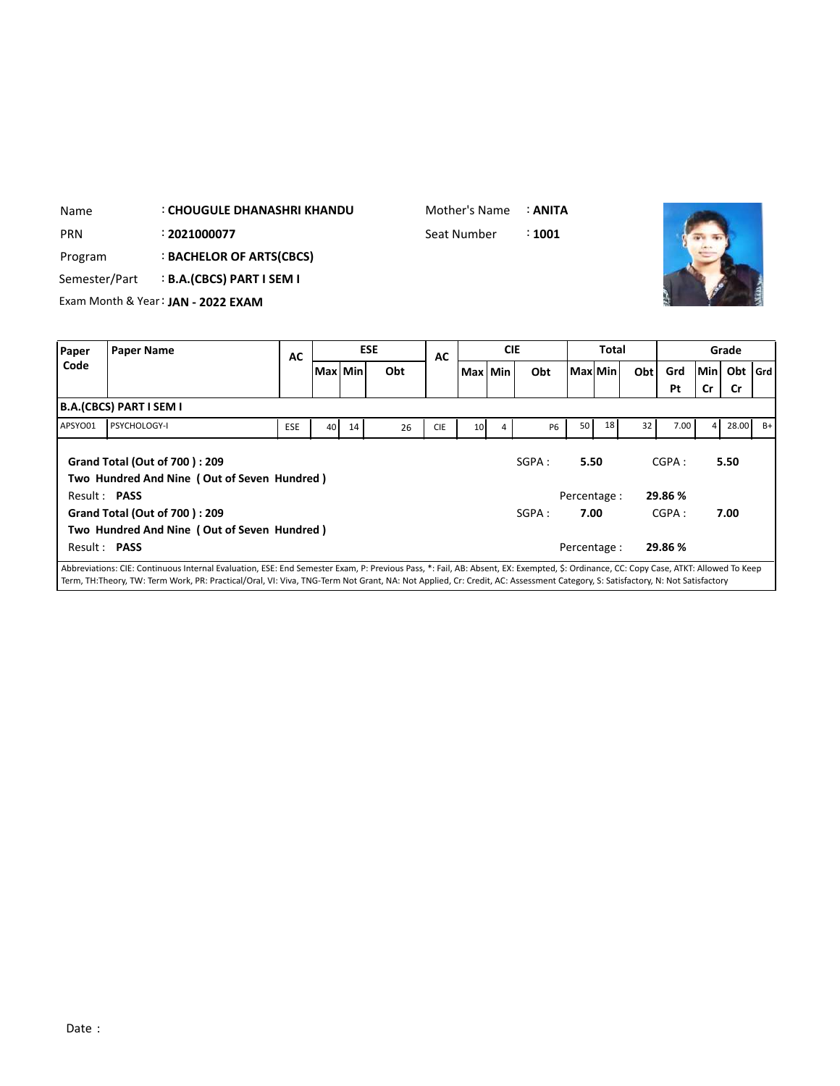| Name          |                                | : CHOUGULE DHANASHRI KHANDU        |     |           |    |            | Mother's Name |         |            | : ANITA   |         |              |     |      |           |           |       |
|---------------|--------------------------------|------------------------------------|-----|-----------|----|------------|---------------|---------|------------|-----------|---------|--------------|-----|------|-----------|-----------|-------|
| <b>PRN</b>    |                                | : 2021000077                       |     |           |    |            | Seat Number   |         |            | : 1001    |         |              |     |      |           |           |       |
| Program       |                                | : BACHELOR OF ARTS(CBCS)           |     |           |    |            |               |         |            |           |         |              |     |      |           |           |       |
| Semester/Part |                                | <b>B.A.(CBCS) PART I SEM I</b>     |     |           |    |            |               |         |            |           |         |              |     |      |           |           |       |
|               |                                | Exam Month & Year: JAN - 2022 EXAM |     |           |    |            |               |         |            |           |         |              |     |      |           |           |       |
|               |                                |                                    |     |           |    |            |               |         |            |           |         |              |     |      |           |           |       |
|               |                                |                                    |     |           |    |            |               |         |            |           |         |              |     |      |           |           |       |
| Paper         | <b>Paper Name</b>              |                                    |     |           |    | <b>ESE</b> |               |         | <b>CIE</b> |           |         | <b>Total</b> |     |      |           | Grade     |       |
| Code          |                                |                                    | AC  | Max   Min |    | Obt        | <b>AC</b>     | Max Min |            | Obt       | Max Min |              | Obt | Grd  |           | Min Obt   | l Grd |
|               |                                |                                    |     |           |    |            |               |         |            |           |         |              |     | Pt   | <b>Cr</b> | <b>Cr</b> |       |
|               | <b>B.A.(CBCS) PART I SEM I</b> |                                    |     |           |    |            |               |         |            |           |         |              |     |      |           |           |       |
| APSYO01       | PSYCHOLOGY-I                   |                                    | ESE | 40        | 14 | 26         | <b>CIE</b>    | 10      | 4          | <b>P6</b> | 50      | 18           | 32  | 7.00 | $\sim$    | 28.00     | $B+$  |

|         |                                                                              |            |    |    |    |            |                 |   |           |              |    |                 | Pt      | <b>Cr</b> | Cr    |      |
|---------|------------------------------------------------------------------------------|------------|----|----|----|------------|-----------------|---|-----------|--------------|----|-----------------|---------|-----------|-------|------|
|         | B.A.(CBCS) PART I SEM I                                                      |            |    |    |    |            |                 |   |           |              |    |                 |         |           |       |      |
| APSYO01 | <b>PSYCHOLOGY-I</b>                                                          | <b>ESE</b> | 40 | 14 | 26 | <b>CIE</b> | 10 <sup>1</sup> | 4 | <b>P6</b> | 50           | 18 | 32 <sup>2</sup> | 7.00    | 4         | 28.00 | $B+$ |
|         | Grand Total (Out of 700): 209<br>Two Hundred And Nine (Out of Seven Hundred) |            |    |    |    |            |                 |   | SGPA:     | 5.50         |    |                 | CGPA:   |           | 5.50  |      |
|         | Result: <b>PASS</b>                                                          |            |    |    |    |            |                 |   |           | Percentage : |    |                 | 29.86 % |           |       |      |
|         | Grand Total (Out of 700): 209                                                |            |    |    |    |            |                 |   | SGPA:     | 7.00         |    |                 | CGPA:   |           | 7.00  |      |
|         | Two Hundred And Nine (Out of Seven Hundred)                                  |            |    |    |    |            |                 |   |           |              |    |                 |         |           |       |      |
|         | Result: PASS                                                                 |            |    |    |    |            |                 |   |           | Percentage : |    |                 | 29.86 % |           |       |      |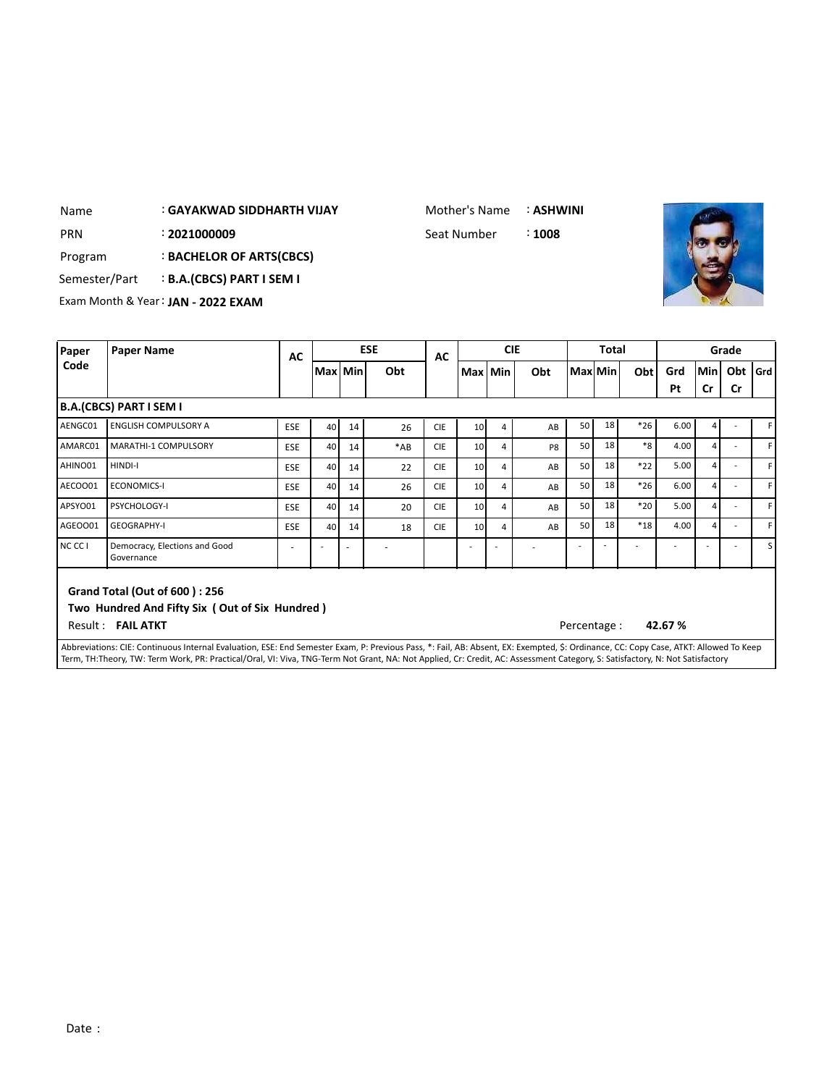## : **GAYAKWAD SIDDHARTH VIJAY** Name

Mother's Name : **ASHWINI**

: Seat Number



PRN 2**021000009 2021000009** Seat Number

Program : **BACHELOR OF ARTS(CBCS)**

Semester/Part : **B.A.(CBCS) PART I SEM I**

Exam Month & Year: **JAN - 2022 EXAM**

| Paper   | <b>Paper Name</b>                                                                                                                                                                                                                                                                                                                                                    | AC         | <b>CIE</b><br><b>ESE</b><br>AC |    |       |            |                 | <b>Total</b> |                |              |    | Grade |        |     |           |         |
|---------|----------------------------------------------------------------------------------------------------------------------------------------------------------------------------------------------------------------------------------------------------------------------------------------------------------------------------------------------------------------------|------------|--------------------------------|----|-------|------------|-----------------|--------------|----------------|--------------|----|-------|--------|-----|-----------|---------|
| Code    |                                                                                                                                                                                                                                                                                                                                                                      |            | Max   Min                      |    | Obt   |            | Max Min         |              | Obt            | Max Min      |    | Obt   | Grd    | Min | Obt       | l Grd l |
|         |                                                                                                                                                                                                                                                                                                                                                                      |            |                                |    |       |            |                 |              |                |              |    |       | Pt     | Cr  | <b>Cr</b> |         |
|         | <b>B.A.(CBCS) PART I SEM I</b>                                                                                                                                                                                                                                                                                                                                       |            |                                |    |       |            |                 |              |                |              |    |       |        |     |           |         |
| AENGC01 | <b>ENGLISH COMPULSORY A</b>                                                                                                                                                                                                                                                                                                                                          | <b>ESE</b> | 40                             | 14 | 26    | <b>CIE</b> | 10 <sup>1</sup> | 4            | AB             | 50           | 18 | $*26$ | 6.00   | 4   |           |         |
| AMARC01 | <b>MARATHI-1 COMPULSORY</b>                                                                                                                                                                                                                                                                                                                                          | <b>ESE</b> | 40                             | 14 | $*AB$ | <b>CIE</b> | 10 <sup>1</sup> | 4            | P <sub>8</sub> | 50           | 18 | $*8$  | 4.00   | 4   |           |         |
| AHINO01 | HINDI-I                                                                                                                                                                                                                                                                                                                                                              | <b>ESE</b> | 40                             | 14 | 22    | <b>CIE</b> | 10 <sup>1</sup> | 4            | AB             | 50           | 18 | $*22$ | 5.00   | 4   |           | F       |
| AECOO01 | <b>ECONOMICS-I</b>                                                                                                                                                                                                                                                                                                                                                   | <b>ESE</b> | 40                             | 14 | 26    | <b>CIE</b> | 10              | 4            | AB             | 50           | 18 | $*26$ | 6.00   | 4   |           |         |
| APSYO01 | PSYCHOLOGY-I                                                                                                                                                                                                                                                                                                                                                         | <b>ESE</b> | 40                             | 14 | 20    | <b>CIE</b> | 10 <sup>1</sup> | 4            | AB             | 50           | 18 | $*20$ | 5.00   | 4   |           | F       |
| AGEOO01 | <b>GEOGRAPHY-I</b>                                                                                                                                                                                                                                                                                                                                                   | <b>ESE</b> | 40                             | 14 | 18    | <b>CIE</b> | 10 <sup>1</sup> | 4            | AB             | 50           | 18 | $*18$ | 4.00   | 4   |           | F.      |
| NC CC I | Democracy, Elections and Good<br>Governance                                                                                                                                                                                                                                                                                                                          |            |                                |    |       |            |                 |              |                |              |    |       |        |     |           | S l     |
|         | Grand Total (Out of 600): 256<br>Two Hundred And Fifty Six (Out of Six Hundred)<br>Result: FAIL ATKT                                                                                                                                                                                                                                                                 |            |                                |    |       |            |                 |              |                | Percentage : |    |       | 42.67% |     |           |         |
|         | Abbreviations: CIE: Continuous Internal Evaluation, ESE: End Semester Exam, P: Previous Pass, *: Fail, AB: Absent, EX: Exempted, \$: Ordinance, CC: Copy Case, ATKT: Allowed To Keep<br>Term, TH:Theory, TW: Term Work, PR: Practical/Oral, VI: Viva, TNG-Term Not Grant, NA: Not Applied, Cr: Credit, AC: Assessment Category, S: Satisfactory, N: Not Satisfactory |            |                                |    |       |            |                 |              |                |              |    |       |        |     |           |         |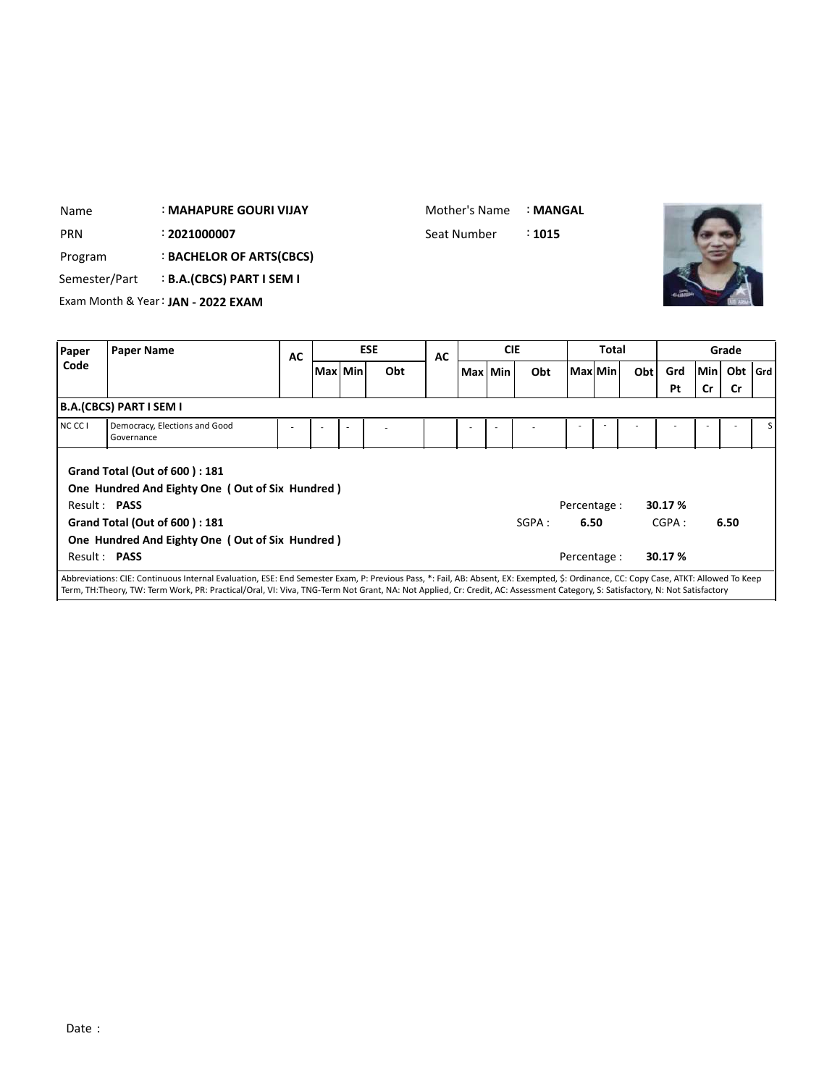| <b>PRN</b>        | : 2021000007<br>: BACHELOR OF ARTS(CBCS)<br>Program<br><b>B.A.(CBCS) PART I SEM I</b><br>Semester/Part<br>Exam Month & Year: JAN - 2022 EXAM<br><b>Paper Name</b> |                                                                                                                                                                                    |           |           |            | Seat Number |            | :1015 |                                      |         |     |                             |           |           |     |
|-------------------|-------------------------------------------------------------------------------------------------------------------------------------------------------------------|------------------------------------------------------------------------------------------------------------------------------------------------------------------------------------|-----------|-----------|------------|-------------|------------|-------|--------------------------------------|---------|-----|-----------------------------|-----------|-----------|-----|
| Paper             |                                                                                                                                                                   |                                                                                                                                                                                    | <b>AC</b> |           | <b>ESE</b> | <b>AC</b>   | <b>CIE</b> |       |                                      | Total   |     |                             |           | Grade     |     |
| Code              |                                                                                                                                                                   |                                                                                                                                                                                    |           | Max   Min | Obt        |             | Max Min    | Obt   |                                      | Max Min | Obt | Grd<br>Pt                   | Min<br>Cr | Obt<br>Cr | Grd |
|                   | <b>B.A.(CBCS) PART I SEM I</b>                                                                                                                                    |                                                                                                                                                                                    |           |           |            |             |            |       |                                      |         |     |                             |           |           |     |
| NCCC <sub>1</sub> | Governance                                                                                                                                                        | Democracy, Elections and Good                                                                                                                                                      |           |           |            |             |            |       |                                      |         |     |                             |           |           |     |
|                   | Result: PASS<br>Result: PASS                                                                                                                                      | <b>Grand Total (Out of 600): 181</b><br>One Hundred And Eighty One (Out of Six Hundred)<br><b>Grand Total (Out of 600): 181</b><br>One Hundred And Eighty One (Out of Six Hundred) |           |           |            |             |            | SGPA: | Percentage :<br>6.50<br>Percentage : |         |     | 30.17 %<br>CGPA:<br>30.17 % |           | 6.50      |     |

: **MAHAPURE GOURI VIJAY**

Name

Mother's Name : **MANGAL**

**STATISTICS**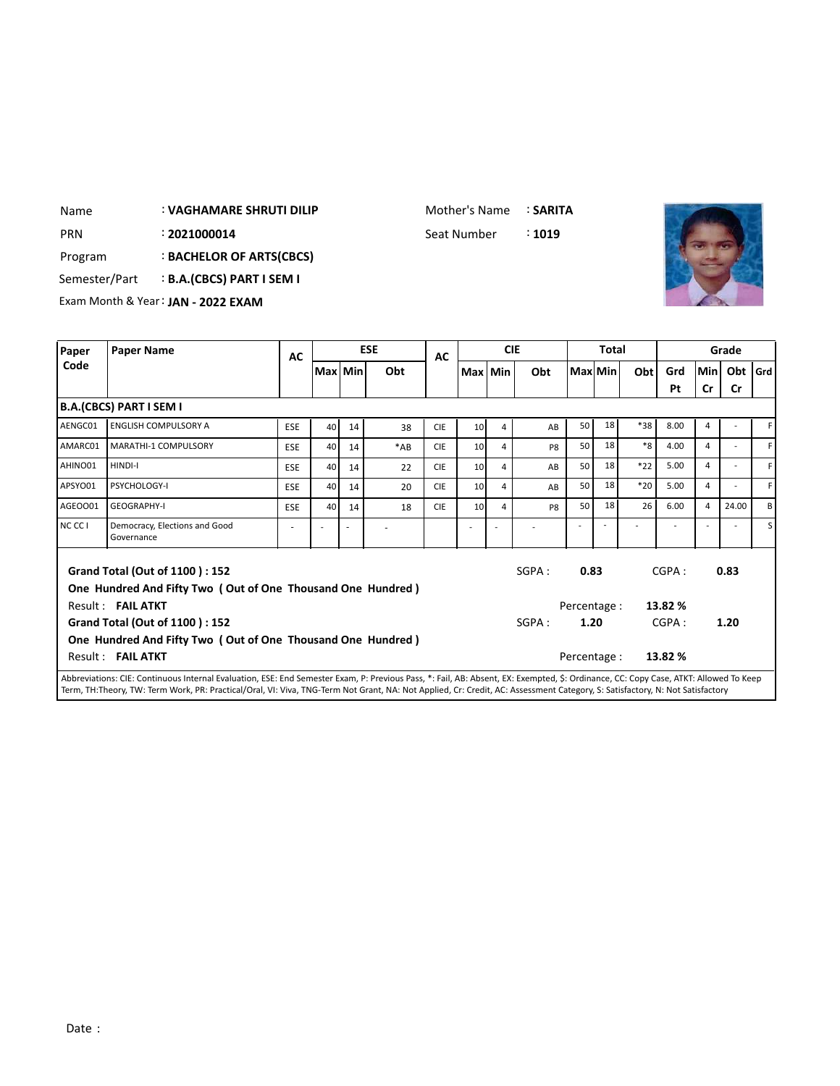#### : **VAGHAMARE SHRUTI DILIP** Name

Mother's Name : **SARITA**

: PRN 2021000014 Seat Number : 1019



Program : **BACHELOR OF ARTS(CBCS)**

Semester/Part : **B.A.(CBCS) PART I SEM I**

Exam Month & Year: **JAN - 2022 EXAM**

| Paper   | <b>Paper Name</b>                                                                                    | AC         |         |    | <b>ESE</b> | AC         |                 |   | <b>CIE</b>     |              | Total   |       |         |                | Grade                    |         |
|---------|------------------------------------------------------------------------------------------------------|------------|---------|----|------------|------------|-----------------|---|----------------|--------------|---------|-------|---------|----------------|--------------------------|---------|
| Code    |                                                                                                      |            | Max Min |    | Obt        |            | Max Min         |   | Obt            |              | MaxlMin | Obt   | Grd     | Min            | Obt                      | l Grd l |
|         |                                                                                                      |            |         |    |            |            |                 |   |                |              |         |       | Pt      | Cr             | <b>Cr</b>                |         |
|         | B.A.(CBCS) PART I SEM I                                                                              |            |         |    |            |            |                 |   |                |              |         |       |         |                |                          |         |
| AENGC01 | <b>ENGLISH COMPULSORY A</b>                                                                          | <b>ESE</b> | 40      | 14 | 38         | <b>CIE</b> | 10 <sup>1</sup> | 4 | AB             | 50           | 18      | $*38$ | 8.00    | 4              |                          |         |
| AMARC01 | MARATHI-1 COMPULSORY                                                                                 | <b>ESE</b> | 40      | 14 | $*AB$      | <b>CIE</b> | 10 <sup>1</sup> | 4 | P <sub>8</sub> | 50           | 18      | $*8$  | 4.00    | 4              | $\overline{\phantom{a}}$ | F       |
| AHINO01 | HINDI-I                                                                                              | <b>ESE</b> | 40      | 14 | 22         | <b>CIE</b> | 10              | 4 | AB             | 50           | 18      | $*22$ | 5.00    | 4              |                          | F       |
| APSYO01 | PSYCHOLOGY-I                                                                                         | <b>ESE</b> | 40      | 14 | 20         | <b>CIE</b> | 10 <sup>1</sup> | 4 | AB             | 50           | 18      | $*20$ | 5.00    | 4              | $\overline{\phantom{a}}$ | F       |
| AGEOO01 | <b>GEOGRAPHY-I</b>                                                                                   | <b>ESE</b> | 40      | 14 | 18         | <b>CIE</b> | 10 <sup>1</sup> | 4 | P8             | 50           | 18      | 26    | 6.00    | $\overline{a}$ | 24.00                    | В       |
| NC CC I | Democracy, Elections and Good<br>Governance                                                          |            |         | ÷  |            |            |                 |   |                |              |         |       |         |                |                          | S l     |
|         | <b>Grand Total (Out of 1100): 152</b><br>One Hundred And Fifty Two (Out of One Thousand One Hundred) |            |         |    |            |            |                 |   | SGPA:          | 0.83         |         |       | CGPA:   |                | 0.83                     |         |
|         | Result: FAIL ATKT                                                                                    |            |         |    |            |            |                 |   |                | Percentage : |         |       | 13.82 % |                |                          |         |
|         | Grand Total (Out of 1100): 152                                                                       |            |         |    |            |            |                 |   | SGPA:          | 1.20         |         |       | CGPA:   |                | 1.20                     |         |
|         | One Hundred And Fifty Two (Out of One Thousand One Hundred)                                          |            |         |    |            |            |                 |   |                |              |         |       |         |                |                          |         |
|         | Result: FAIL ATKT                                                                                    |            |         |    |            |            |                 |   |                | Percentage : |         |       | 13.82 % |                |                          |         |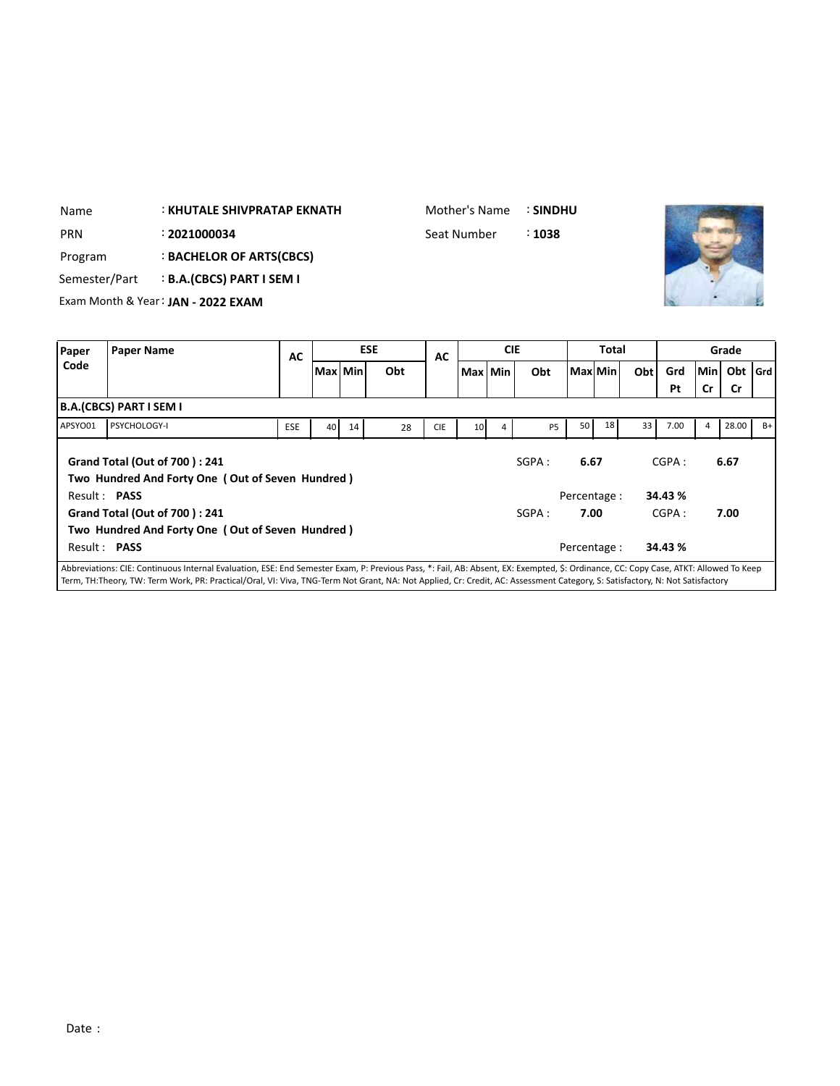| Name          | <b>: KHUTALE SHIVPRATAP EKNATH</b> | Mother's Name | <b>: SINDHU</b>   |  |
|---------------|------------------------------------|---------------|-------------------|--|
| <b>PRN</b>    | : 2021000034                       | Seat Number   | $\therefore$ 1038 |  |
| Program       | <b>BACHELOR OF ARTS(CBCS)</b>      |               |                   |  |
| Semester/Part | <b>B.A.(CBCS) PART I SEM I</b>     |               |                   |  |
|               | Exam Month & Year: JAN - 2022 EXAM |               |                   |  |
|               |                                    |               |                   |  |

| Paper               | <b>Paper Name</b>                                                                                                                                                                                                                                                                                                                                                    | AC         |           |    | <b>ESE</b> | AC         |                 | <b>CIE</b> |           | <b>Total</b> |              |      |                  |     | Grade     |      |
|---------------------|----------------------------------------------------------------------------------------------------------------------------------------------------------------------------------------------------------------------------------------------------------------------------------------------------------------------------------------------------------------------|------------|-----------|----|------------|------------|-----------------|------------|-----------|--------------|--------------|------|------------------|-----|-----------|------|
| Code                |                                                                                                                                                                                                                                                                                                                                                                      |            | Max   Min |    | Obt        |            | Max Min         |            | Obt       | Max Min      |              | Obtl | Grd              | Min | Obt   Grd |      |
|                     |                                                                                                                                                                                                                                                                                                                                                                      |            |           |    |            |            |                 |            |           |              |              |      | Pt               | Cr  | Cr        |      |
|                     | B.A.(CBCS) PART I SEM I                                                                                                                                                                                                                                                                                                                                              |            |           |    |            |            |                 |            |           |              |              |      |                  |     |           |      |
| APSYO01             | <b>PSYCHOLOGY-I</b>                                                                                                                                                                                                                                                                                                                                                  | <b>ESE</b> | 40        | 14 | 28         | <b>CIE</b> | 10 <sup>1</sup> | 4          | <b>P5</b> | 50           | 18           | 33   | 7.00             | 4   | 28.00     | $B+$ |
| Result: PASS        | <b>Grand Total (Out of 700): 241</b><br>Two Hundred And Forty One (Out of Seven Hundred)                                                                                                                                                                                                                                                                             |            |           |    |            |            |                 |            | SGPA:     | 6.67         | Percentage : |      | CGPA:<br>34.43 % |     | 6.67      |      |
|                     | <b>Grand Total (Out of 700): 241</b><br>Two Hundred And Forty One (Out of Seven Hundred)                                                                                                                                                                                                                                                                             |            |           |    |            |            |                 |            | SGPA :    | 7.00         |              |      | CGPA:            |     | 7.00      |      |
| Result: <b>PASS</b> |                                                                                                                                                                                                                                                                                                                                                                      |            |           |    |            |            |                 |            |           |              | Percentage : |      | 34.43 %          |     |           |      |
|                     | Abbreviations: CIE: Continuous Internal Evaluation, ESE: End Semester Exam, P: Previous Pass, *: Fail, AB: Absent, EX: Exempted, \$: Ordinance, CC: Copy Case, ATKT: Allowed To Keep<br>Term, TH:Theory, TW: Term Work, PR: Practical/Oral, VI: Viva, TNG-Term Not Grant, NA: Not Applied, Cr: Credit, AC: Assessment Category, S: Satisfactory, N: Not Satisfactory |            |           |    |            |            |                 |            |           |              |              |      |                  |     |           |      |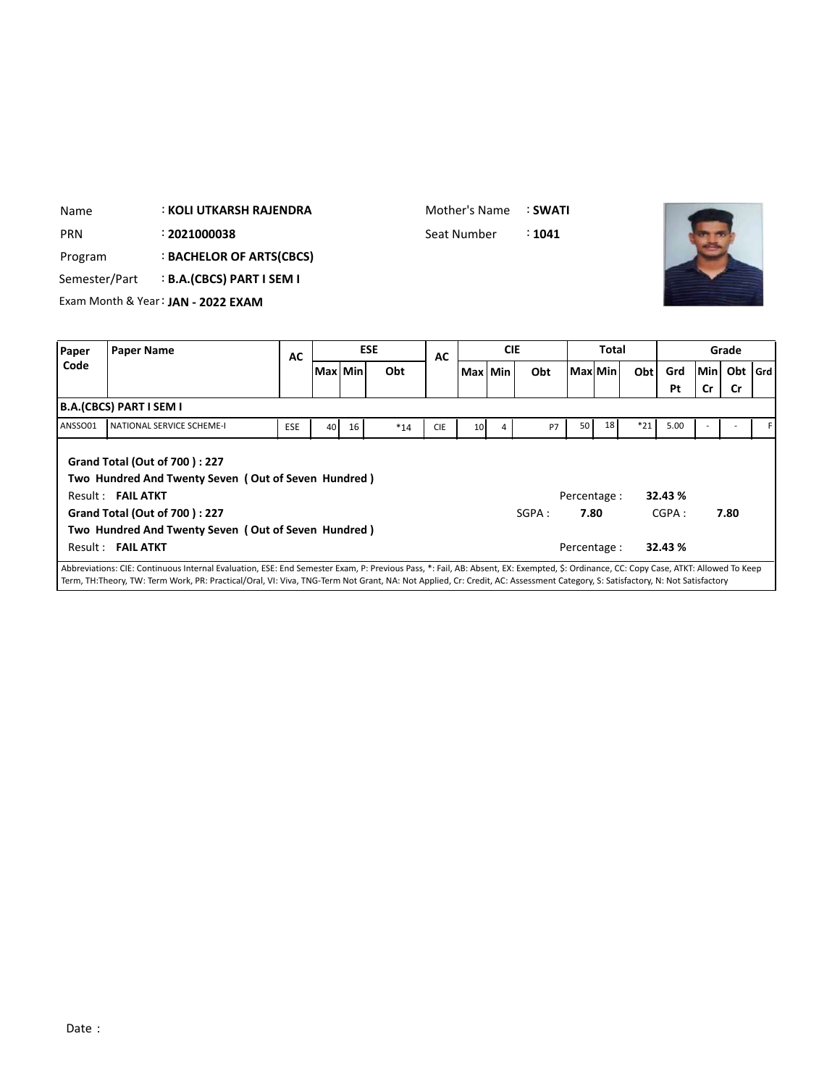| Name          |                         | : KOLI UTKARSH RAJENDRA            |            |                 |    |            | Mother's Name |                 |            | : SWATI   |              |              |       |      |     |           |         |
|---------------|-------------------------|------------------------------------|------------|-----------------|----|------------|---------------|-----------------|------------|-----------|--------------|--------------|-------|------|-----|-----------|---------|
| <b>PRN</b>    |                         | : 2021000038                       |            |                 |    |            | Seat Number   |                 |            | : 1041    |              |              |       |      |     |           |         |
| Program       |                         | <b>BACHELOR OF ARTS(CBCS)</b>      |            |                 |    |            |               |                 |            |           |              |              |       |      |     |           |         |
| Semester/Part |                         | <b>B.A.(CBCS) PART I SEM I</b>     |            |                 |    |            |               |                 |            |           |              |              |       |      |     |           |         |
|               |                         | Exam Month & Year: JAN - 2022 EXAM |            |                 |    |            |               |                 |            |           |              |              |       |      |     |           |         |
|               |                         |                                    |            |                 |    |            |               |                 |            |           |              |              |       |      |     |           |         |
|               |                         |                                    |            |                 |    |            |               |                 |            |           |              |              |       |      |     |           |         |
| Paper         | <b>Paper Name</b>       |                                    |            |                 |    | <b>ESE</b> |               |                 | <b>CIE</b> |           |              | <b>Total</b> |       |      |     | Grade     |         |
| Code          |                         |                                    | <b>AC</b>  | Max Min         |    | Obt        | <b>AC</b>     |                 | Max   Min  | Obt       | l Maxl Min l |              | Obt   | Grd  | Min | Obt       |         |
|               |                         |                                    |            |                 |    |            |               |                 |            |           |              |              |       | Pt   | Cr  | <b>Cr</b> |         |
|               | B.A.(CBCS) PART I SEM I |                                    |            |                 |    |            |               |                 |            |           |              |              |       |      |     |           |         |
| ANSSO01       |                         | NATIONAL SERVICE SCHEME-I          | <b>ESE</b> | 40 <sub>1</sub> | 16 | $*14$      | <b>CIE</b>    | 10 <sup>1</sup> | 4          | <b>P7</b> | 50           | 18           | $*21$ | 5.00 |     |           | $ $ Grd |

**Grand Total (Out of 700 ) : 227 Two Hundred And Twenty Seven ( Out of Seven Hundred )** Result : **FAIL ATKT** Percentage : **32.43 % Grand Total (Out of 700 ) : 227 Two Hundred And Twenty Seven ( Out of Seven Hundred )** Result : **FAIL ATKT** Percentage : **32.43 %** SGPA : **7.80** CGPA : **7.80**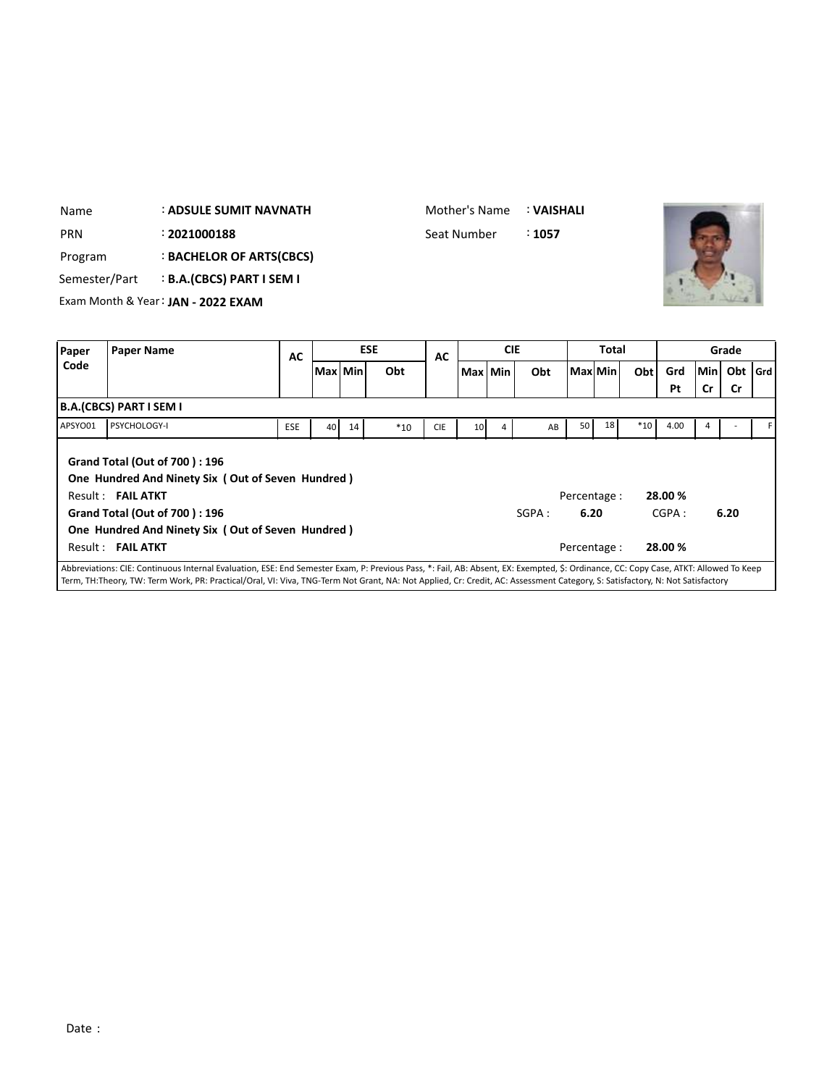| Name          | <b>: ADSULE SUMIT NAVNATH</b>      |           |                                      | Mother's Name |           |            | : VAISHALI |                  |     |          |                 |
|---------------|------------------------------------|-----------|--------------------------------------|---------------|-----------|------------|------------|------------------|-----|----------|-----------------|
| <b>PRN</b>    | : 2021000188                       |           |                                      | Seat Number   |           |            | :1057      |                  |     |          |                 |
| Program       | : BACHELOR OF ARTS(CBCS)           |           |                                      |               |           |            |            |                  |     |          |                 |
| Semester/Part | <b>B.A.(CBCS) PART I SEM I</b>     |           |                                      |               |           |            |            |                  |     |          |                 |
|               | Exam Month & Year: JAN - 2022 EXAM |           |                                      |               |           |            |            |                  |     |          |                 |
|               |                                    |           |                                      |               |           |            |            |                  |     |          |                 |
| Paper         | Paper Name                         | <b>AC</b> | <b>ESE</b>                           | AC            |           | <b>CIE</b> |            | <b>Total</b>     |     |          | Grade           |
| Code          |                                    |           | 1 n.a. 1 n.a. <del>.</del><br>$\sim$ |               | 18.8 18.8 |            | ALA        | <b>BAALLBALL</b> | ALL | <b>C</b> | انتصارهما وتعقا |

」

|         |                                                                                                                                                                                                                                                                                                                                                                      | --         |          |    |       | --         |         |       |                      |    |       |                  |     |           |  |
|---------|----------------------------------------------------------------------------------------------------------------------------------------------------------------------------------------------------------------------------------------------------------------------------------------------------------------------------------------------------------------------|------------|----------|----|-------|------------|---------|-------|----------------------|----|-------|------------------|-----|-----------|--|
| Code    |                                                                                                                                                                                                                                                                                                                                                                      |            | Max Mini |    | Obt   |            | Max Min | Obt   | Max Min              |    | Obt   | Grd              | Min | Obt   Grd |  |
|         |                                                                                                                                                                                                                                                                                                                                                                      |            |          |    |       |            |         |       |                      |    |       | Pt               | Cr  | <b>Cr</b> |  |
|         | B.A.(CBCS) PART I SEM I                                                                                                                                                                                                                                                                                                                                              |            |          |    |       |            |         |       |                      |    |       |                  |     |           |  |
| APSYO01 | PSYCHOLOGY-I                                                                                                                                                                                                                                                                                                                                                         | <b>ESE</b> | 40       | 14 | $*10$ | <b>CIE</b> | 10      | AB    | 50 <sub>1</sub>      | 18 | $*10$ | 4.00             |     |           |  |
|         | Grand Total (Out of 700): 196<br>One Hundred And Ninety Six (Out of Seven Hundred)<br>Result: FAIL ATKT<br>Grand Total (Out of 700): 196                                                                                                                                                                                                                             |            |          |    |       |            |         | SGPA: | Percentage :<br>6.20 |    |       | 28.00 %<br>CGPA: |     | 6.20      |  |
|         | One Hundred And Ninety Six (Out of Seven Hundred)                                                                                                                                                                                                                                                                                                                    |            |          |    |       |            |         |       |                      |    |       |                  |     |           |  |
|         | Result: FAIL ATKT                                                                                                                                                                                                                                                                                                                                                    |            |          |    |       |            |         |       | Percentage :         |    |       | 28.00 %          |     |           |  |
|         | Abbreviations: CIE: Continuous Internal Evaluation, ESE: End Semester Exam, P: Previous Pass, *: Fail, AB: Absent, EX: Exempted, \$: Ordinance, CC: Copy Case, ATKT: Allowed To Keep<br>Term, TH:Theory, TW: Term Work, PR: Practical/Oral, VI: Viva, TNG-Term Not Grant, NA: Not Applied, Cr: Credit, AC: Assessment Category, S: Satisfactory, N: Not Satisfactory |            |          |    |       |            |         |       |                      |    |       |                  |     |           |  |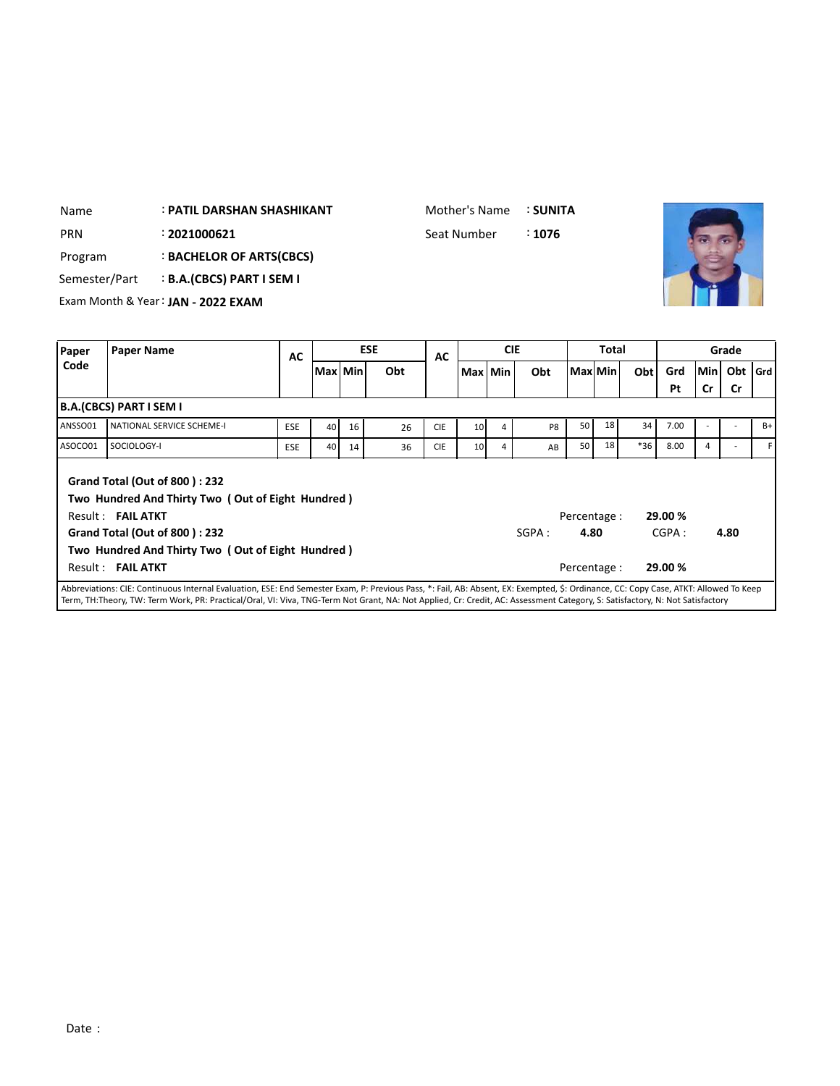| Name    | <b>: PATIL DARSHAN SHASHIKANT</b>               |  |           |  |  |            |             | Mother's Name |            | : SUNITA |              |     |     |            |             |  |
|---------|-------------------------------------------------|--|-----------|--|--|------------|-------------|---------------|------------|----------|--------------|-----|-----|------------|-------------|--|
| PRN     | : 2021000621                                    |  |           |  |  |            | Seat Number |               |            | : 1076   |              |     |     |            |             |  |
| Program | : BACHELOR OF ARTS(CBCS)                        |  |           |  |  |            |             |               |            |          |              |     |     |            |             |  |
|         | <b>B.A.(CBCS) PART I SEM I</b><br>Semester/Part |  |           |  |  |            |             |               |            |          |              |     |     |            |             |  |
|         | Exam Month & Year: JAN - 2022 EXAM              |  |           |  |  |            |             |               |            |          |              |     |     |            |             |  |
|         |                                                 |  |           |  |  |            |             |               |            |          |              |     |     |            |             |  |
| Paper   | <b>Paper Name</b>                               |  | <b>AC</b> |  |  | <b>ESE</b> | <b>AC</b>   |               | <b>CIE</b> |          | <b>Total</b> |     |     |            | Grade       |  |
| Code    | Max Min                                         |  |           |  |  | Obt        |             | Max Min       |            | Obt      | Max Min      | Obt | Grd | <b>Min</b> | Obt $ $ Grd |  |
|         | <b>B.A.(CRCS) PART I SEM I</b>                  |  |           |  |  |            |             |               |            |          |              |     | Pt  | <b>Cr</b>  | <b>Cr</b>   |  |
|         |                                                 |  |           |  |  |            |             |               |            |          |              |     |     |            |             |  |

|         |                                                                                                                                                                                                      |            |    |    |    |            |                 |                |                |                      |    |       | Pt               | <b>Cr</b> | <b>Cr</b> |      |
|---------|------------------------------------------------------------------------------------------------------------------------------------------------------------------------------------------------------|------------|----|----|----|------------|-----------------|----------------|----------------|----------------------|----|-------|------------------|-----------|-----------|------|
|         | B.A.(CBCS) PART I SEM I                                                                                                                                                                              |            |    |    |    |            |                 |                |                |                      |    |       |                  |           |           |      |
| ANSSO01 | NATIONAL SERVICE SCHEME-I                                                                                                                                                                            | <b>ESE</b> | 40 | 16 | 26 | <b>CIE</b> | 10 <sup>1</sup> | $\overline{4}$ | P <sub>8</sub> | 50 l                 | 18 | 34    | 7.00             |           |           | $B+$ |
| ASOCO01 | SOCIOLOGY-I                                                                                                                                                                                          | <b>ESE</b> | 40 | 14 | 36 | <b>CIE</b> | 10 <sup>1</sup> | 4              | AB             | 50 l                 | 18 | $*36$ | 8.00             | 4         |           |      |
|         | Grand Total (Out of 800): 232<br>Two Hundred And Thirty Two (Out of Eight Hundred)<br>Result: FAIL ATKT<br><b>Grand Total (Out of 800): 232</b><br>Two Hundred And Thirty Two (Out of Eight Hundred) |            |    |    |    |            |                 |                | SGPA :         | Percentage :<br>4.80 |    |       | 29.00 %<br>CGPA: |           | 4.80      |      |
|         | Result: FAIL ATKT                                                                                                                                                                                    |            |    |    |    |            |                 |                |                | Percentage:<br>.     |    |       | 29.00 %          |           |           |      |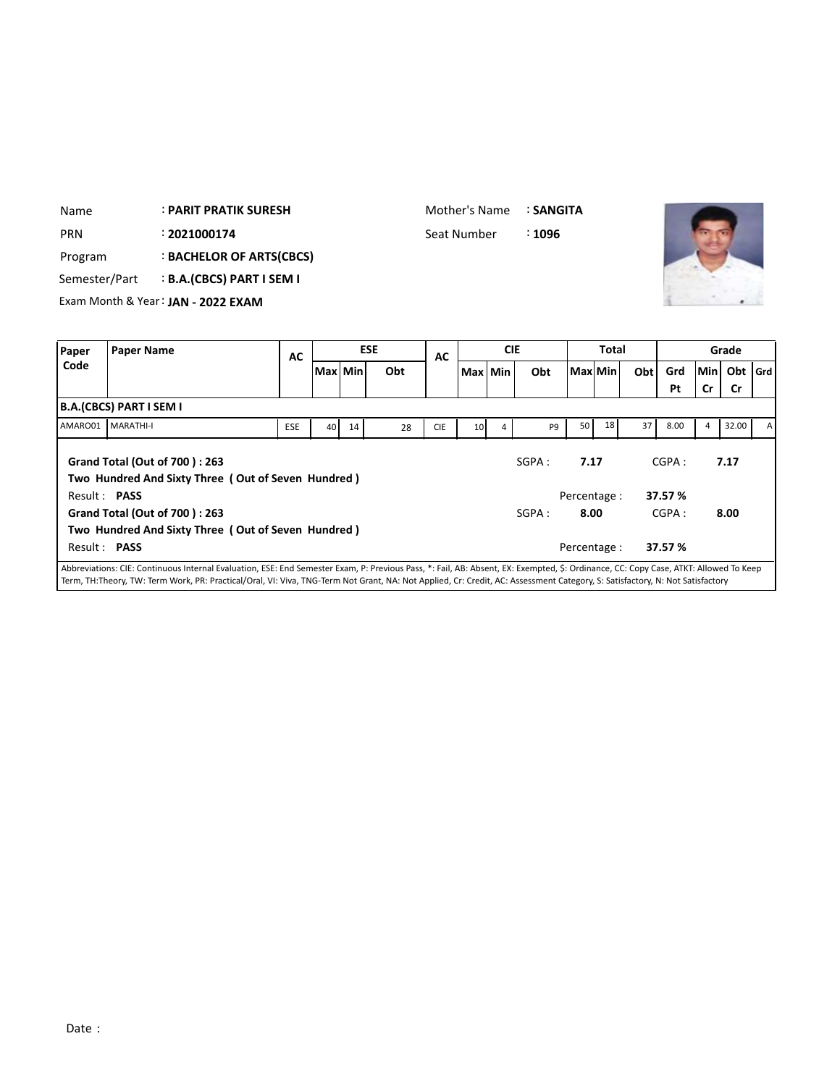| Name                          |                         | : PARIT PRATIK SURESH              |            |                 |         |            | Mother's Name |                 |            | : SANGITA      |         |       |     |      |     |           |       |
|-------------------------------|-------------------------|------------------------------------|------------|-----------------|---------|------------|---------------|-----------------|------------|----------------|---------|-------|-----|------|-----|-----------|-------|
| <b>PRN</b>                    |                         | : 2021000174                       |            |                 |         |            | Seat Number   |                 |            | : 1096         |         |       |     |      |     |           |       |
| Program                       |                         | : BACHELOR OF ARTS(CBCS)           |            |                 |         |            |               |                 |            |                |         |       |     |      |     |           |       |
| Semester/Part                 |                         | <b>B.A.(CBCS) PART I SEM I</b>     |            |                 |         |            |               |                 |            |                |         |       |     |      |     |           |       |
|                               |                         | Exam Month & Year: JAN - 2022 EXAM |            |                 |         |            |               |                 |            |                |         |       |     |      |     |           |       |
|                               |                         |                                    |            |                 |         |            |               |                 |            |                |         |       |     |      |     |           |       |
| Paper                         | <b>Paper Name</b>       |                                    | <b>AC</b>  |                 |         | <b>ESE</b> | AC            |                 | <b>CIE</b> |                |         | Total |     |      |     | Grade     |       |
| Code                          |                         |                                    |            |                 | Max Min | Obt        |               | Max Min         |            | Obt            | Max Min |       | Obt | Grd  | Min | Obt       | l Grd |
|                               |                         |                                    |            |                 |         |            |               |                 |            |                |         |       |     | Pt   | Cr  | <b>Cr</b> |       |
|                               | B.A.(CBCS) PART I SEM I |                                    |            |                 |         |            |               |                 |            |                |         |       |     |      |     |           |       |
| AMARO01                       | MARATHI-I               |                                    | <b>ESE</b> | 40 <sup>1</sup> | 14      | 28         | <b>CIE</b>    | 10 <sup>1</sup> | 4          | P <sub>9</sub> | 50      | 18    | 37  | 8.00 | 4   | 32.00     | А     |
| Grand Total (Out of 700): 263 |                         |                                    |            |                 |         |            |               |                 |            |                |         |       |     |      |     |           |       |

|                     | ו יאושכו יהוא ו נכטשטאהשו                                                           |            |    |    |    |            |                 |   |                |              |            |            |    |
|---------------------|-------------------------------------------------------------------------------------|------------|----|----|----|------------|-----------------|---|----------------|--------------|------------|------------|----|
| AMARO01             | <b>MARATHI-I</b>                                                                    | <b>ESE</b> | 40 | 14 | 28 | <b>CIE</b> | 10 <sup>1</sup> | 4 | P <sub>9</sub> | 18<br>50     | 8.00<br>37 | 32.00<br>4 | ΑI |
|                     | Grand Total (Out of 700): 263<br>Two Hundred And Sixty Three (Out of Seven Hundred) |            |    |    |    |            |                 |   | SGPA :         | 7.17         | CGPA:      | 7.17       |    |
| Result: <b>PASS</b> |                                                                                     |            |    |    |    |            |                 |   |                | Percentage : | 37.57 %    |            |    |
|                     | <b>Grand Total (Out of 700): 263</b>                                                |            |    |    |    |            |                 |   | SGPA:          | 8.00         | CGPA:      | 8.00       |    |
|                     | Two Hundred And Sixty Three (Out of Seven Hundred)                                  |            |    |    |    |            |                 |   |                |              |            |            |    |
| Result: <b>PASS</b> |                                                                                     |            |    |    |    |            |                 |   |                | Percentage : | 37.57 %    |            |    |
|                     |                                                                                     |            |    |    |    |            |                 |   |                |              |            |            |    |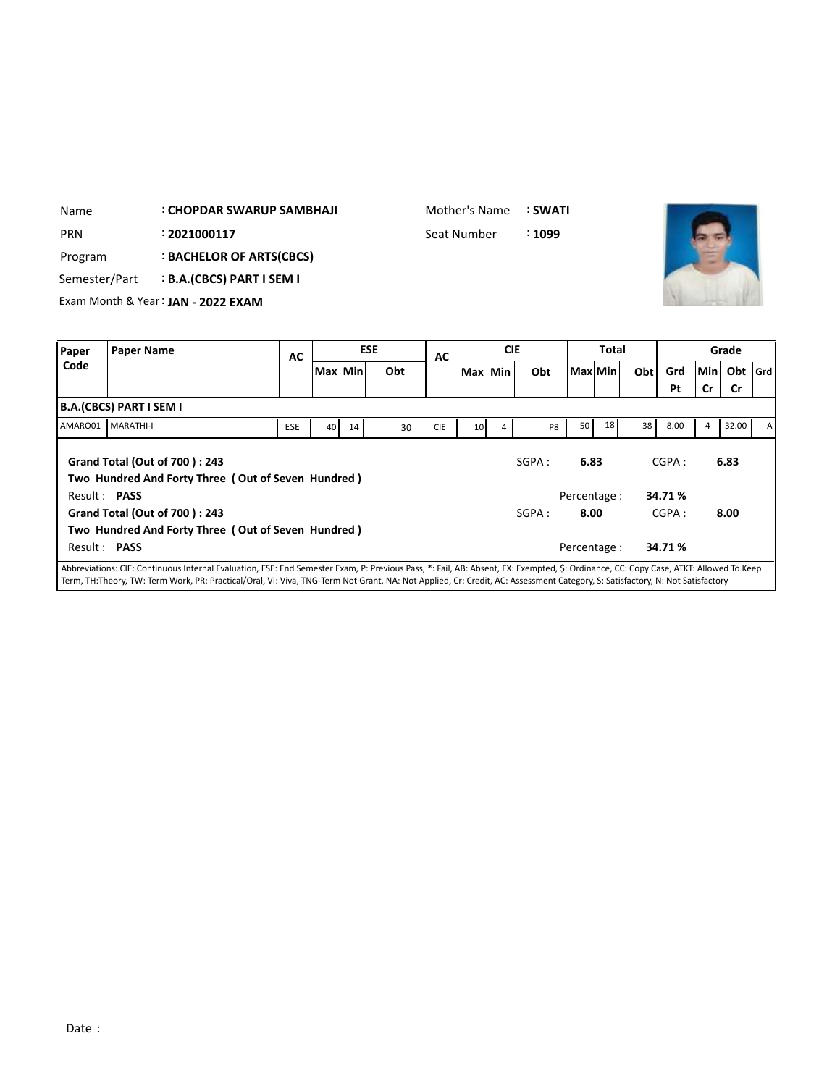| Name          | <b>CHOPDAR SWARUP SAMBHAJI</b>     |           |            |     | Mother's Name |            | : SWATI |              |     |     |        |       |  |
|---------------|------------------------------------|-----------|------------|-----|---------------|------------|---------|--------------|-----|-----|--------|-------|--|
| <b>PRN</b>    | : 2021000117                       |           |            |     | Seat Number   |            | :1099   |              |     |     |        |       |  |
| Program       | <b>BACHELOR OF ARTS(CBCS)</b>      |           |            |     |               |            |         |              |     |     |        |       |  |
| Semester/Part | <b>B.A.(CBCS) PART I SEM I</b>     |           |            |     |               |            |         |              |     |     |        |       |  |
|               | Exam Month & Year: JAN - 2022 EXAM |           |            |     |               |            |         |              |     |     |        |       |  |
|               |                                    |           |            |     |               |            |         |              |     |     |        |       |  |
| Paper         | <b>Paper Name</b>                  | <b>AC</b> | <b>ESE</b> |     | AC            | <b>CIE</b> |         | <b>Total</b> |     |     |        | Grade |  |
| Code          |                                    |           | Max   Min  | Obt |               | Max Min    | Obt     | Max Min      | Obt | Grd | lMin L | Obt G |  |

| coue         |                                                                                                                                                                                     |            | Max   Min |    | Obt |            | Max Min         |   | Obt            | Max Min     |    | Obt | Grd    |    | Min Obt Grd |   |
|--------------|-------------------------------------------------------------------------------------------------------------------------------------------------------------------------------------|------------|-----------|----|-----|------------|-----------------|---|----------------|-------------|----|-----|--------|----|-------------|---|
|              |                                                                                                                                                                                     |            |           |    |     |            |                 |   |                |             |    |     | Pt     | Cr | <b>Cr</b>   |   |
|              | B.A.(CBCS) PART I SEM I                                                                                                                                                             |            |           |    |     |            |                 |   |                |             |    |     |        |    |             |   |
| AMARO01      | <b>MARATHI-I</b>                                                                                                                                                                    | <b>ESE</b> | 40        | 14 | 30  | <b>CIE</b> | 10 <sup>1</sup> | 4 | P <sub>8</sub> | 50          | 18 | 38  | 8.00   | 4  | 32.00       | A |
|              | <b>Grand Total (Out of 700): 243</b><br>Two Hundred And Forty Three (Out of Seven Hundred)                                                                                          |            |           |    |     |            |                 |   | SGPA :         | 6.83        |    |     | CGPA:  |    | 6.83        |   |
| Result: PASS |                                                                                                                                                                                     |            |           |    |     |            |                 |   |                | Percentage: |    |     | 34.71% |    |             |   |
|              | Grand Total (Out of 700): 243                                                                                                                                                       |            |           |    |     |            |                 |   | SGPA :         | 8.00        |    |     | CGPA:  |    | 8.00        |   |
|              | Two Hundred And Forty Three (Out of Seven Hundred)                                                                                                                                  |            |           |    |     |            |                 |   |                |             |    |     |        |    |             |   |
| Result: PASS |                                                                                                                                                                                     |            |           |    |     |            |                 |   |                | Percentage: |    |     | 34.71% |    |             |   |
|              | Abbreviations: CIE: Continuous Internal Evaluation, ESE: End Semester Exam, P: Previous Pass, *: Fail, AB: Absent, EX: Exempted, S: Ordinance, CC: Copy Case, ATKT: Allowed To Keep |            |           |    |     |            |                 |   |                |             |    |     |        |    |             |   |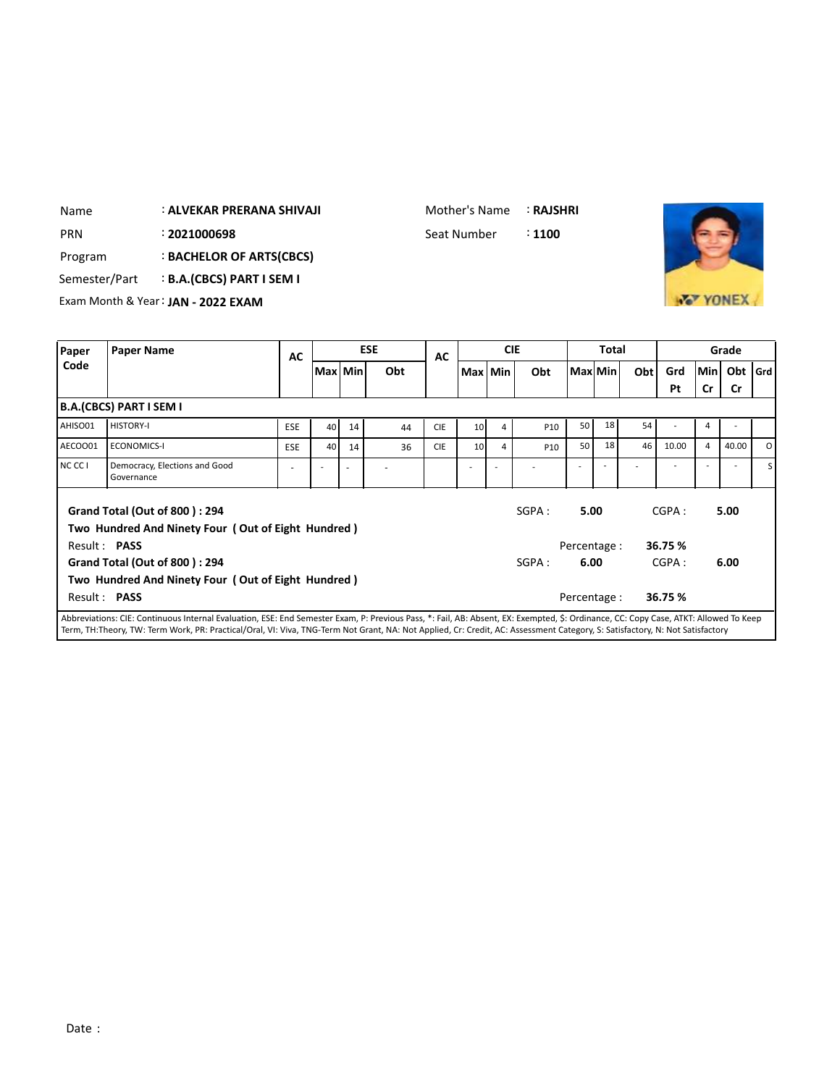| Name | : ALVEKAR PRERANA SHIVAJI |
|------|---------------------------|
|      |                           |

Mother's Name : **RAJSHRI**

: PRN 2021000698 **Seat Number** 2021 300



Program : **BACHELOR OF ARTS(CBCS)**

Semester/Part : **B.A.(CBCS) PART I SEM I**

Exam Month & Year: **JAN - 2022 EXAM**

| <b>Paper Name</b>                           | AC                       |    |                          | <b>ESE</b>                                                                                               | AC         |   | <b>CIE</b>                         |         | Total |                                 |                                         |                                             | Grade |                                    |
|---------------------------------------------|--------------------------|----|--------------------------|----------------------------------------------------------------------------------------------------------|------------|---|------------------------------------|---------|-------|---------------------------------|-----------------------------------------|---------------------------------------------|-------|------------------------------------|
|                                             |                          |    |                          | Obt                                                                                                      |            |   | Obt                                |         |       |                                 | Grd                                     |                                             |       |                                    |
|                                             |                          |    |                          |                                                                                                          |            |   |                                    |         |       |                                 | Pt                                      | Cr                                          | Cr    |                                    |
| <b>B.A.(CBCS) PART I SEM I</b>              |                          |    |                          |                                                                                                          |            |   |                                    |         |       |                                 |                                         |                                             |       |                                    |
| <b>HISTORY-I</b>                            | <b>ESE</b>               | 40 | 14                       | 44                                                                                                       | <b>CIE</b> | 4 | P10                                |         | 18    | 54                              |                                         | 4                                           |       |                                    |
| <b>ECONOMICS-I</b>                          | <b>ESE</b>               | 40 | 14                       | 36                                                                                                       | <b>CIE</b> | 4 | P <sub>10</sub>                    | 50      | 18    | 46                              | 10.00                                   | $\overline{4}$                              | 40.00 | $\Omega$                           |
| Democracy, Elections and Good<br>Governance | $\overline{\phantom{a}}$ |    | $\overline{\phantom{a}}$ |                                                                                                          |            |   |                                    |         |       |                                 |                                         |                                             |       | S                                  |
| <b>Grand Total (Out of 800): 294</b>        |                          |    |                          |                                                                                                          |            |   | SGPA:                              |         |       |                                 |                                         |                                             |       |                                    |
|                                             |                          |    |                          |                                                                                                          |            |   |                                    |         |       |                                 |                                         |                                             |       |                                    |
| Result: PASS                                |                          |    |                          |                                                                                                          |            |   |                                    |         |       |                                 |                                         |                                             |       |                                    |
| Grand Total (Out of 800): 294               |                          |    |                          |                                                                                                          |            |   | SGPA:                              |         |       |                                 |                                         |                                             |       |                                    |
|                                             |                          |    |                          |                                                                                                          |            |   |                                    |         |       |                                 |                                         |                                             |       |                                    |
| Result: PASS                                |                          |    |                          |                                                                                                          |            |   |                                    |         |       |                                 |                                         |                                             |       |                                    |
|                                             |                          |    |                          | Two Hundred And Ninety Four (Out of Eight Hundred)<br>Two Hundred And Ninety Four (Out of Eight Hundred) | Max Min    |   | 10 <sup>1</sup><br>10 <sup>1</sup> | Max Min |       | 50 <sub>1</sub><br>5.00<br>6.00 | Max Min<br>Percentage :<br>Percentage : | Obt<br>CGPA:<br>36.75 %<br>CGPA:<br>36.75 % |       | Min<br>Obt $ $ Grd<br>5.00<br>6.00 |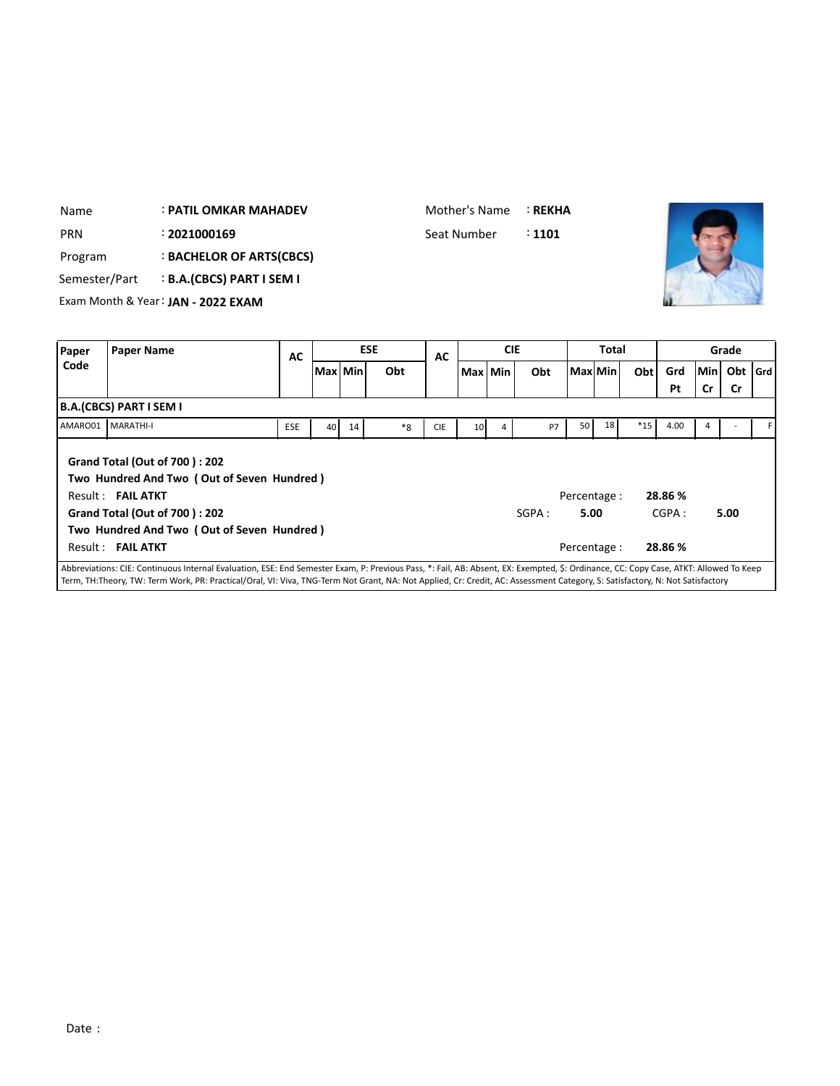| Name          |                                | <b>: PATIL OMKAR MAHADEV</b>                                                       |     |                 |         |            | Mother's Name |                 |            | <b>: REKHA</b> |              |         |       |         |     |           |     |
|---------------|--------------------------------|------------------------------------------------------------------------------------|-----|-----------------|---------|------------|---------------|-----------------|------------|----------------|--------------|---------|-------|---------|-----|-----------|-----|
| <b>PRN</b>    |                                | : 2021000169                                                                       |     |                 |         |            | Seat Number   |                 |            | : 1101         |              |         |       |         |     |           |     |
| Program       |                                | : BACHELOR OF ARTS(CBCS)                                                           |     |                 |         |            |               |                 |            |                |              |         |       |         |     |           |     |
| Semester/Part |                                | <b>B.A.(CBCS) PART I SEM I</b>                                                     |     |                 |         |            |               |                 |            |                |              |         |       |         |     |           |     |
|               |                                | Exam Month & Year: JAN - 2022 EXAM                                                 |     |                 |         |            |               |                 |            |                |              |         |       |         |     |           |     |
|               |                                |                                                                                    |     |                 |         |            |               |                 |            |                |              |         |       |         |     |           |     |
| Paper         | <b>Paper Name</b>              |                                                                                    | AC  |                 |         | <b>ESE</b> | AC            |                 | <b>CIE</b> |                |              | Total   |       |         |     | Grade     |     |
| Code          |                                |                                                                                    |     |                 | Max Min | Obt        |               |                 | Max Min    | Obt            |              | Max Min | Obt   | Grd     | Min | Obt       | Grd |
|               |                                |                                                                                    |     |                 |         |            |               |                 |            |                |              |         |       | Pt      | Cr  | <b>Cr</b> |     |
|               | <b>B.A.(CBCS) PART I SEM I</b> |                                                                                    |     |                 |         |            |               |                 |            |                |              |         |       |         |     |           |     |
|               | AMARO01 MARATHI-I              |                                                                                    | ESE | 40 <sup>1</sup> | 14      | $*8$       | <b>CIE</b>    | 10 <sup>1</sup> | 4          | <b>P7</b>      | 50           | 18      | $*15$ | 4.00    | 4   |           |     |
|               |                                |                                                                                    |     |                 |         |            |               |                 |            |                |              |         |       |         |     |           |     |
|               |                                | <b>Grand Total (Out of 700): 202</b><br>Two Hundred And Two (Out of Seven Hundred) |     |                 |         |            |               |                 |            |                |              |         |       |         |     |           |     |
|               | Result: FAIL ATKT              |                                                                                    |     |                 |         |            |               |                 |            |                | Percentage : |         |       | 28.86 % |     |           |     |
|               |                                | <b>Grand Total (Out of 700): 202</b>                                               |     |                 |         |            |               |                 |            | SGPA:          | 5.00         |         |       | CGPA:   |     | 5.00      |     |
|               |                                | Two Hundred And Two (Out of Seven Hundred)                                         |     |                 |         |            |               |                 |            |                |              |         |       |         |     |           |     |

Mother's Name : **REKHA**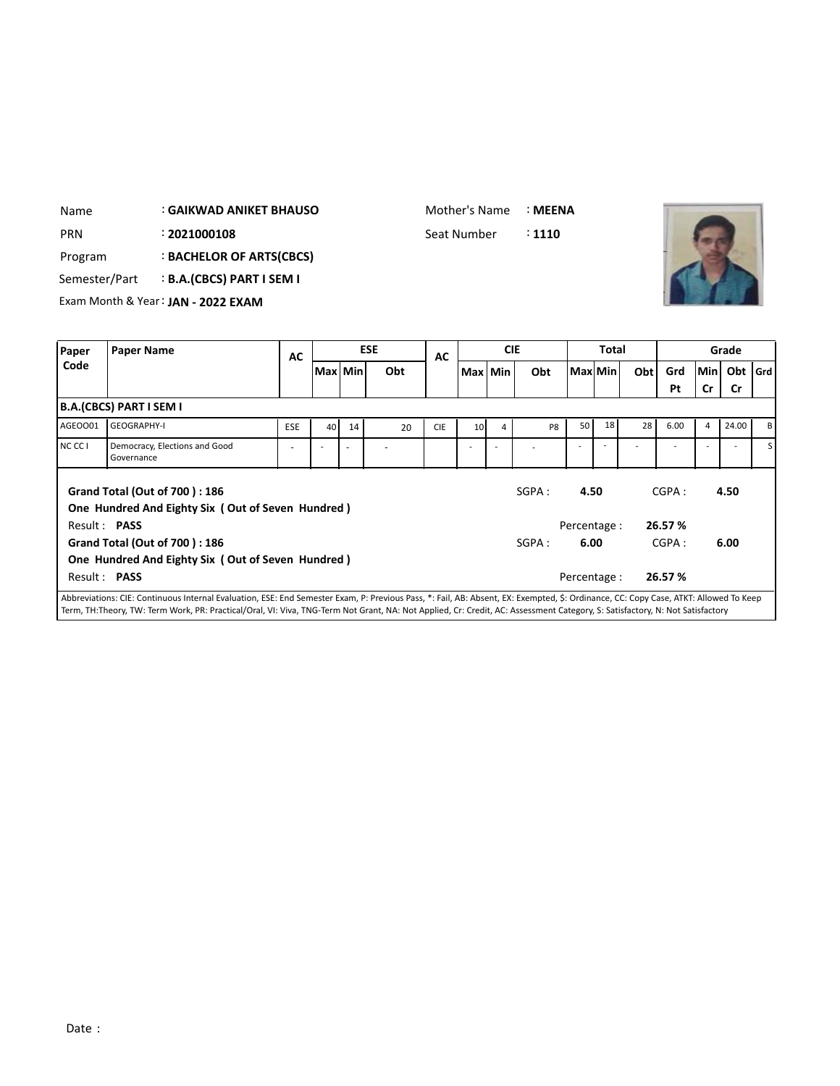| Name          |                         | <b>GAIKWAD ANIKET BHAUSO</b>       |           |           |            | Mother's Name |            | : MEENA |              |              |     |     |     |           |     |
|---------------|-------------------------|------------------------------------|-----------|-----------|------------|---------------|------------|---------|--------------|--------------|-----|-----|-----|-----------|-----|
| <b>PRN</b>    |                         | : 2021000108                       |           |           |            | Seat Number   |            | : 1110  |              |              |     |     |     |           |     |
| Program       |                         | : BACHELOR OF ARTS(CBCS)           |           |           |            |               |            |         |              |              |     |     |     |           |     |
| Semester/Part |                         | : B.A.(CBCS) PART I SEM I          |           |           |            |               |            |         |              |              |     |     |     |           |     |
|               |                         | Exam Month & Year: JAN - 2022 EXAM |           |           |            |               |            |         |              |              |     |     |     |           |     |
|               |                         |                                    |           |           |            |               |            |         |              |              |     |     |     |           |     |
| Paper         | <b>Paper Name</b>       |                                    | <b>AC</b> |           | <b>ESE</b> | AC            | <b>CIE</b> |         |              | <b>Total</b> |     |     |     | Grade     |     |
| Code          |                         |                                    |           | Max   Min | Obt        |               | Max Min    | Obt     | l Maxl Min l |              | Obt | Grd | Min | Obt       | Grd |
|               |                         |                                    |           |           |            |               |            |         |              |              |     | Pt  | Cr  | <b>Cr</b> |     |
|               | B.A.(CBCS) PART I SEM I |                                    |           |           |            |               |            |         |              |              |     |     |     |           |     |

| AGEOO01             | <b>GEOGRAPHY-I</b>                                                                 | <b>ESE</b>               | 40 | 14                       | 20 | <b>CIE</b> | 10 <sup>1</sup> | 4 | P <sub>8</sub> | 50           | 18 | 28 | 6.00    | 4 | 24.00 | вI  |
|---------------------|------------------------------------------------------------------------------------|--------------------------|----|--------------------------|----|------------|-----------------|---|----------------|--------------|----|----|---------|---|-------|-----|
| NC CC I             | Democracy, Elections and Good<br>Governance                                        | $\overline{\phantom{a}}$ |    | $\overline{\phantom{a}}$ |    |            |                 |   |                |              |    |    |         |   |       | s I |
|                     | Grand Total (Out of 700): 186<br>One Hundred And Eighty Six (Out of Seven Hundred) |                          |    |                          |    |            |                 |   | SGPA:          | 4.50         |    |    | CGPA:   |   | 4.50  |     |
| Result: <b>PASS</b> |                                                                                    |                          |    |                          |    |            |                 |   |                | Percentage : |    |    | 26.57 % |   |       |     |
|                     | Grand Total (Out of 700): 186<br>One Hundred And Eighty Six (Out of Seven Hundred) |                          |    |                          |    |            |                 |   | SGPA:          | 6.00         |    |    | CGPA:   |   | 6.00  |     |
| Result: <b>PASS</b> |                                                                                    |                          |    |                          |    |            |                 |   |                | Percentage : |    |    | 26.57 % |   |       |     |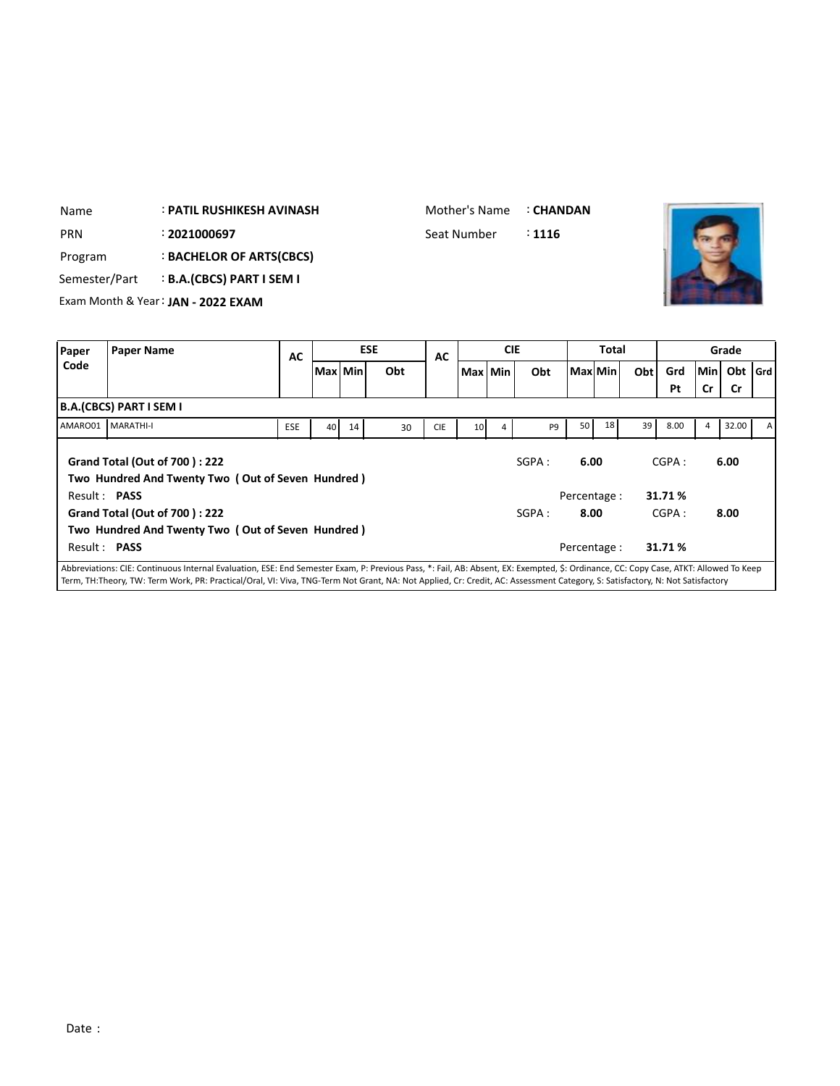| Name          |                                    | : PATIL RUSHIKESH AVINASH      |           | Mother's Name |  | : CHANDAN  |             |            |        |              |     |     |     |       |       |
|---------------|------------------------------------|--------------------------------|-----------|---------------|--|------------|-------------|------------|--------|--------------|-----|-----|-----|-------|-------|
| <b>PRN</b>    |                                    | : 2021000697                   |           |               |  |            | Seat Number |            | : 1116 |              |     |     |     |       |       |
| Program       |                                    | : BACHELOR OF ARTS(CBCS)       |           |               |  |            |             |            |        |              |     |     |     |       |       |
| Semester/Part |                                    | <b>B.A.(CBCS) PART I SEM I</b> |           |               |  |            |             |            |        |              |     |     |     |       |       |
|               | Exam Month & Year: JAN - 2022 EXAM |                                |           |               |  |            |             |            |        |              |     |     |     |       |       |
|               |                                    |                                |           |               |  |            |             |            |        |              |     |     |     |       |       |
| Paper         | <b>Paper Name</b>                  |                                | <b>AC</b> |               |  | <b>ESE</b> | <b>AC</b>   | <b>CIE</b> |        | <b>Total</b> |     |     |     | Grade |       |
| Code          |                                    |                                |           | Max Min       |  | Obt        |             | Max Min    | Obt    | l Maxl Min l | Obt | Grd | Min | Obt   | l Grd |
|               |                                    |                                |           |               |  |            |             |            |        |              |     | Pt  | Cr  | Cr    |       |
|               | B.A.(CBCS) PART I SEM I            |                                |           |               |  |            |             |            |        |              |     |     |     |       |       |

<u> International Property (International Property</u>

|                     |                                                                                           |            |                 |    |    |            |                 |   |                |              |    |    | Pt      | <b>Cr</b> | - Cr  |   |
|---------------------|-------------------------------------------------------------------------------------------|------------|-----------------|----|----|------------|-----------------|---|----------------|--------------|----|----|---------|-----------|-------|---|
|                     | <b>B.A.(CBCS) PART I SEM I</b>                                                            |            |                 |    |    |            |                 |   |                |              |    |    |         |           |       |   |
| AMARO01 MARATHI-I   |                                                                                           | <b>ESE</b> | 40 <sup>1</sup> | 14 | 30 | <b>CIE</b> | 10 <sup>1</sup> | 4 | P <sub>9</sub> | 50           | 18 | 39 | 8.00    | 4         | 32.00 | А |
|                     | <b>Grand Total (Out of 700): 222</b><br>Two Hundred And Twenty Two (Out of Seven Hundred) |            |                 |    |    |            |                 |   | SGPA:          | 6.00         |    |    | CGPA:   |           | 6.00  |   |
| Result: PASS        |                                                                                           |            |                 |    |    |            |                 |   |                | Percentage : |    |    | 31.71 % |           |       |   |
|                     | <b>Grand Total (Out of 700): 222</b>                                                      |            |                 |    |    |            |                 |   | SGPA:          | 8.00         |    |    | CGPA:   |           | 8.00  |   |
| Result: <b>PASS</b> | Two Hundred And Twenty Two (Out of Seven Hundred)                                         |            |                 |    |    |            |                 |   |                | Percentage : |    |    | 31.71%  |           |       |   |
|                     |                                                                                           |            |                 |    |    |            |                 |   |                |              |    |    |         |           |       |   |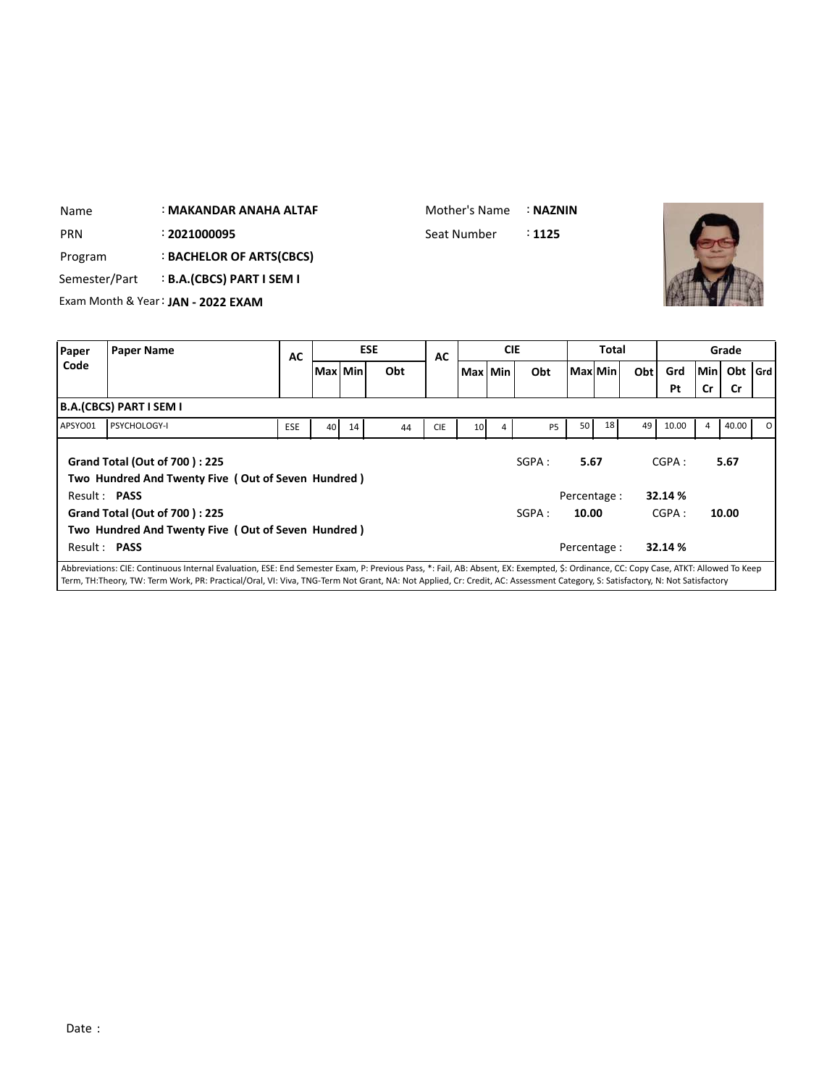| Paper         | <b>Paper Name</b>                  | $\overline{ }$ | <b>ESE</b> | $\overline{ }$ | <b>CIE</b>    |          | Total | Grade |
|---------------|------------------------------------|----------------|------------|----------------|---------------|----------|-------|-------|
|               | Exam Month & Year: JAN - 2022 EXAM |                |            |                |               |          |       |       |
| Semester/Part | <b>B.A.(CBCS) PART I SEM I</b>     |                |            |                |               |          |       |       |
| Program       | <b>BACHELOR OF ARTS(CBCS)</b>      |                |            |                |               |          |       |       |
| PRN           | : 2021000095                       |                |            |                | Seat Number   | : 1125   |       |       |
| Name          | : MAKANDAR ANAHA ALTAF             |                |            |                | Mother's Name | : NAZNIN |       |       |

| <b>Paper</b>        | <b>Paper Name</b>                                                                                                                                                                                                                                                                                                                                                    | AC         |         |    | <b>ESE</b> | AC         |                 | <b>CIE</b> |           |       | <b>Total</b> |      |                  |       | Grade     |         |
|---------------------|----------------------------------------------------------------------------------------------------------------------------------------------------------------------------------------------------------------------------------------------------------------------------------------------------------------------------------------------------------------------|------------|---------|----|------------|------------|-----------------|------------|-----------|-------|--------------|------|------------------|-------|-----------|---------|
| Code                |                                                                                                                                                                                                                                                                                                                                                                      |            | Max Min |    | Obt        |            | Max   Min       |            | Obt       |       | Max Min      | Obtl | Grd              | Min I | Obt       | l Grd l |
|                     |                                                                                                                                                                                                                                                                                                                                                                      |            |         |    |            |            |                 |            |           |       |              |      | Pt               | Cr    | <b>Cr</b> |         |
|                     | B.A.(CBCS) PART I SEM I                                                                                                                                                                                                                                                                                                                                              |            |         |    |            |            |                 |            |           |       |              |      |                  |       |           |         |
| APSYO01             | PSYCHOLOGY-I                                                                                                                                                                                                                                                                                                                                                         | <b>ESE</b> | 40      | 14 | 44         | <b>CIE</b> | 10 <sup>1</sup> | 4          | <b>P5</b> | 50    | 18           | 49   | 10.00            | 4     | 40.00     | ΩI      |
| Result: PASS        | <b>Grand Total (Out of 700): 225</b><br>Two Hundred And Twenty Five (Out of Seven Hundred)                                                                                                                                                                                                                                                                           |            |         |    |            |            |                 |            | SGPA:     | 5.67  | Percentage : |      | CGPA:<br>32.14 % |       | 5.67      |         |
|                     | <b>Grand Total (Out of 700): 225</b><br>Two Hundred And Twenty Five (Out of Seven Hundred)                                                                                                                                                                                                                                                                           |            |         |    |            |            |                 |            | SGPA:     | 10.00 |              |      | CGPA:            |       | 10.00     |         |
| Result: <b>PASS</b> |                                                                                                                                                                                                                                                                                                                                                                      |            |         |    |            |            |                 |            |           |       | Percentage:  |      | 32.14 %          |       |           |         |
|                     | Abbreviations: CIE: Continuous Internal Evaluation, ESE: End Semester Exam, P: Previous Pass, *: Fail, AB: Absent, EX: Exempted, \$: Ordinance, CC: Copy Case, ATKT: Allowed To Keep<br>Term, TH:Theory, TW: Term Work, PR: Practical/Oral, VI: Viva, TNG-Term Not Grant, NA: Not Applied, Cr: Credit, AC: Assessment Category, S: Satisfactory, N: Not Satisfactory |            |         |    |            |            |                 |            |           |       |              |      |                  |       |           |         |

 $\overline{\phantom{a}}$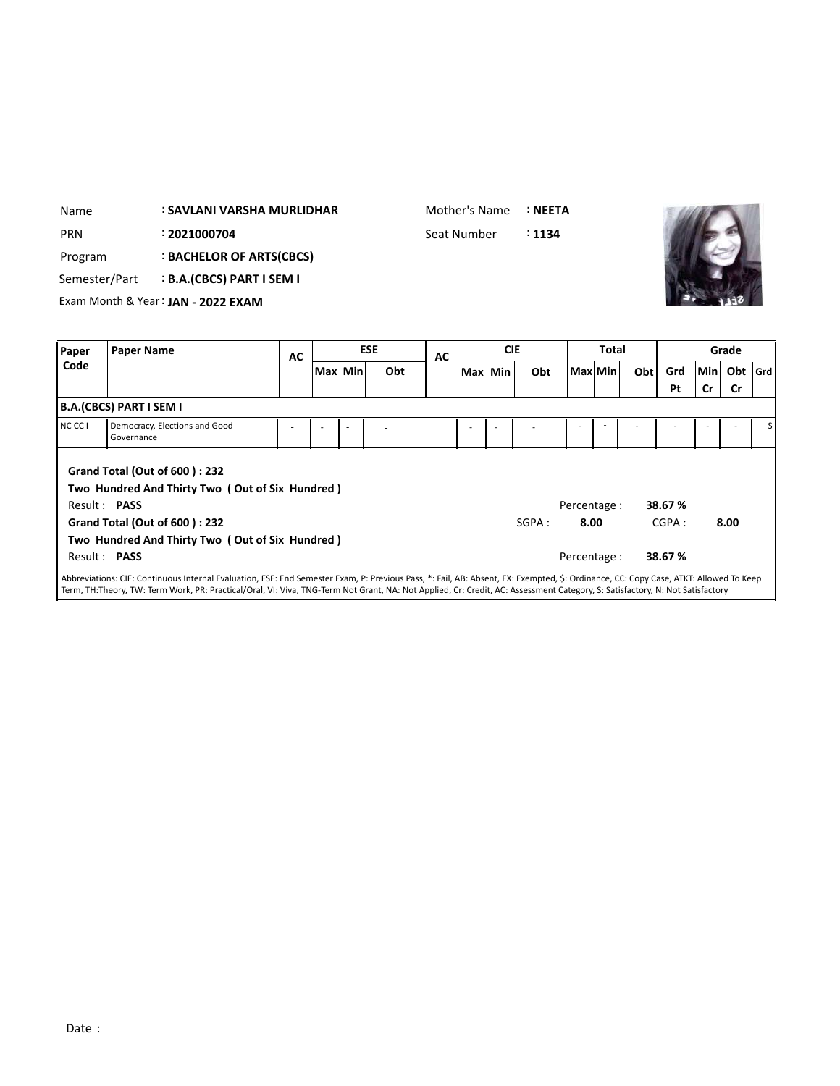| <b>PRN</b> | : 2021000704<br>: BACHELOR OF ARTS(CBCS)<br>Program<br><b>B.A.(CBCS) PART I SEM I</b><br>Semester/Part<br>Exam Month & Year: JAN - 2022 EXAM<br><b>Paper Name</b> |                                                                                                                                 |           |         |            | Seat Number |            | : 1134 |                      |         |     |                  |                  |                  |     |
|------------|-------------------------------------------------------------------------------------------------------------------------------------------------------------------|---------------------------------------------------------------------------------------------------------------------------------|-----------|---------|------------|-------------|------------|--------|----------------------|---------|-----|------------------|------------------|------------------|-----|
| Paper      |                                                                                                                                                                   |                                                                                                                                 |           |         | <b>ESE</b> | <b>AC</b>   | <b>CIE</b> |        |                      | Total   |     |                  |                  | Grade            |     |
| Code       |                                                                                                                                                                   |                                                                                                                                 | <b>AC</b> | Max Min | Obt        |             | Max Min    | Obt    |                      | Max Min | Obt | Grd<br>Pt        | Min<br><b>Cr</b> | Obt<br><b>Cr</b> | Grd |
|            | <b>B.A.(CBCS) PART I SEM I</b>                                                                                                                                    |                                                                                                                                 |           |         |            |             |            |        |                      |         |     |                  |                  |                  |     |
| NC CC I    | Governance                                                                                                                                                        | Democracy, Elections and Good                                                                                                   |           |         |            |             |            |        |                      |         |     |                  |                  |                  |     |
|            | Result: PASS                                                                                                                                                      | <b>Grand Total (Out of 600): 232</b><br>Two Hundred And Thirty Two (Out of Six Hundred)<br><b>Grand Total (Out of 600): 232</b> |           |         |            |             |            | SGPA:  | Percentage :<br>8.00 |         |     | 38.67 %<br>CGPA: |                  | 8.00             |     |

: **SAVLANI VARSHA MURLIDHAR**

**Two Hundred And Thirty Two ( Out of Six Hundred )**

Mother's Name :**NEETA**

**AND AND AND RESIDENCE** 

Abbreviations: CIE: Continuous Internal Evaluation, ESE: End Semester Exam, P: Previous Pass, \*: Fail, AB: Absent, EX: Exempted, \$: Ordinance, CC: Copy Case, ATKT: Allowed To Keep Term, TH:Theory, TW: Term Work, PR: Practical/Oral, VI: Viva, TNG-Term Not Grant, NA: Not Applied, Cr: Credit, AC: Assessment Category, S: Satisfactory, N: Not Satisfactory

Result : **PASS** Percentage : **38.67 %**

Name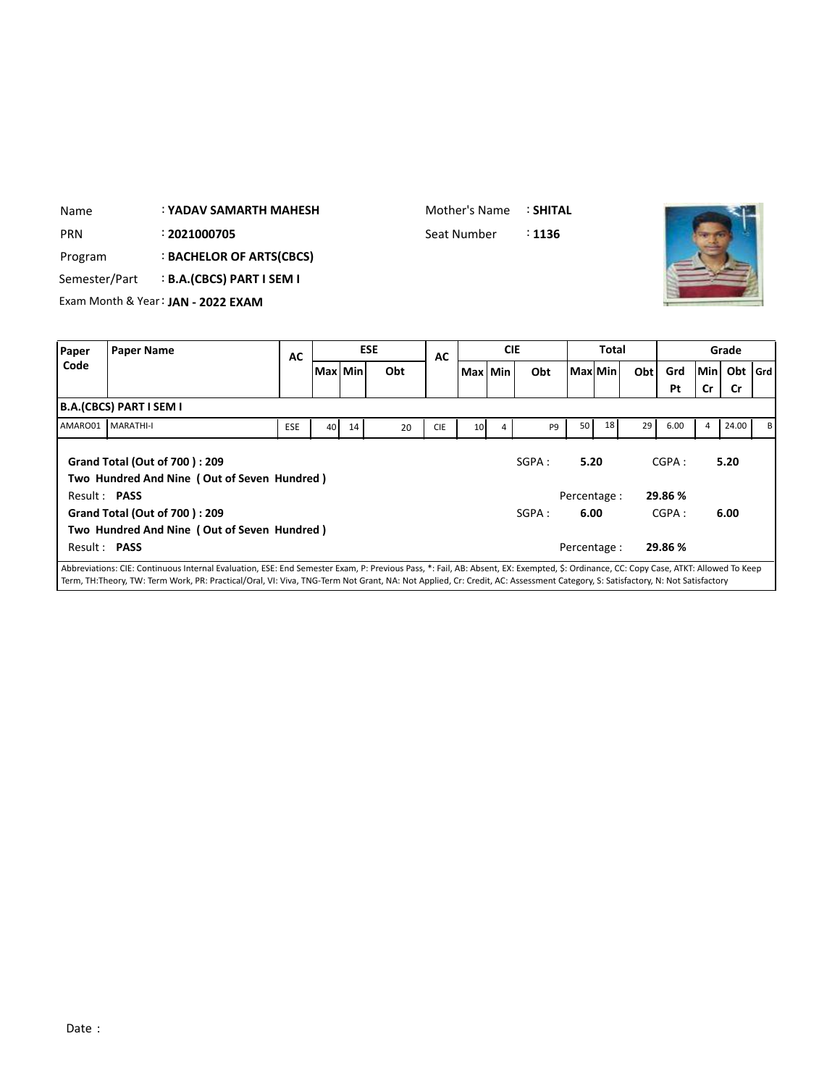| Name          |                         | <b>: YADAV SAMARTH MAHESH</b>      |    |           |            | Mother's Name |         |            | <b>: SHITAL</b> |         |              |     |     |     |           |  |
|---------------|-------------------------|------------------------------------|----|-----------|------------|---------------|---------|------------|-----------------|---------|--------------|-----|-----|-----|-----------|--|
| <b>PRN</b>    |                         | : 2021000705                       |    |           |            | Seat Number   |         |            | : 1136          |         |              |     |     |     |           |  |
| Program       |                         | : BACHELOR OF ARTS(CBCS)           |    |           |            |               |         |            |                 |         |              |     |     |     |           |  |
| Semester/Part |                         | <b>B.A.(CBCS) PART I SEM I</b>     |    |           |            |               |         |            |                 |         |              |     |     |     |           |  |
|               |                         | Exam Month & Year: JAN - 2022 EXAM |    |           |            |               |         |            |                 |         |              |     |     |     |           |  |
|               |                         |                                    |    |           |            |               |         |            |                 |         |              |     |     |     |           |  |
|               |                         |                                    |    |           |            |               |         |            |                 |         |              |     |     |     |           |  |
| Paper         | <b>Paper Name</b>       |                                    |    |           | <b>ESE</b> |               |         | <b>CIE</b> |                 |         | <b>Total</b> |     |     |     | Grade     |  |
| Code          |                         |                                    | AC | Max   Min | Obt        | AC            | Max Min |            | Obt             | Max Min |              | Obt | Grd | Min | Obt   Grd |  |
|               |                         |                                    |    |           |            |               |         |            |                 |         |              |     | Pt  | Cr  | Cr        |  |
|               | B.A.(CBCS) PART I SEM I |                                    |    |           |            |               |         |            |                 |         |              |     |     |     |           |  |

**The State of Street** 

|                     | Grand Total (Out of 700): 209               |  |  |  | SGPA : | 5.20         | CGPA:   | 5.20 |  |
|---------------------|---------------------------------------------|--|--|--|--------|--------------|---------|------|--|
|                     | Two Hundred And Nine (Out of Seven Hundred) |  |  |  |        |              |         |      |  |
| Result: <b>PASS</b> |                                             |  |  |  |        | Percentage : | 29.86 % |      |  |
|                     | Grand Total (Out of 700): 209               |  |  |  | SGPA:  | 6.00         | CGPA:   | 6.00 |  |
|                     | Two Hundred And Nine (Out of Seven Hundred) |  |  |  |        |              |         |      |  |
| Result: PASS        |                                             |  |  |  |        | Percentage : | 29.86 % |      |  |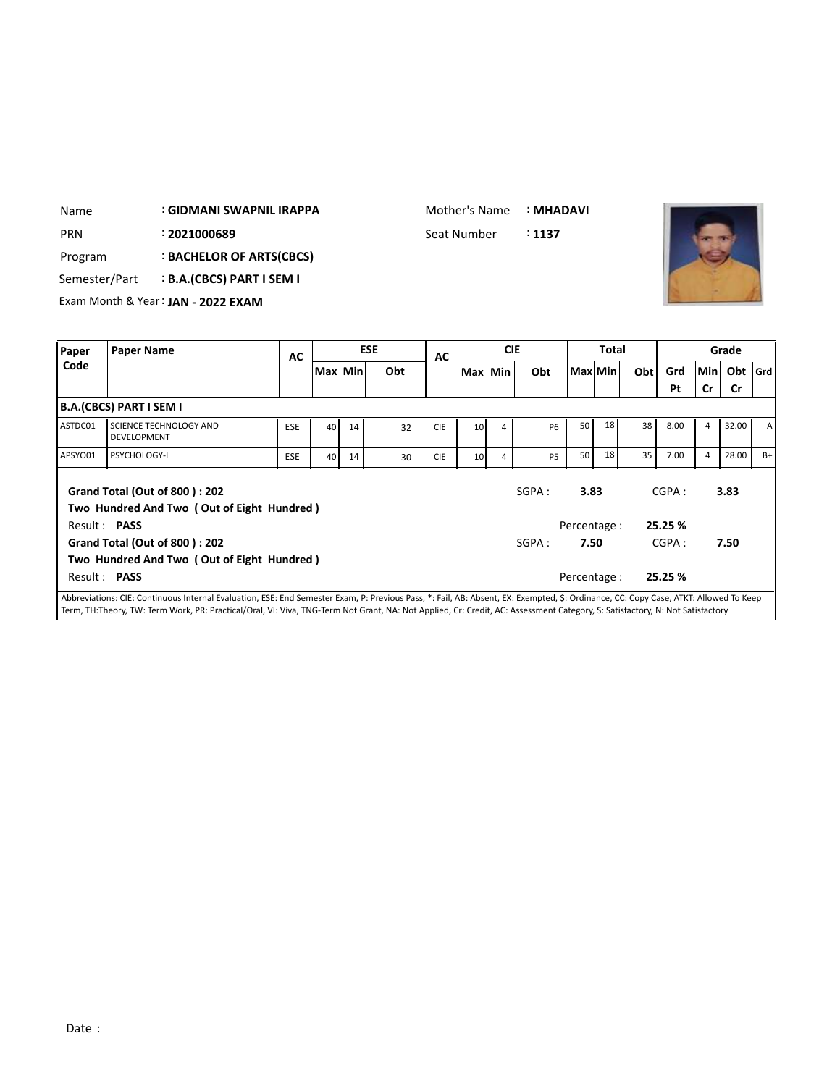| Name          |                         | : GIDMANI SWAPNIL IRAPPA           |            |           |    |            | Mother's Name |                 |            | : MHADAVI         |              |              |     |      |     |           |       |
|---------------|-------------------------|------------------------------------|------------|-----------|----|------------|---------------|-----------------|------------|-------------------|--------------|--------------|-----|------|-----|-----------|-------|
| PRN           |                         | : 2021000689                       |            |           |    |            | Seat Number   |                 |            | $\therefore$ 1137 |              |              |     |      |     |           |       |
| Program       |                         | <b>BACHELOR OF ARTS(CBCS)</b>      |            |           |    |            |               |                 |            |                   |              |              |     |      |     |           |       |
| Semester/Part |                         | <b>B.A.(CBCS) PART I SEM I</b>     |            |           |    |            |               |                 |            |                   |              |              |     |      |     |           |       |
|               |                         | Exam Month & Year: JAN - 2022 EXAM |            |           |    |            |               |                 |            |                   |              |              |     |      |     |           |       |
|               |                         |                                    |            |           |    |            |               |                 |            |                   |              |              |     |      |     |           |       |
| Paper         | <b>Paper Name</b>       |                                    | AC         |           |    | <b>ESE</b> | AC            |                 | <b>CIE</b> |                   |              | <b>Total</b> |     |      |     | Grade     |       |
| Code          |                         |                                    |            | Max   Min |    | Obt        |               | Max   Min       |            | Obt               | l Maxl Min l |              | Obt | Grd  | Min | Obt       | l Grd |
|               |                         |                                    |            |           |    |            |               |                 |            |                   |              |              |     | Pt   | Cr  | <b>Cr</b> |       |
|               | B.A.(CBCS) PART I SEM I |                                    |            |           |    |            |               |                 |            |                   |              |              |     |      |     |           |       |
| ASTDC01       |                         | <b>SCIENCE TECHNOLOGY AND</b>      | <b>ESE</b> | 40        | 14 | 32         | <b>CIE</b>    | 10 <sup>1</sup> | 4          | <b>P6</b>         | 50           | 18           | 38  | 8.00 | 4   | 32.00     | А     |

|         |                                                                                                           |            | I IVIAA I IVIIII |    |    |            | <b>IVIGA I IVIIII</b> | uu        | I IVIAAI IVIIII      |    | <b>UNLI</b> | uu               |                | <b>UNL IVIU</b> |      |
|---------|-----------------------------------------------------------------------------------------------------------|------------|------------------|----|----|------------|-----------------------|-----------|----------------------|----|-------------|------------------|----------------|-----------------|------|
|         |                                                                                                           |            |                  |    |    |            |                       |           |                      |    |             | Pt               | Cr             | <b>Cr</b>       |      |
|         | <b>B.A.(CBCS) PART I SEM I</b>                                                                            |            |                  |    |    |            |                       |           |                      |    |             |                  |                |                 |      |
| ASTDC01 | <b>SCIENCE TECHNOLOGY AND</b><br><b>DEVELOPMENT</b>                                                       | <b>ESE</b> | 40 <sup>1</sup>  | 14 | 32 | <b>CIE</b> | 10 <sup>1</sup>       | <b>P6</b> | 50                   | 18 | 38          | 8.00             | $\overline{4}$ | 32.00           | A    |
| APSYO01 | <b>PSYCHOLOGY-I</b>                                                                                       | <b>ESE</b> | 40 <sup>1</sup>  | 14 | 30 | <b>CIE</b> | 10 <sup>1</sup>       | <b>P5</b> | 50                   | 18 | 35          | 7.00             | 4              | 28.00           | $B+$ |
|         | <b>Grand Total (Out of 800): 202</b>                                                                      |            |                  |    |    |            |                       | SGPA:     | 3.83                 |    |             | CGPA:            |                | 3.83            |      |
|         | Two Hundred And Two (Out of Eight Hundred)<br>Result: <b>PASS</b><br><b>Grand Total (Out of 800): 202</b> |            |                  |    |    |            |                       | SGPA:     | Percentage :<br>7.50 |    |             | 25.25 %<br>CGPA: |                | 7.50            |      |
|         | Two Hundred And Two (Out of Eight Hundred)                                                                |            |                  |    |    |            |                       |           |                      |    |             |                  |                |                 |      |

Abbreviations: CIE: Continuous Internal Evaluation, ESE: End Semester Exam, P: Previous Pass, \*: Fail, AB: Absent, EX: Exempted, \$: Ordinance, CC: Copy Case, ATKT: Allowed To Keep Term, TH:Theory, TW: Term Work, PR: Practical/Oral, VI: Viva, TNG-Term Not Grant, NA: Not Applied, Cr: Credit, AC: Assessment Category, S: Satisfactory, N: Not Satisfactory

Result : **PASS** Percentage : **25.25 %**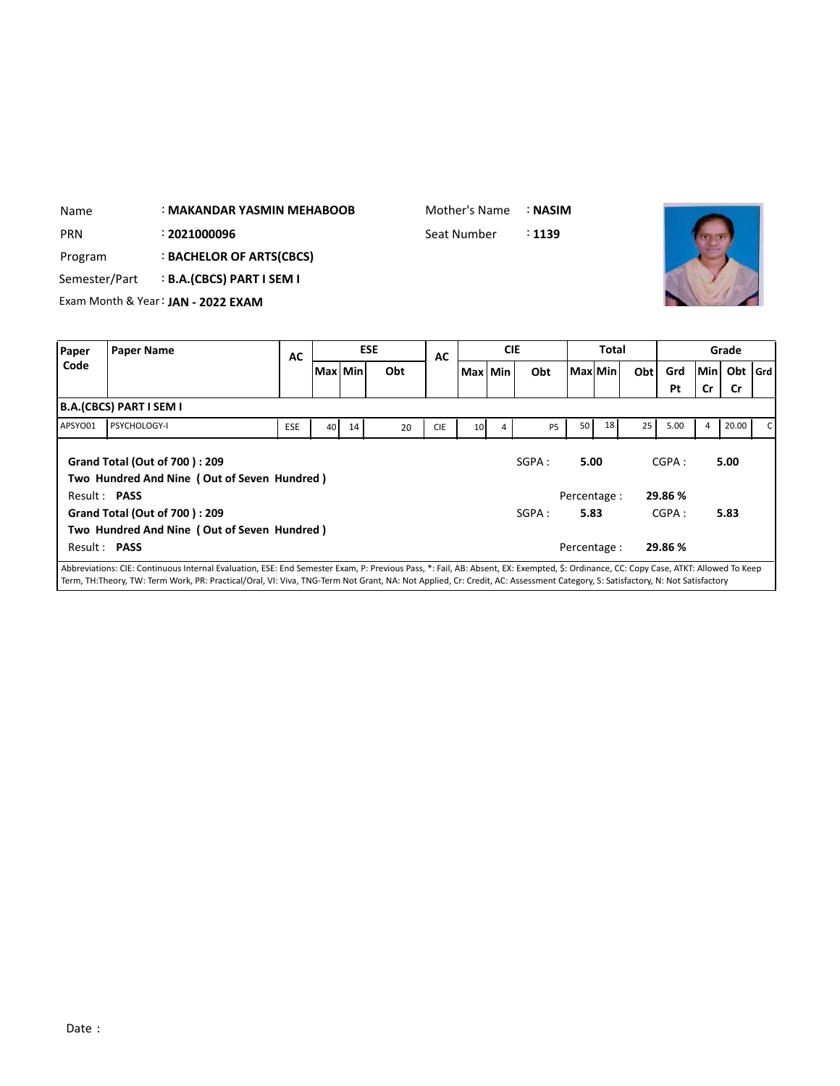| Name          |                         | : MAKANDAR YASMIN MEHABOOB         |           |           |            | Mother's Name |            | : NASIM |              |     |     |     |           |     |
|---------------|-------------------------|------------------------------------|-----------|-----------|------------|---------------|------------|---------|--------------|-----|-----|-----|-----------|-----|
| <b>PRN</b>    |                         | : 2021000096                       |           |           |            | Seat Number   |            | : 1139  |              |     |     |     |           |     |
| Program       |                         | : BACHELOR OF ARTS(CBCS)           |           |           |            |               |            |         |              |     |     |     |           |     |
| Semester/Part |                         | <b>B.A.(CBCS) PART I SEM I</b>     |           |           |            |               |            |         |              |     |     |     |           |     |
|               |                         | Exam Month & Year: JAN - 2022 EXAM |           |           |            |               |            |         |              |     |     |     |           |     |
|               |                         |                                    |           |           |            |               |            |         |              |     |     |     |           |     |
| Paper         | <b>Paper Name</b>       |                                    | <b>AC</b> |           | <b>ESE</b> | AC            | <b>CIE</b> |         | <b>Total</b> |     |     |     | Grade     |     |
| Code          |                         |                                    |           | Max   Min | Obt        |               | Max Min    | Obt     | l Maxl Min l | Obt | Grd | Min | Obt       | Grd |
|               |                         |                                    |           |           |            |               |            |         |              |     | Pt  | Cr  | <b>Cr</b> |     |
|               | B.A.(CBCS) PART I SEM I |                                    |           |           |            |               |            |         |              |     |     |     |           |     |

|                     |                                                                                                                                                                                     |            |    |    |    |            |                 |   |                |                 |    |    | . .     |       |    |
|---------------------|-------------------------------------------------------------------------------------------------------------------------------------------------------------------------------------|------------|----|----|----|------------|-----------------|---|----------------|-----------------|----|----|---------|-------|----|
|                     | <b>B.A.(CBCS) PART I SEM I</b>                                                                                                                                                      |            |    |    |    |            |                 |   |                |                 |    |    |         |       |    |
| APSYO01             | <b>PSYCHOLOGY-I</b>                                                                                                                                                                 | <b>ESE</b> | 40 | 14 | 20 | <b>CIE</b> | 10 <sup>1</sup> | 4 | P <sub>5</sub> | 50 <sub>1</sub> | 18 | 25 | 5.00    | 20.00 | C. |
|                     | Grand Total (Out of 700): 209<br>Two Hundred And Nine (Out of Seven Hundred)                                                                                                        |            |    |    |    |            |                 |   | SGPA:          | 5.00            |    |    | CGPA:   | 5.00  |    |
| Result: <b>PASS</b> |                                                                                                                                                                                     |            |    |    |    |            |                 |   |                | Percentage :    |    |    | 29.86 % |       |    |
|                     | Grand Total (Out of 700): 209                                                                                                                                                       |            |    |    |    |            |                 |   | SGPA:          | 5.83            |    |    | CGPA:   | 5.83  |    |
|                     | Two Hundred And Nine (Out of Seven Hundred)                                                                                                                                         |            |    |    |    |            |                 |   |                |                 |    |    |         |       |    |
| Result: PASS        |                                                                                                                                                                                     |            |    |    |    |            |                 |   |                | Percentage :    |    |    | 29.86 % |       |    |
|                     | Abbreviations: CIE: Continuous Internal Evaluation, ESE: End Semester Exam, P: Previous Pass, *: Fail, AB: Absent, EX: Exempted, S: Ordinance, CC: Copy Case, ATKT: Allowed To Keep |            |    |    |    |            |                 |   |                |                 |    |    |         |       |    |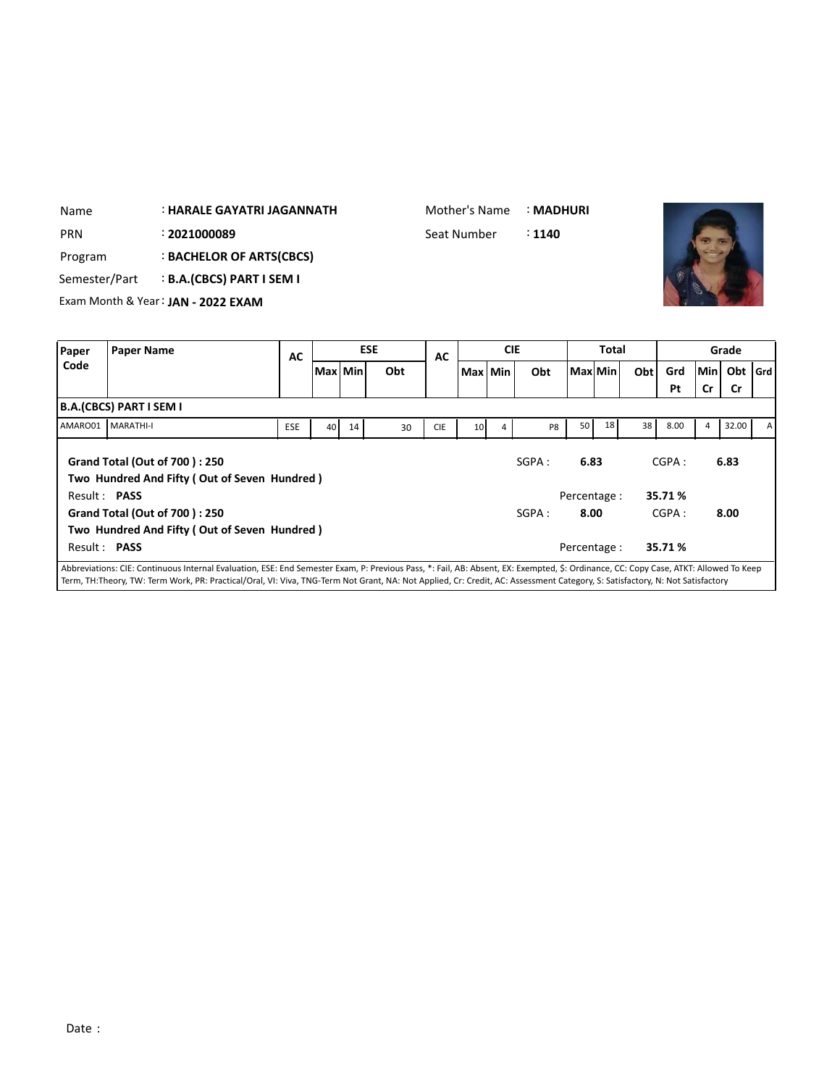| Name          |                         | : HARALE GAYATRI JAGANNATH         |            |           |    |            | Mother's Name |                 |            | : MADHURI         |         |       |     |      |    |         |     |
|---------------|-------------------------|------------------------------------|------------|-----------|----|------------|---------------|-----------------|------------|-------------------|---------|-------|-----|------|----|---------|-----|
| <b>PRN</b>    |                         | : 2021000089                       |            |           |    |            | Seat Number   |                 |            | $\therefore$ 1140 |         |       |     |      |    |         |     |
| Program       |                         | : BACHELOR OF ARTS(CBCS)           |            |           |    |            |               |                 |            |                   |         |       |     |      |    |         |     |
| Semester/Part |                         | <b>B.A.(CBCS) PART I SEM I</b>     |            |           |    |            |               |                 |            |                   |         |       |     |      |    |         |     |
|               |                         | Exam Month & Year: JAN - 2022 EXAM |            |           |    |            |               |                 |            |                   |         |       |     |      |    |         |     |
|               |                         |                                    |            |           |    |            |               |                 |            |                   |         |       |     |      |    |         |     |
|               |                         |                                    |            |           |    |            |               |                 |            |                   |         |       |     |      |    |         |     |
| Paper         | <b>Paper Name</b>       |                                    |            |           |    | <b>ESE</b> |               |                 | <b>CIE</b> |                   |         | Total |     |      |    | Grade   |     |
| Code          |                         |                                    | AC         | Max   Min |    | Obt        | AC            | Max Min         |            | Obt               | Max Min |       | Obt | Grd  |    | Min Obt | Grd |
|               |                         |                                    |            |           |    |            |               |                 |            |                   |         |       |     | Pt   | Cr | Cr      |     |
|               | B.A.(CBCS) PART I SEM I |                                    |            |           |    |            |               |                 |            |                   |         |       |     |      |    |         |     |
| AMARO01       | <b>MARATHI-I</b>        |                                    | <b>ESE</b> | 40        | 14 | 30         | <b>CIE</b>    | 10 <sup>1</sup> | 4          | P <sub>8</sub>    | 50      | 18    | 38  | 8.00 | 4  | 32.00   | А   |

Mother's Name : **MADHURI**

|                     | AMARO01 MARATHI-I                            | <b>ESE</b> | 40 | 14 | 30 | <b>CIE</b> | 10 <sup>1</sup> | 4 | P8    | 50           | 18 | 38 | 8.00    | 4 | 32.00 | $\overline{A}$ |
|---------------------|----------------------------------------------|------------|----|----|----|------------|-----------------|---|-------|--------------|----|----|---------|---|-------|----------------|
|                     | Grand Total (Out of 700): 250                |            |    |    |    |            |                 |   | SGPA: | 6.83         |    |    | CGPA:   |   | 6.83  |                |
|                     | Two Hundred And Fifty (Out of Seven Hundred) |            |    |    |    |            |                 |   |       |              |    |    |         |   |       |                |
| Result: <b>PASS</b> |                                              |            |    |    |    |            |                 |   |       | Percentage : |    |    | 35.71 % |   |       |                |
|                     | Grand Total (Out of 700): 250                |            |    |    |    |            |                 |   | SGPA: | 8.00         |    |    | CGPA:   |   | 8.00  |                |
|                     | Two Hundred And Fifty (Out of Seven Hundred) |            |    |    |    |            |                 |   |       |              |    |    |         |   |       |                |
| Result: <b>PASS</b> |                                              |            |    |    |    |            |                 |   |       | Percentage : |    |    | 35.71 % |   |       |                |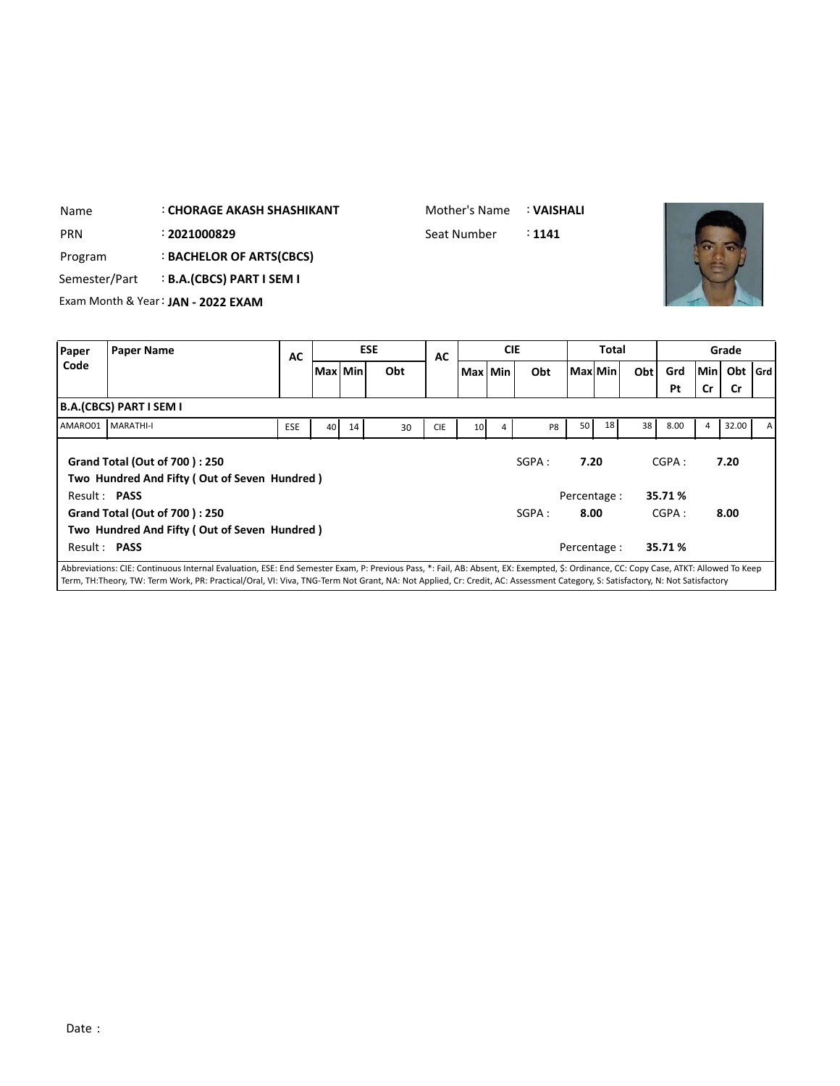| Name       |                                                 | <b>CHORAGE AKASH SHASHIKANT</b>    |           |           |  |            | Mother's Name |            | : VAISHALI |          |              |     |     |            |       |         |
|------------|-------------------------------------------------|------------------------------------|-----------|-----------|--|------------|---------------|------------|------------|----------|--------------|-----|-----|------------|-------|---------|
| <b>PRN</b> | : 2021000829                                    |                                    |           |           |  |            | Seat Number   |            | : 1141     |          |              |     |     |            |       |         |
| Program    | : BACHELOR OF ARTS(CBCS)                        |                                    |           |           |  |            |               |            |            |          |              |     |     |            |       |         |
|            | <b>B.A.(CBCS) PART I SEM I</b><br>Semester/Part |                                    |           |           |  |            |               |            |            |          |              |     |     |            |       |         |
|            |                                                 | Exam Month & Year: JAN - 2022 EXAM |           |           |  |            |               |            |            |          |              |     |     |            |       |         |
|            |                                                 |                                    |           |           |  |            |               |            |            |          |              |     |     |            |       |         |
| Paper      | <b>Paper Name</b>                               |                                    | <b>AC</b> |           |  | <b>ESE</b> | AC            | <b>CIE</b> |            |          | <b>Total</b> |     |     |            | Grade |         |
| Code       |                                                 |                                    |           | Max   Min |  | Obt        |               | Max Min    | Obt        | Maxl Min |              | Obt | Grd | <b>Min</b> | Obt   | l Grd l |
|            |                                                 |                                    |           |           |  |            |               |            |            |          |              |     | Pt  | Cr         | Cr    |         |
|            | B.A.(CBCS) PART I SEM I                         |                                    |           |           |  |            |               |            |            |          |              |     |     |            |       |         |

|              | B.A.(CBCS) PART I SEM I                                                                                                                                                             |            |    |    |    |            |                 |   |        |              |    |    |         |   |       |    |
|--------------|-------------------------------------------------------------------------------------------------------------------------------------------------------------------------------------|------------|----|----|----|------------|-----------------|---|--------|--------------|----|----|---------|---|-------|----|
| AMARO01      | <b>MARATHI-I</b>                                                                                                                                                                    | <b>ESE</b> | 40 | 14 | 30 | <b>CIE</b> | 10 <sup>1</sup> | 4 | P8     | 50           | 18 | 38 | 8.00    | 4 | 32.00 | AI |
|              | <b>Grand Total (Out of 700): 250</b><br>Two Hundred And Fifty (Out of Seven Hundred)                                                                                                |            |    |    |    |            |                 |   | SGPA : | 7.20         |    |    | CGPA:   |   | 7.20  |    |
| Result: PASS |                                                                                                                                                                                     |            |    |    |    |            |                 |   |        | Percentage : |    |    | 35.71 % |   |       |    |
|              | Grand Total (Out of 700): 250                                                                                                                                                       |            |    |    |    |            |                 |   | SGPA:  | 8.00         |    |    | CGPA:   |   | 8.00  |    |
|              | Two Hundred And Fifty (Out of Seven Hundred)                                                                                                                                        |            |    |    |    |            |                 |   |        |              |    |    |         |   |       |    |
| Result: PASS |                                                                                                                                                                                     |            |    |    |    |            |                 |   |        | Percentage : |    |    | 35.71%  |   |       |    |
|              | Abbrovistiance CIE: Continuous Internal Evaluation, ESE: End Compater Evam, D: Drovious Dass, *: Eail, AD: Absont, EV: Evamptod, S: Ordinance, CC: Conv.Case, ATKT: Allowed To Keep |            |    |    |    |            |                 |   |        |              |    |    |         |   |       |    |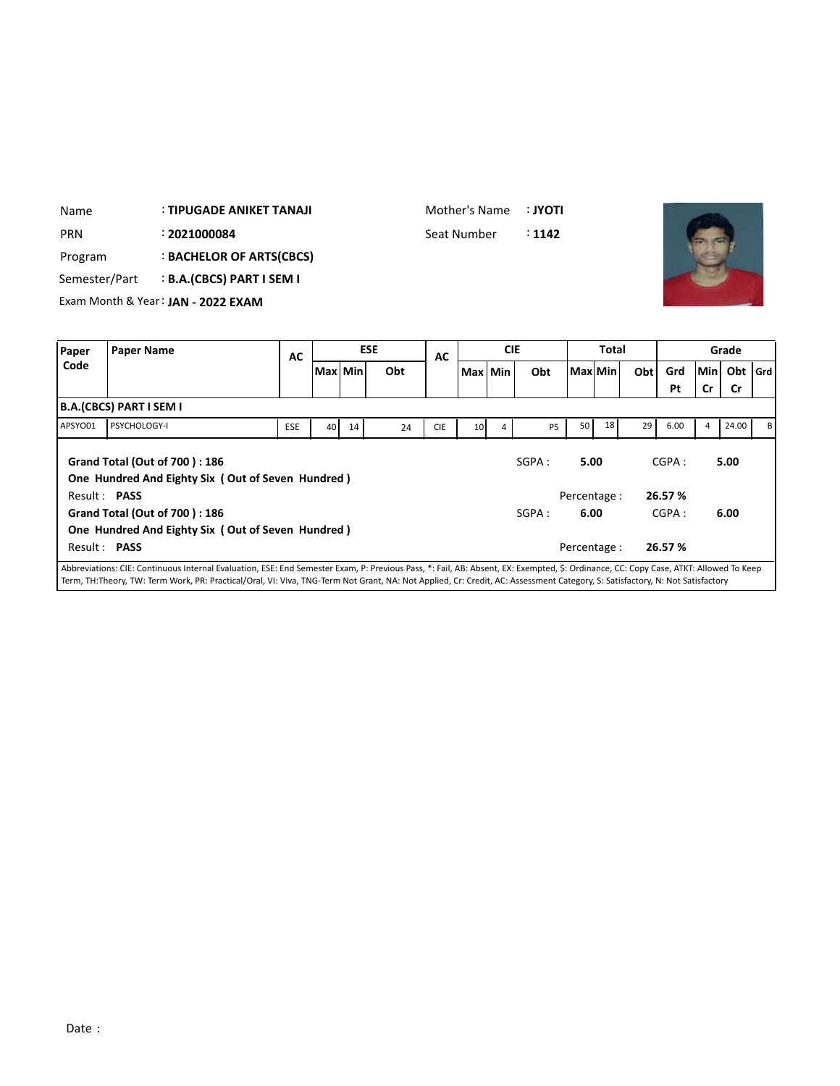| Name          | : TIPUGADE ANIKET TANAJI           | Mother's Name | ∶ ΙΥΟΤΙ           |
|---------------|------------------------------------|---------------|-------------------|
| <b>PRN</b>    | : 2021000084                       | Seat Number   | $\therefore$ 1142 |
| Program       | <b>BACHELOR OF ARTS(CBCS)</b>      |               |                   |
| Semester/Part | <b>B.A.(CBCS) PART I SEM I</b>     |               |                   |
|               | Exam Month & Year: JAN - 2022 EXAM |               |                   |
|               |                                    |               |                   |

| Paper        | <b>Paper Name</b>                                                                                                                                                                    | AC  |           |    | <b>ESE</b> | AC         |                 | <b>CIE</b> |                |      | <b>Total</b> |            |         |        | Grade     |         |
|--------------|--------------------------------------------------------------------------------------------------------------------------------------------------------------------------------------|-----|-----------|----|------------|------------|-----------------|------------|----------------|------|--------------|------------|---------|--------|-----------|---------|
| Code         |                                                                                                                                                                                      |     | Max   Min |    | Obt        |            | Max Min         |            | Obt            |      | Max Min      | <b>Obt</b> | Grd     | lMin l | Obt       | l Grd l |
|              |                                                                                                                                                                                      |     |           |    |            |            |                 |            |                |      |              |            | Pt      | Cr     | <b>Cr</b> |         |
|              | B.A.(CBCS) PART I SEM I                                                                                                                                                              |     |           |    |            |            |                 |            |                |      |              |            |         |        |           |         |
| APSYO01      | PSYCHOLOGY-I                                                                                                                                                                         | ESE | 40        | 14 | 24         | <b>CIE</b> | 10 <sup>1</sup> | 4          | P <sub>5</sub> | 50   | 18           | 29         | 6.00    | 4      | 24.00     | вI      |
|              | Grand Total (Out of 700): 186<br>One Hundred And Eighty Six (Out of Seven Hundred)                                                                                                   |     |           |    |            |            |                 |            | SGPA:          | 5.00 |              |            | CGPA:   |        | 5.00      |         |
| Result: PASS |                                                                                                                                                                                      |     |           |    |            |            |                 |            |                |      | Percentage:  |            | 26.57 % |        |           |         |
|              | Grand Total (Out of 700): 186                                                                                                                                                        |     |           |    |            |            |                 |            | SGPA:          | 6.00 |              |            | CGPA:   |        | 6.00      |         |
|              | One Hundred And Eighty Six (Out of Seven Hundred)                                                                                                                                    |     |           |    |            |            |                 |            |                |      |              |            |         |        |           |         |
| Result: PASS |                                                                                                                                                                                      |     |           |    |            |            |                 |            |                |      | Percentage:  |            | 26.57 % |        |           |         |
|              | Abbreviations: CIE: Continuous Internal Evaluation, ESE: End Semester Exam, P: Previous Pass, *: Fail, AB: Absent, EX: Exempted, \$: Ordinance, CC: Copy Case, ATKT: Allowed To Keep |     |           |    |            |            |                 |            |                |      |              |            |         |        |           |         |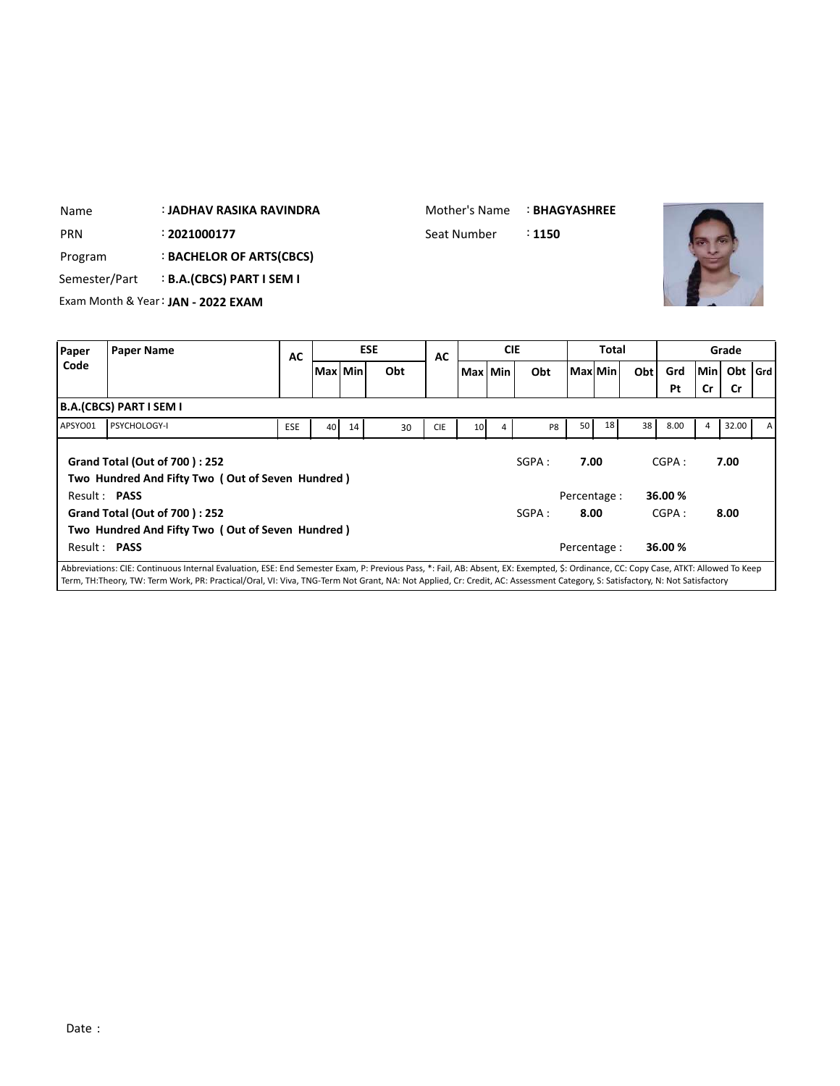| Name          |                         | : JADHAV RASIKA RAVINDRA           |           | Mother's Name   |    |            | <b>: BHAGYASHREE</b> |                 |            |        |              |              |     |      |     |           |       |
|---------------|-------------------------|------------------------------------|-----------|-----------------|----|------------|----------------------|-----------------|------------|--------|--------------|--------------|-----|------|-----|-----------|-------|
| <b>PRN</b>    |                         | : 2021000177                       |           |                 |    |            | Seat Number          |                 |            | : 1150 |              |              |     |      |     |           |       |
| Program       |                         | : BACHELOR OF ARTS(CBCS)           |           |                 |    |            |                      |                 |            |        |              |              |     |      |     |           |       |
| Semester/Part |                         | : B.A.(CBCS) PART I SEM I          |           |                 |    |            |                      |                 |            |        |              |              |     |      |     |           |       |
|               |                         | Exam Month & Year: JAN - 2022 EXAM |           |                 |    |            |                      |                 |            |        |              |              |     |      |     |           |       |
|               |                         |                                    |           |                 |    |            |                      |                 |            |        |              |              |     |      |     |           |       |
| Paper         | <b>Paper Name</b>       |                                    | <b>AC</b> |                 |    | <b>ESE</b> | <b>AC</b>            |                 | <b>CIE</b> |        |              | <b>Total</b> |     |      |     | Grade     |       |
| Code          |                         |                                    |           | Max   Min       |    | Obt        |                      | Max Min         |            | Obt    | l Maxl Min l |              | Obt | Grd  | Min | Obt       | l Grd |
|               |                         |                                    |           |                 |    |            |                      |                 |            |        |              |              |     | Pt   | Cr  | <b>Cr</b> |       |
|               | B.A.(CBCS) PART I SEM I |                                    |           |                 |    |            |                      |                 |            |        |              |              |     |      |     |           |       |
|               |                         |                                    |           |                 |    |            |                      |                 |            |        |              |              |     |      |     |           |       |
| APSYO01       | <b>PSYCHOLOGY-I</b>     |                                    | ESE       | 40 <sub>1</sub> | 14 | 30         | <b>CIE</b>           | 10 <sup>1</sup> | 4          | P8     | 50           | 18           | 38  | 8.00 | 4   | 32.00     | А     |

| I APSYO01           | <b>I PSYCHOLOGY-I</b>                                                                                          | <b>ESE</b> | 40 | 14 | 30 | <b>CIE</b> | 10 <sup>1</sup> | 4 | P8           | 50 I    | 18 | 38 I    | 8.00  | 32.00 | A |
|---------------------|----------------------------------------------------------------------------------------------------------------|------------|----|----|----|------------|-----------------|---|--------------|---------|----|---------|-------|-------|---|
|                     | <b>Grand Total (Out of 700): 252</b>                                                                           |            |    |    |    |            |                 |   | SGPA:        | 7.00    |    |         | CGPA: | 7.00  |   |
|                     | Two Hundred And Fifty Two (Out of Seven Hundred)                                                               |            |    |    |    |            |                 |   |              |         |    |         |       |       |   |
| Result: <b>PASS</b> |                                                                                                                |            |    |    |    |            |                 |   | Percentage : |         |    | 36.00 % |       |       |   |
|                     | Grand Total (Out of 700): 252                                                                                  |            |    |    |    |            |                 |   | SGPA:        | 8.00    |    |         | CGPA: | 8.00  |   |
|                     | Two Hundred And Fifty Two (Out of Seven Hundred)                                                               |            |    |    |    |            |                 |   |              |         |    |         |       |       |   |
| Result: <b>PASS</b> |                                                                                                                |            |    |    |    |            | Percentage :    |   |              | 36.00 % |    |         |       |       |   |
|                     | All the output is the the more than the second and the theory is the contract the three three seconds that the |            |    |    |    |            |                 |   |              |         |    |         |       |       |   |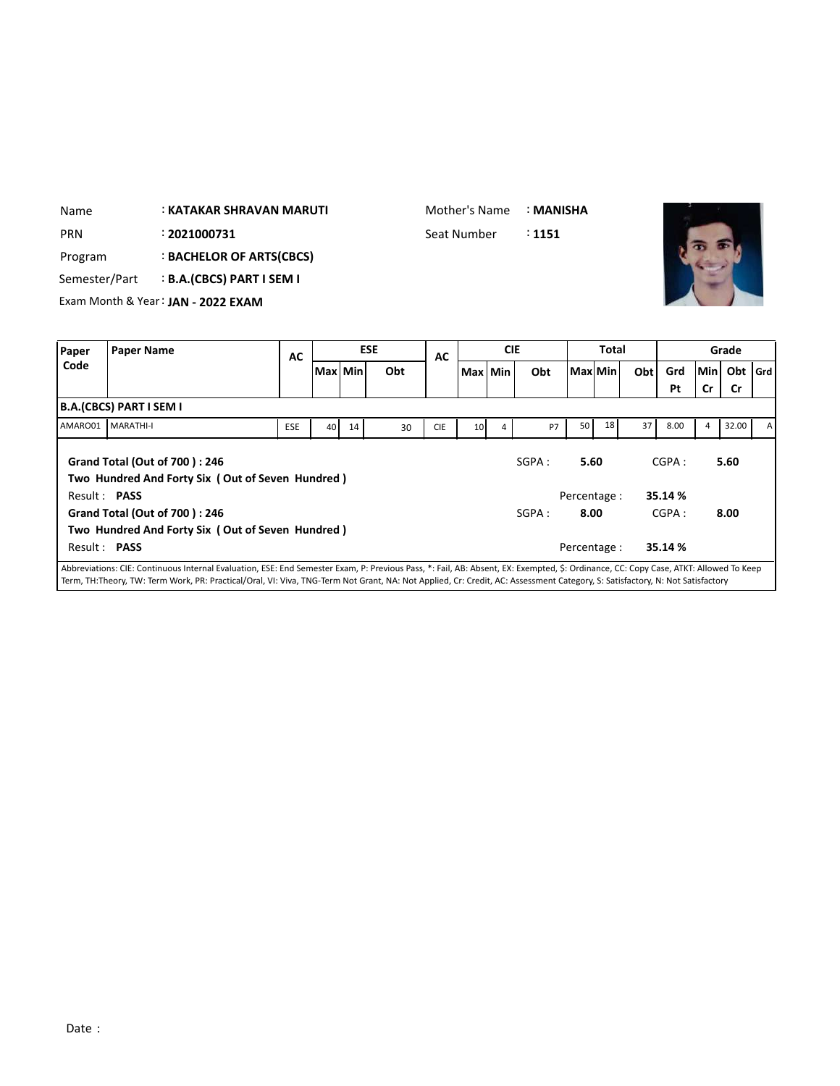| Name                                            |                                    |              | Mother's Name |         |            | : MANISHA |             |            |  |              |         |     |     |       |           |         |
|-------------------------------------------------|------------------------------------|--------------|---------------|---------|------------|-----------|-------------|------------|--|--------------|---------|-----|-----|-------|-----------|---------|
| PRN                                             |                                    | : 2021000731 |               |         |            |           | Seat Number |            |  | : 1151       |         |     |     |       |           |         |
| Program                                         |                                    |              |               |         |            |           |             |            |  |              |         |     |     |       |           |         |
| <b>B.A.(CBCS) PART I SEM I</b><br>Semester/Part |                                    |              |               |         |            |           |             |            |  |              |         |     |     |       |           |         |
|                                                 | Exam Month & Year: JAN - 2022 EXAM |              |               |         |            |           |             |            |  |              |         |     |     |       |           |         |
|                                                 |                                    |              |               |         |            |           |             |            |  |              |         |     |     |       |           |         |
| Paper                                           | <b>Paper Name</b>                  |              |               |         | <b>ESE</b> | AC        |             | <b>CIE</b> |  | <b>Total</b> |         |     |     | Grade |           |         |
| Code                                            |                                    |              |               | Max Min |            | Obt       |             | Max   Min  |  | Obt          | Max Min | Obt | Grd | Min   | Obt       | l Grd l |
|                                                 |                                    |              |               |         |            |           |             |            |  |              |         |     | Pt  | Cr    | <b>Cr</b> |         |

|              |                                                                                          |                                                                                                                                                                                     |       |      |    |            |                 |   |           |              |    |    | Pt      | <b>Cr</b> | .Cr   |              |
|--------------|------------------------------------------------------------------------------------------|-------------------------------------------------------------------------------------------------------------------------------------------------------------------------------------|-------|------|----|------------|-----------------|---|-----------|--------------|----|----|---------|-----------|-------|--------------|
|              | <b>B.A.(CBCS) PART I SEM I</b>                                                           |                                                                                                                                                                                     |       |      |    |            |                 |   |           |              |    |    |         |           |       |              |
| AMARO01      | MARATHI-I                                                                                | <b>ESE</b>                                                                                                                                                                          | 40    | 14   | 30 | <b>CIE</b> | 10 <sup>1</sup> | 4 | <b>P7</b> | 50 l         | 18 | 37 | 8.00    | 4         | 32.00 | $\mathsf{A}$ |
|              | <b>Grand Total (Out of 700): 246</b><br>Two Hundred And Forty Six (Out of Seven Hundred) |                                                                                                                                                                                     | SGPA: | 5.60 |    |            | CGPA:           |   | 5.60      |              |    |    |         |           |       |              |
| Result: PASS |                                                                                          |                                                                                                                                                                                     |       |      |    |            |                 |   |           | Percentage : |    |    | 35.14 % |           |       |              |
|              | <b>Grand Total (Out of 700): 246</b>                                                     |                                                                                                                                                                                     |       |      |    |            |                 |   | SGPA:     | 8.00         |    |    | CGPA:   |           | 8.00  |              |
|              | Two Hundred And Forty Six (Out of Seven Hundred)                                         |                                                                                                                                                                                     |       |      |    |            |                 |   |           |              |    |    |         |           |       |              |
| Result: PASS |                                                                                          |                                                                                                                                                                                     |       |      |    |            |                 |   |           | Percentage : |    |    | 35.14 % |           |       |              |
|              |                                                                                          | Abbreviations: CIE: Continuous Internal Evaluation, ESE: End Semester Exam, P: Previous Pass, *: Fail, AB: Absent, EX: Exempted, S: Ordinance, CC: Copy Case, ATKT: Allowed To Keep |       |      |    |            |                 |   |           |              |    |    |         |           |       |              |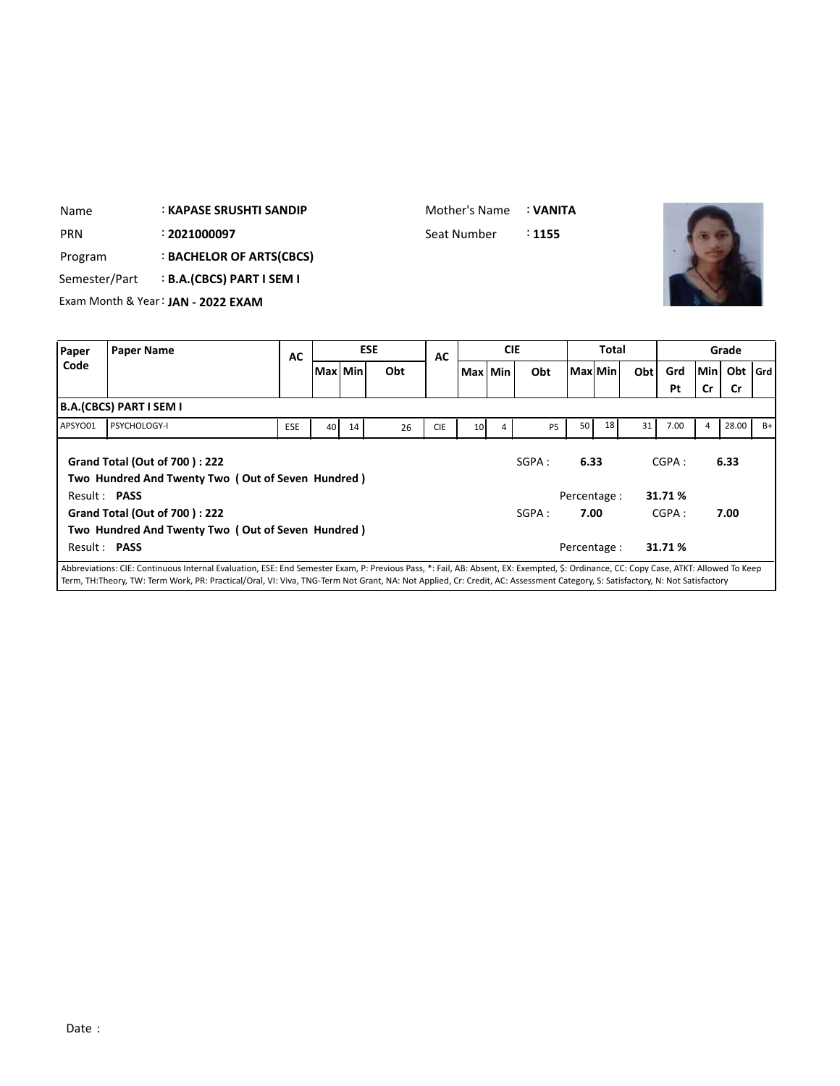| Name          | <b>: KAPASE SRUSHTI SANDIP</b>     |    |                  |     | Mother's Name |                  |            | : VANITA |               |              |     |        |                 |  |
|---------------|------------------------------------|----|------------------|-----|---------------|------------------|------------|----------|---------------|--------------|-----|--------|-----------------|--|
| <b>PRN</b>    | : 2021000097                       |    |                  |     | Seat Number   |                  |            | :1155    |               |              |     |        |                 |  |
| Program       | : BACHELOR OF ARTS(CBCS)           |    |                  |     |               |                  |            |          |               |              |     |        |                 |  |
| Semester/Part | <b>B.A.(CBCS) PART I SEM I</b>     |    |                  |     |               |                  |            |          |               |              |     |        |                 |  |
|               | Exam Month & Year: JAN - 2022 EXAM |    |                  |     |               |                  |            |          |               |              |     |        |                 |  |
|               |                                    |    |                  |     |               |                  |            |          |               |              |     |        |                 |  |
| Paper         | <b>Paper Name</b>                  | AC | <b>ESE</b>       |     | AC            |                  | <b>CIE</b> |          |               | <b>Total</b> |     |        | Grade           |  |
| Code          |                                    |    | <b>BALLIBALL</b> | ALA |               | <b>BALL BALL</b> |            | A1.4     | <b>BALLAR</b> |              | AL. | $\sim$ | والدياه المنقفا |  |

|         |                                                                                                                                                                                      | --         |         |    |     | --         |                 |   |           |                      |    |      |                 |     |           |      |
|---------|--------------------------------------------------------------------------------------------------------------------------------------------------------------------------------------|------------|---------|----|-----|------------|-----------------|---|-----------|----------------------|----|------|-----------------|-----|-----------|------|
| Code    |                                                                                                                                                                                      |            | Max Min |    | Obt |            | Max Min         |   | Obt       | Max Min              |    | Obtl | Grd             | Min | Obt Grd   |      |
|         |                                                                                                                                                                                      |            |         |    |     |            |                 |   |           |                      |    |      | Pt              | Cr  | <b>Cr</b> |      |
|         | B.A.(CBCS) PART I SEM I                                                                                                                                                              |            |         |    |     |            |                 |   |           |                      |    |      |                 |     |           |      |
| APSYO01 | PSYCHOLOGY-I                                                                                                                                                                         | <b>ESE</b> | 40      | 14 | 26  | <b>CIE</b> | 10 <sup>1</sup> | 4 | <b>P5</b> | 50                   | 18 | 31   | 7.00            | 4   | 28.00     | $B+$ |
|         | <b>Grand Total (Out of 700): 222</b><br>Two Hundred And Twenty Two (Out of Seven Hundred)                                                                                            |            |         |    |     |            |                 |   | SGPA:     | 6.33                 |    |      | CGPA:           |     | 6.33      |      |
|         | Result: PASS<br><b>Grand Total (Out of 700): 222</b><br>Two Hundred And Twenty Two (Out of Seven Hundred)                                                                            |            |         |    |     |            |                 |   | SGPA:     | Percentage :<br>7.00 |    |      | 31.71%<br>CGPA: |     | 7.00      |      |
|         | Result: PASS                                                                                                                                                                         |            |         |    |     |            |                 |   |           | Percentage :         |    |      | 31.71%          |     |           |      |
|         | Abbreviations: CIE: Continuous Internal Evaluation, ESE: End Semester Exam, P: Previous Pass, *: Fail, AB: Absent, EX: Exempted, \$: Ordinance, CC: Copy Case, ATKT: Allowed To Keep |            |         |    |     |            |                 |   |           |                      |    |      |                 |     |           |      |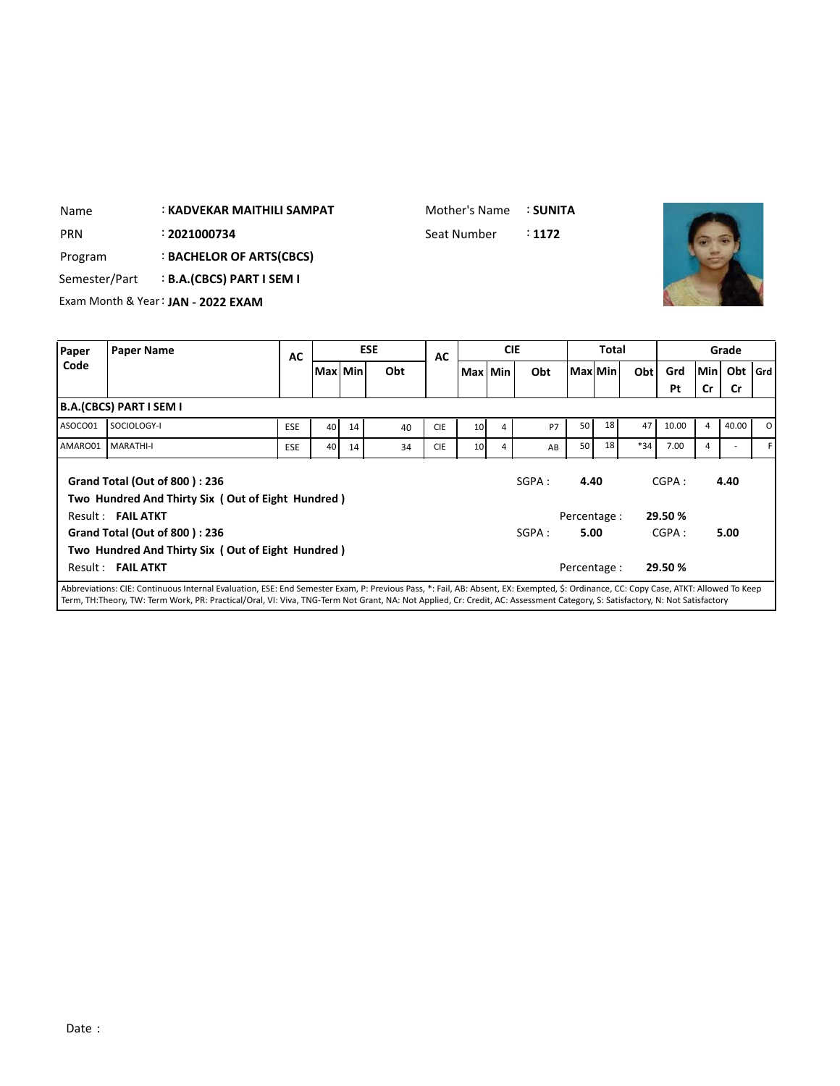| Name          | <b>: KADVEKAR MAITHILI SAMPAT</b>  | Mother's Name | : SUNITA |  |
|---------------|------------------------------------|---------------|----------|--|
| <b>PRN</b>    | : 2021000734                       | Seat Number   | : 1172   |  |
| Program       | <b>BACHELOR OF ARTS(CBCS)</b>      |               |          |  |
| Semester/Part | <b>B.A.(CBCS) PART I SEM I</b>     |               |          |  |
|               | Exam Month & Year: JAN - 2022 EXAM |               |          |  |

| Paper   | <b>Paper Name</b>                                                                                                                                                                    | <b>AC</b>  |           |    | <b>ESE</b> | AC         |                 | <b>CIE</b> |        |                 | <b>Total</b> |       |         |        | Grade |         |
|---------|--------------------------------------------------------------------------------------------------------------------------------------------------------------------------------------|------------|-----------|----|------------|------------|-----------------|------------|--------|-----------------|--------------|-------|---------|--------|-------|---------|
| Code    |                                                                                                                                                                                      |            | Max   Min |    | Obt        |            | Max Min         |            | Obt    | Max Min         |              | Obt   | Grd     | lMin l | Obt   | l Grd l |
|         |                                                                                                                                                                                      |            |           |    |            |            |                 |            |        |                 |              |       | Pt      | Cr     | Cr    |         |
|         | <b>B.A.(CBCS) PART I SEM I</b>                                                                                                                                                       |            |           |    |            |            |                 |            |        |                 |              |       |         |        |       |         |
| ASOCO01 | SOCIOLOGY-I                                                                                                                                                                          | <b>ESE</b> | 40        | 14 | 40         | <b>CIE</b> | 10 <sup>1</sup> | 4          | P7     | 50 <sub>1</sub> | 18           | 47    | 10.00   | 4      | 40.00 | ΩI      |
| AMARO01 | <b>MARATHI-I</b>                                                                                                                                                                     | <b>ESE</b> | 40        | 14 | 34         | <b>CIE</b> | 10              | 4          | AB     | 50              | 18           | $*34$ | 7.00    | 4      |       | F.      |
|         | Grand Total (Out of 800): 236<br>Two Hundred And Thirty Six (Out of Eight Hundred)                                                                                                   |            |           |    |            |            |                 |            | SGPA : | 4.40            |              |       | CGPA:   |        | 4.40  |         |
|         | Result: FAIL ATKT                                                                                                                                                                    |            |           |    |            |            |                 |            |        | Percentage :    |              |       | 29.50 % |        |       |         |
|         | <b>Grand Total (Out of 800): 236</b>                                                                                                                                                 |            |           |    |            |            |                 |            | SGPA : | 5.00            |              |       | CGPA:   |        | 5.00  |         |
|         | Two Hundred And Thirty Six (Out of Eight Hundred)                                                                                                                                    |            |           |    |            |            |                 |            |        |                 |              |       |         |        |       |         |
|         | Result: FAIL ATKT                                                                                                                                                                    |            |           |    |            |            |                 |            |        | Percentage :    |              |       | 29.50 % |        |       |         |
|         | Abbreviations: CIE: Continuous Internal Evaluation, ESE: End Semester Evam, D: Drevious Dass, *: Eail, AR: Absent, EV: Exempted, S: Ordinance, CC: Conv. Case, ATKT: Allowed To Keep |            |           |    |            |            |                 |            |        |                 |              |       |         |        |       |         |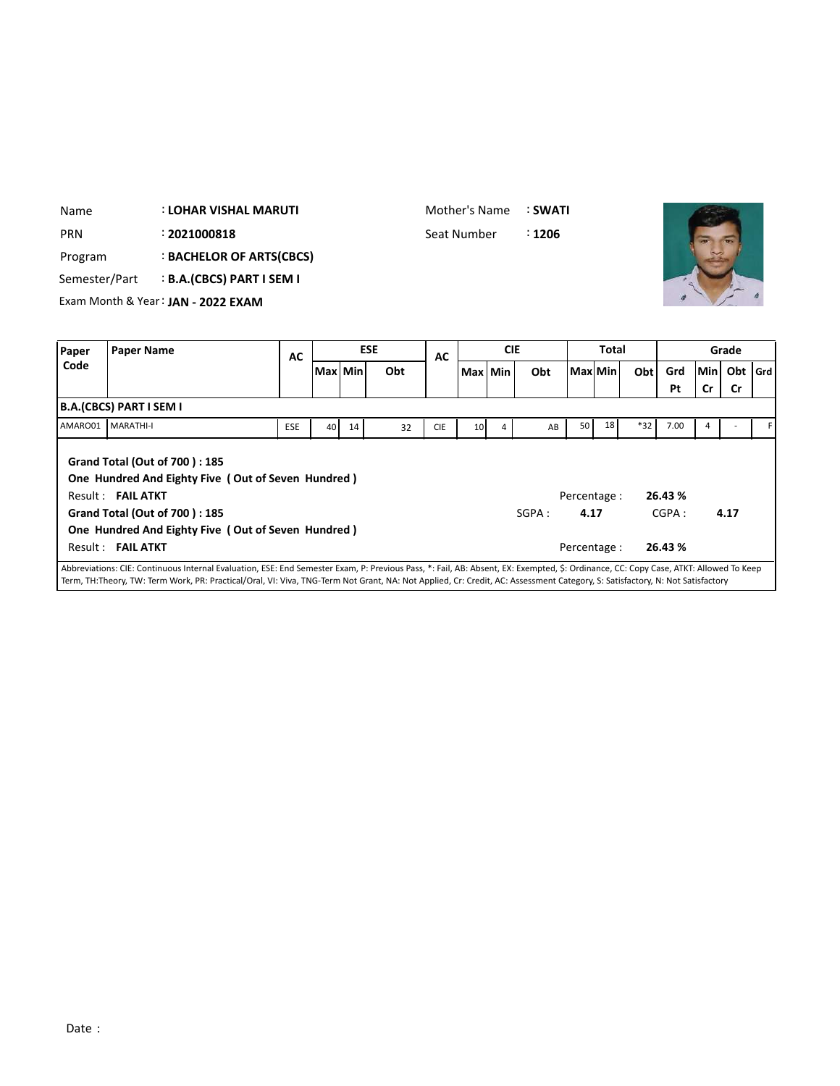| <b>PRN</b><br>Program<br>Semester/Part |                                        | : 2021000818<br>: BACHELOR OF ARTS(CBCS)<br><b>B.A.(CBCS) PART I SEM I</b><br>Exam Month & Year: JAN - 2022 EXAM                                                                         |            |    |         |            | Seat Number |    |            | : 1206 |                                      |          |       |                            |     |           |     |
|----------------------------------------|----------------------------------------|------------------------------------------------------------------------------------------------------------------------------------------------------------------------------------------|------------|----|---------|------------|-------------|----|------------|--------|--------------------------------------|----------|-------|----------------------------|-----|-----------|-----|
| Paper                                  | <b>Paper Name</b>                      |                                                                                                                                                                                          | <b>AC</b>  |    |         | <b>ESE</b> | <b>AC</b>   |    | <b>CIE</b> |        |                                      | Total    |       |                            |     | Grade     |     |
| Code                                   |                                        |                                                                                                                                                                                          |            |    | Max Min | Obt        |             |    | Max Min    | Obt    |                                      | Max  Min | Obt   | Grd                        | Min | Obt       | Grd |
|                                        | <b>B.A.(CBCS) PART I SEM I</b>         |                                                                                                                                                                                          |            |    |         |            |             |    |            |        |                                      |          |       | Pt                         | Cr  | <b>Cr</b> |     |
| AMARO01                                | MARATHI-I                              |                                                                                                                                                                                          | <b>ESE</b> | 40 | 14      | 32         | <b>CIE</b>  | 10 | 4          | AB     | 50                                   | 18       | $*32$ | 7.00                       | 4   |           |     |
|                                        | Result: FAIL ATKT<br>Result: FAIL ATKT | <b>Grand Total (Out of 700): 185</b><br>One Hundred And Eighty Five (Out of Seven Hundred)<br><b>Grand Total (Out of 700): 185</b><br>One Hundred And Eighty Five (Out of Seven Hundred) |            |    |         |            |             |    |            | SGPA:  | Percentage :<br>4.17<br>Percentage : |          |       | 26.43%<br>CGPA:<br>26.43 % |     | 4.17      |     |

: **LOHAR VISHAL MARUTI**

Name

Mother's Name : **SWATI**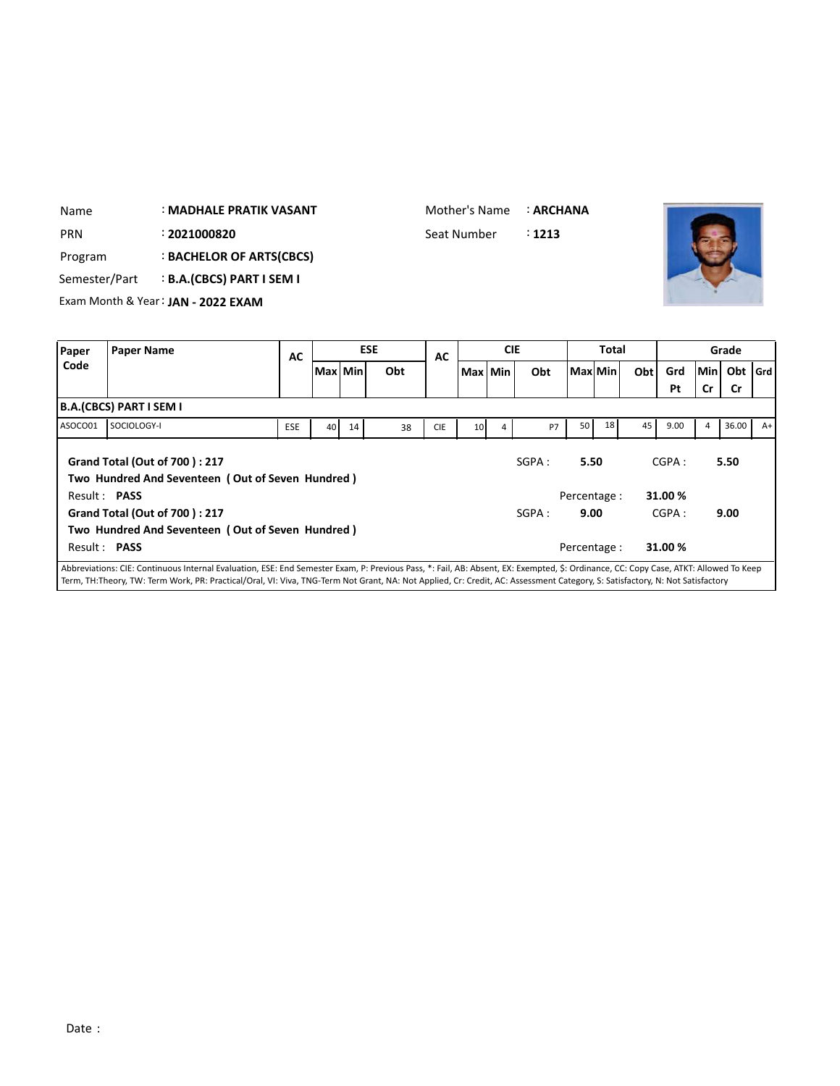| : MADHALE PRATIK VASANT<br>Name |                   |                                    |           |           |  |            | Mother's Name |            | : ARCHANA   |              |     |           |             |               |  |
|---------------------------------|-------------------|------------------------------------|-----------|-----------|--|------------|---------------|------------|-------------|--------------|-----|-----------|-------------|---------------|--|
| <b>PRN</b>                      |                   | : 2021000820                       |           |           |  |            | Seat Number   |            | $\div$ 1213 |              |     |           |             |               |  |
| Program                         |                   | : BACHELOR OF ARTS(CBCS)           |           |           |  |            |               |            |             |              |     |           |             |               |  |
| Semester/Part                   |                   | <b>B.A.(CBCS) PART I SEM I</b>     |           |           |  |            |               |            |             |              |     |           |             |               |  |
|                                 |                   | Exam Month & Year: JAN - 2022 EXAM |           |           |  |            |               |            |             |              |     |           |             |               |  |
|                                 |                   |                                    |           |           |  |            |               |            |             |              |     |           |             |               |  |
| Paper                           | <b>Paper Name</b> |                                    | <b>AC</b> |           |  | <b>ESE</b> | <b>AC</b>     | <b>CIE</b> |             | <b>Total</b> |     |           |             | Grade         |  |
| Code                            |                   |                                    |           | Max   Min |  | Obt        |               | Max Min    | Obt         | l Maxl Min l | Obt | Grd<br>Pt | lMinl<br>Cr | Obt Grd<br>Cr |  |

| <b>Grand Total (Out of 700): 217</b>                                                                                                                                                 | SGPA : | 5.50         | CGPA:   | 5.50 |
|--------------------------------------------------------------------------------------------------------------------------------------------------------------------------------------|--------|--------------|---------|------|
| Two Hundred And Seventeen (Out of Seven Hundred)                                                                                                                                     |        |              |         |      |
| Result: PASS                                                                                                                                                                         |        | Percentage:  | 31.00 % |      |
| <b>Grand Total (Out of 700): 217</b>                                                                                                                                                 | SGPA : | 9.00         | CGPA:   | 9.00 |
| Two Hundred And Seventeen (Out of Seven Hundred)                                                                                                                                     |        |              |         |      |
| Result: PASS                                                                                                                                                                         |        | Percentage : | 31.00%  |      |
| Abbreviations: CIE: Continuous Internal Evaluation, ESE: End Semester Exam, P: Previous Pass, *: Fail, AB: Absent, EX: Exempted, \$: Ordinance, CC: Copy Case, ATKT: Allowed To Keep |        |              |         |      |

ASOCO01 SOCIOLOGY-I | ESE | 40 14 38 CIE | 10 4 P7 50 18 45 9.00 4 36.00 A+

Abbreviations: CIE: Continuous Internal Evaluation, ESE: End Semester Exam, P: Previous Pass, \*: Fail, AB: Absent, EX: Exempted, \$: Ordinance, CC: Copy Case, ATKT: Allowed To Keep Term, TH:Theory, TW: Term Work, PR: Practical/Oral, VI: Viva, TNG-Term Not Grant, NA: Not Applied, Cr: Credit, AC: Assessment Category, S: Satisfactory, N: Not Satisfactory

**B.A.(CBCS) PART I SEM I**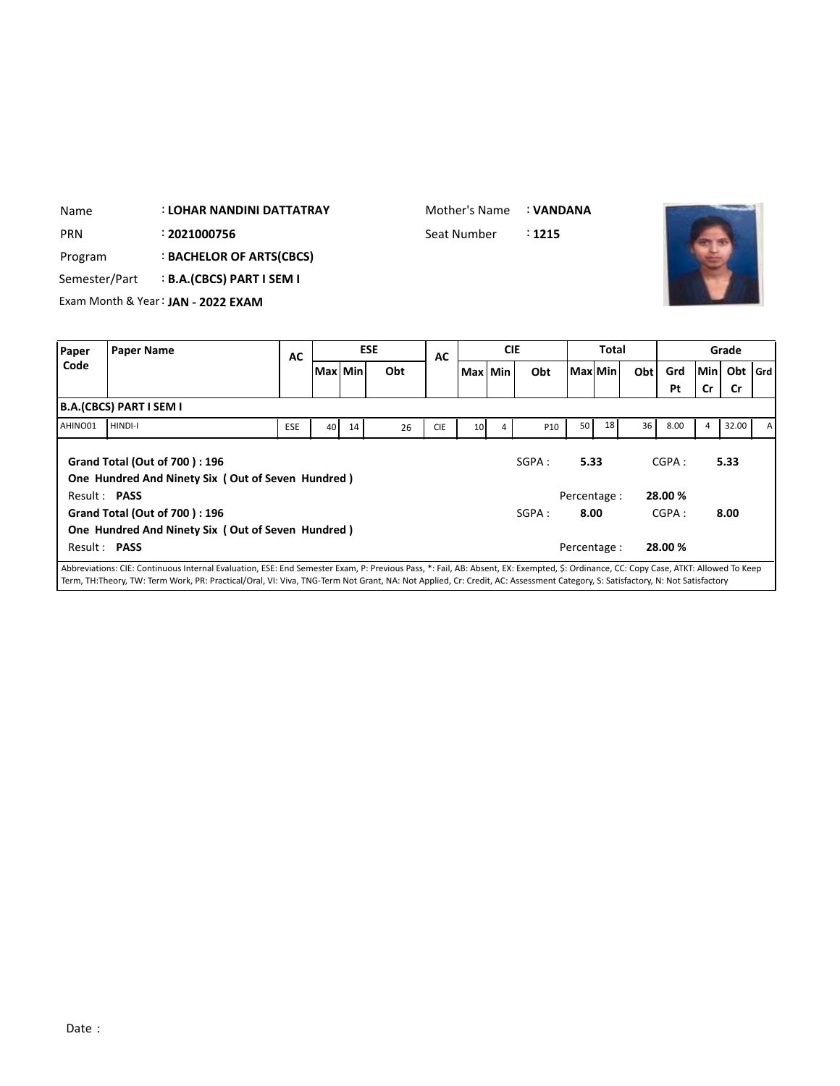| Name          | <b>: LOHAR NANDINI DATTATRAY</b>   | Mother's Name | : VANDANA |  |
|---------------|------------------------------------|---------------|-----------|--|
| <b>PRN</b>    | : 2021000756                       | Seat Number   | : 1215    |  |
| Program       | <b>BACHELOR OF ARTS(CBCS)</b>      |               |           |  |
| Semester/Part | <b>B.A.(CBCS) PART I SEM I</b>     |               |           |  |
|               | Exam Month & Year: JAN - 2022 EXAM |               |           |  |
|               |                                    |               |           |  |

| Paper        | <b>Paper Name</b>                                                                                                                                                                    | AC         |           |    | <b>ESE</b> | AC         |    | <b>CIE</b> |       |      | <b>Total</b> |     |         |     | Grade     |              |
|--------------|--------------------------------------------------------------------------------------------------------------------------------------------------------------------------------------|------------|-----------|----|------------|------------|----|------------|-------|------|--------------|-----|---------|-----|-----------|--------------|
| Code         |                                                                                                                                                                                      |            | Max   Min |    | Obt        |            |    | Max Min    | Obt   |      | Maxl Min     | Obt | Grd     | Min | Obt   Grd |              |
|              |                                                                                                                                                                                      |            |           |    |            |            |    |            |       |      |              |     | Pt      | Cr  | Cr        |              |
|              | <b>B.A.(CBCS) PART I SEM I</b>                                                                                                                                                       |            |           |    |            |            |    |            |       |      |              |     |         |     |           |              |
| AHINO01      | HINDI-I                                                                                                                                                                              | <b>ESE</b> | 40        | 14 | 26         | <b>CIE</b> | 10 | 4          | P10   | 50   | 18           | 36  | 8.00    | 4   | 32.00     | $\mathsf{A}$ |
|              | Grand Total (Out of 700): 196<br>One Hundred And Ninety Six (Out of Seven Hundred)                                                                                                   |            |           |    |            |            |    |            | SGPA: | 5.33 |              |     | CGPA:   |     | 5.33      |              |
| Result: PASS |                                                                                                                                                                                      |            |           |    |            |            |    |            |       |      | Percentage : |     | 28.00 % |     |           |              |
|              | Grand Total (Out of 700): 196                                                                                                                                                        |            |           |    |            |            |    |            | SGPA: | 8.00 |              |     | CGPA:   |     | 8.00      |              |
|              | One Hundred And Ninety Six (Out of Seven Hundred)                                                                                                                                    |            |           |    |            |            |    |            |       |      |              |     |         |     |           |              |
| Result: PASS |                                                                                                                                                                                      |            |           |    |            |            |    |            |       |      | Percentage : |     | 28.00 % |     |           |              |
|              | Abbreviations: CIE: Continuous Internal Evaluation, ESE: End Semester Exam, P: Previous Pass, *: Fail, AB: Absent, EX: Exempted, \$: Ordinance, CC: Copy Case, ATKT: Allowed To Keep |            |           |    |            |            |    |            |       |      |              |     |         |     |           |              |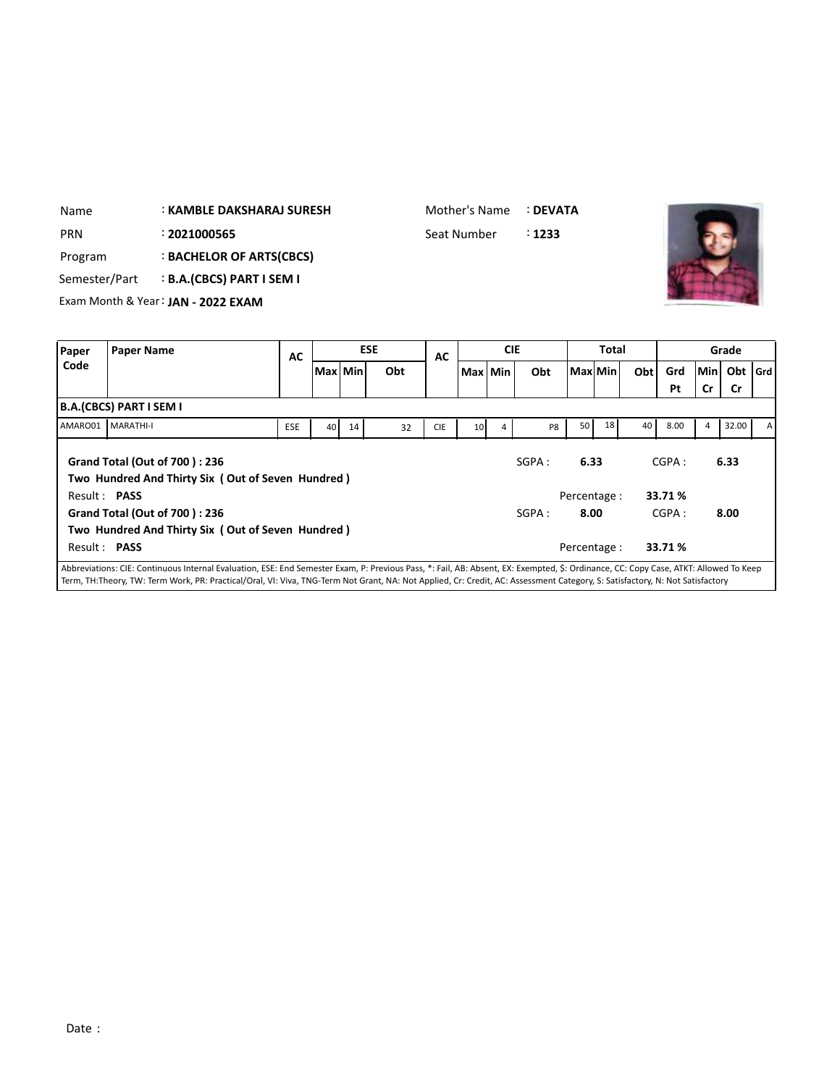| Name          |                   | : KAMBLE DAKSHARAJ SURESH          |    |         |            |     | Mother's Name |         | : DEVATA |         |       |     |     |           |  |
|---------------|-------------------|------------------------------------|----|---------|------------|-----|---------------|---------|----------|---------|-------|-----|-----|-----------|--|
| <b>PRN</b>    |                   | : 2021000565                       |    |         |            |     | Seat Number   |         | : 1233   |         |       |     |     |           |  |
| Program       |                   | : BACHELOR OF ARTS(CBCS)           |    |         |            |     |               |         |          |         |       |     |     |           |  |
| Semester/Part |                   | <b>B.A.(CBCS) PART I SEM I</b>     |    |         |            |     |               |         |          |         |       |     |     |           |  |
|               |                   | Exam Month & Year: JAN - 2022 EXAM |    |         |            |     |               |         |          |         |       |     |     |           |  |
|               |                   |                                    |    |         |            |     |               |         |          |         |       |     |     |           |  |
| Paper         | <b>Paper Name</b> | <b>ESE</b>                         |    | AC      | <b>CIE</b> |     | <b>Total</b>  |         |          |         | Grade |     |     |           |  |
| Code          |                   |                                    | AC | Max Min |            | Obt |               | Max Min | Obt      | Max Min | Obt   | Grd | Min | Obt $ G $ |  |

**Pt Cr Cr**

SGPA : **6.33** CGPA : **6.33**

**Grd**

Result : **PASS** Percentage : **33.71 % Grand Total (Out of 700 ) : 236 Two Hundred And Thirty Six ( Out of Seven Hundred )** Result : **PASS** Percentage : **33.71 %** SGPA : **8.00** CGPA : **8.00** Abbreviations: CIE: Continuous Internal Evaluation, ESE: End Semester Exam, P: Previous Pass, \*: Fail, AB: Absent, EX: Exempted, \$: Ordinance, CC: Copy Case, ATKT: Allowed To Keep

AMARO01 |MARATHI-I | ESE | 40 | 14 | 32 | CIE | 10 | 4 | P8 | 50 | 18 | 40 | 8.00 | 4 | 32.00 | A

Term, TH:Theory, TW: Term Work, PR: Practical/Oral, VI: Viva, TNG-Term Not Grant, NA: Not Applied, Cr: Credit, AC: Assessment Category, S: Satisfactory, N: Not Satisfactory

**B.A.(CBCS) PART I SEM I**

**Grand Total (Out of 700 ) : 236**

**Two Hundred And Thirty Six ( Out of Seven Hundred )**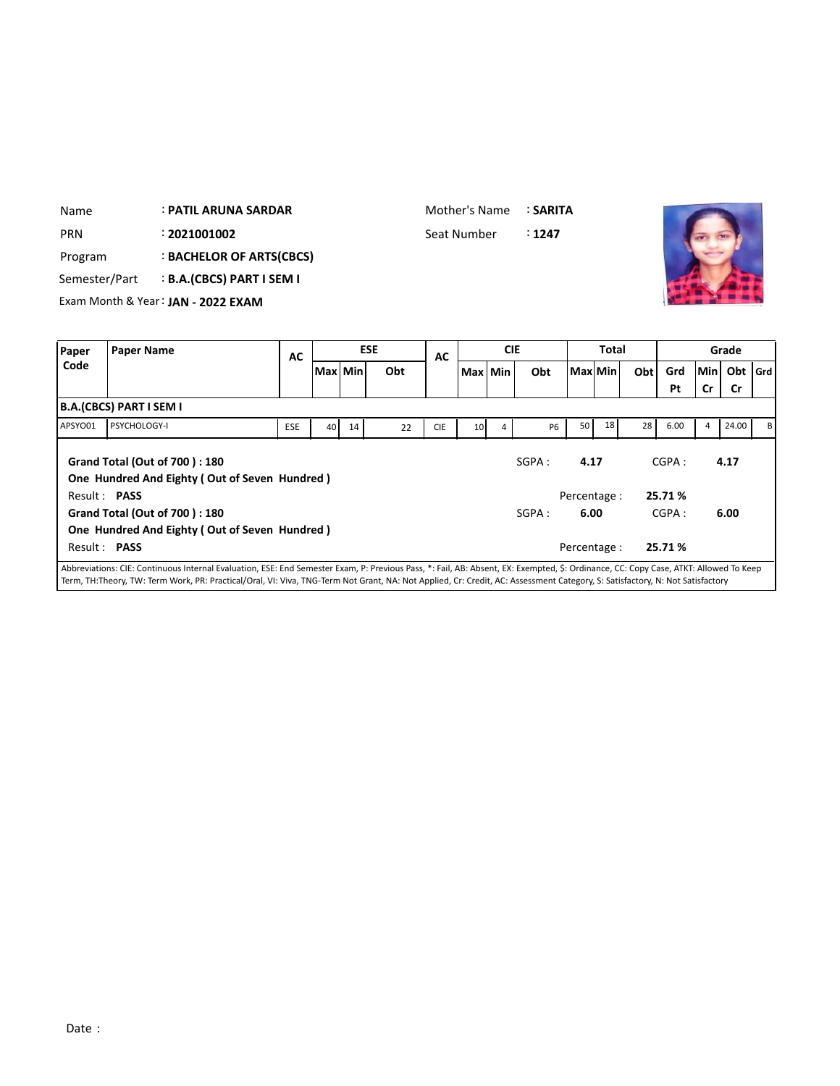| Name          |                         | <b>: PATIL ARUNA SARDAR</b>        |     |    |           |            | Mother's Name |         |                | : SARITA  |                 |                 |     |      |     |           |       |
|---------------|-------------------------|------------------------------------|-----|----|-----------|------------|---------------|---------|----------------|-----------|-----------------|-----------------|-----|------|-----|-----------|-------|
| <b>PRN</b>    |                         | : 2021001002                       |     |    |           |            | Seat Number   |         |                | : 1247    |                 |                 |     |      |     |           |       |
| Program       |                         | : BACHELOR OF ARTS(CBCS)           |     |    |           |            |               |         |                |           |                 |                 |     |      |     |           |       |
| Semester/Part |                         | <b>B.A.(CBCS) PART I SEM I</b>     |     |    |           |            |               |         |                |           |                 |                 |     |      |     |           |       |
|               |                         | Exam Month & Year: JAN - 2022 EXAM |     |    |           |            |               |         |                |           |                 |                 |     |      |     |           |       |
|               |                         |                                    |     |    |           |            |               |         |                |           |                 |                 |     |      |     |           |       |
| Paper         | <b>Paper Name</b>       |                                    | AC  |    |           | <b>ESE</b> | AC            |         | <b>CIE</b>     |           |                 | <b>Total</b>    |     |      |     | Grade     |       |
| Code          |                         |                                    |     |    | Max   Min | Obt        |               | Max Min |                | Obt       | Max  Min        |                 | Obt | Grd  | Min | Obt       | l Grd |
|               |                         |                                    |     |    |           |            |               |         |                |           |                 |                 |     | Pt   | Cr  | <b>Cr</b> |       |
|               | B.A.(CBCS) PART I SEM I |                                    |     |    |           |            |               |         |                |           |                 |                 |     |      |     |           |       |
| APSYO01       | <b>PSYCHOLOGY-I</b>     |                                    | ESE | 40 | 14        | 22         | <b>CIE</b>    | 10      | $\overline{a}$ | <b>P6</b> | 50 <sub>1</sub> | 18 <sup>1</sup> | 28  | 6.00 | 4   | 24.00     | B     |

APSYO01 PSYCHOLOGY-I ESE 40 14 22 CIE 10 4 P6 50 18 28 6.00 4 24.00 B **Grand Total (Out of 700 ) : 180 One Hundred And Eighty ( Out of Seven Hundred )** Result : **PASS** Percentage : **25.71 %** SGPA: **4.17** CGPA: **4.17 Grand Total (Out of 700 ) : 180 One Hundred And Eighty ( Out of Seven Hundred )** Result : **PASS** Percentage : **25.71 %** SGPA : **6.00** CGPA : **6.00**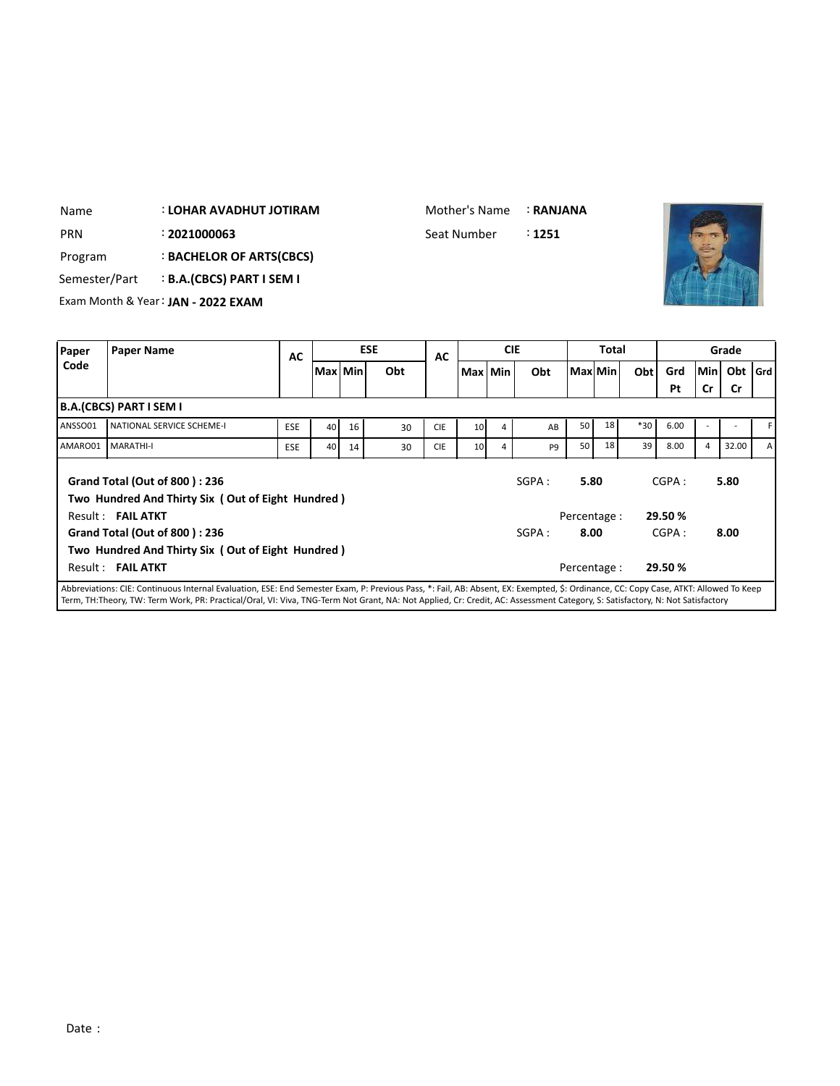| Name          | : LOHAR AVADHUT JOTIRAM            |    |            |    | Mother's Name<br>: RANJANA       |              |       |
|---------------|------------------------------------|----|------------|----|----------------------------------|--------------|-------|
| <b>PRN</b>    | : 2021000063                       |    |            |    | Seat Number<br>$\therefore$ 1251 |              |       |
| Program       | : BACHELOR OF ARTS(CBCS)           |    |            |    |                                  |              |       |
| Semester/Part | <b>B.A.(CBCS) PART I SEM I</b>     |    |            |    |                                  |              |       |
|               | Exam Month & Year: JAN - 2022 EXAM |    |            |    |                                  |              |       |
|               |                                    |    |            |    |                                  |              |       |
| Paper         | Paper Name                         | AC | <b>ESE</b> | AC | <b>CIE</b>                       | <b>Total</b> | Grade |
|               |                                    |    |            |    |                                  |              |       |

| Paper   | <b>Paper Name</b>                                                                                                                                                                     | <b>AC</b>  |         |    | <b>ESE</b> | AC         |         | <b>CIE</b> |                |             | Total |       |         |        | Grade     |              |
|---------|---------------------------------------------------------------------------------------------------------------------------------------------------------------------------------------|------------|---------|----|------------|------------|---------|------------|----------------|-------------|-------|-------|---------|--------|-----------|--------------|
| Code    |                                                                                                                                                                                       |            | Max Min |    | Obt        |            | Max Min |            | Obt            | MaxlMin     |       | Obt   | Grd     | lMin l | Obt   Grd |              |
|         |                                                                                                                                                                                       |            |         |    |            |            |         |            |                |             |       |       | Pt      | Cr     | Cr        |              |
|         | B.A.(CBCS) PART I SEM I                                                                                                                                                               |            |         |    |            |            |         |            |                |             |       |       |         |        |           |              |
| ANSSO01 | NATIONAL SERVICE SCHEME-I                                                                                                                                                             | <b>ESE</b> | 40      | 16 | 30         | <b>CIE</b> | 10      | 4          | AB             | 50          | 18    | $*30$ | 6.00    |        |           |              |
| AMARO01 | <b>MARATHI-I</b>                                                                                                                                                                      | <b>ESE</b> | 40      | 14 | 30         | <b>CIE</b> | 10      | 4          | P <sub>9</sub> | 50          | 18    | 39    | 8.00    | 4      | 32.00     | $\mathsf{A}$ |
|         | Grand Total (Out of 800): 236<br>Two Hundred And Thirty Six (Out of Eight Hundred)                                                                                                    |            |         |    |            |            |         |            | SGPA:          | 5.80        |       |       | CGPA:   |        | 5.80      |              |
|         | Result: FAIL ATKT                                                                                                                                                                     |            |         |    |            |            |         |            |                | Percentage: |       |       | 29.50 % |        |           |              |
|         | Grand Total (Out of 800): 236                                                                                                                                                         |            |         |    |            |            |         |            | SGPA:          | 8.00        |       |       | CGPA:   |        | 8.00      |              |
|         | Two Hundred And Thirty Six (Out of Eight Hundred)                                                                                                                                     |            |         |    |            |            |         |            |                |             |       |       |         |        |           |              |
|         | Result: FAIL ATKT                                                                                                                                                                     |            |         |    |            |            |         |            |                | Percentage: |       |       | 29.50 % |        |           |              |
|         | Abbroidations: CIE: Continuous Internal Evaluation. ECE: End Compater Evam. D: Dravious Dass. *: Eail. AD: Aboast. EV: Evampted. C: Ordinance. CC: Copy: Case, ATI/T: Allowed To Keep |            |         |    |            |            |         |            |                |             |       |       |         |        |           |              |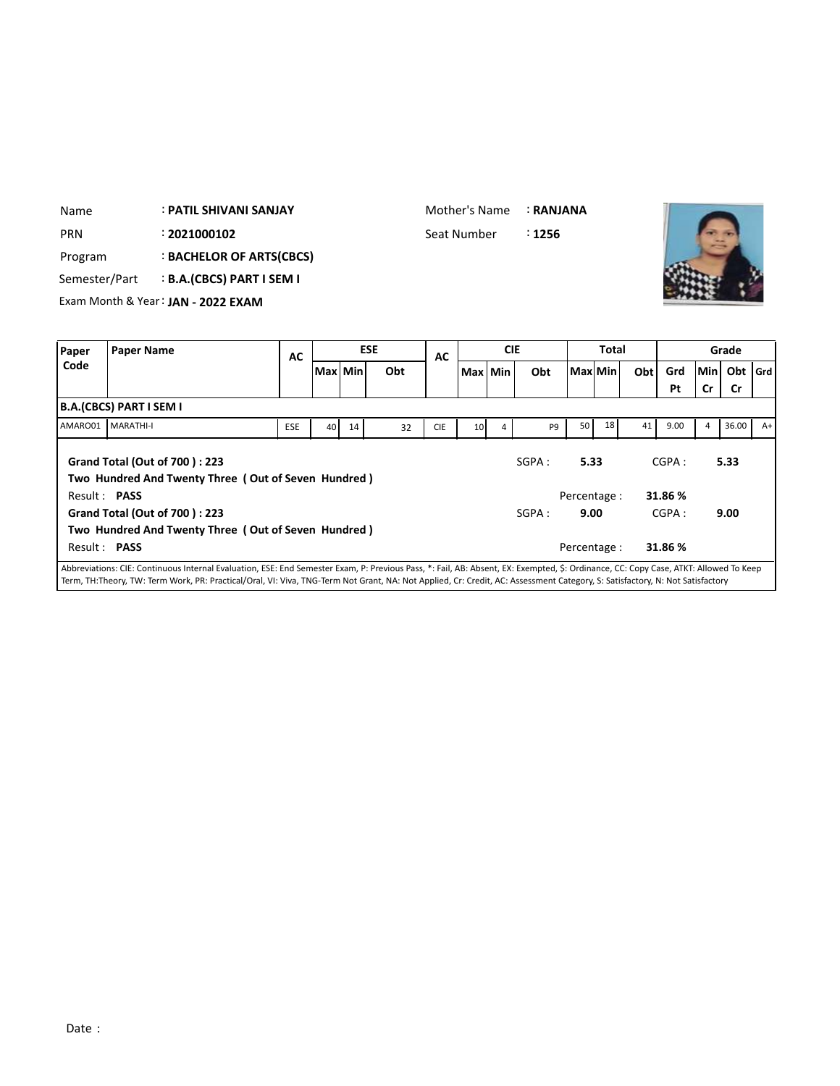|               | : PATIL SHIVANI SANJAY |                                                                                                                            |                                             |                          |     |                                                                              | Mother's Name | : RANJANA                                   |                     |    |                  |              |                |           |                                      |
|---------------|------------------------|----------------------------------------------------------------------------------------------------------------------------|---------------------------------------------|--------------------------|-----|------------------------------------------------------------------------------|---------------|---------------------------------------------|---------------------|----|------------------|--------------|----------------|-----------|--------------------------------------|
|               | : 2021000102           |                                                                                                                            |                                             |                          |     |                                                                              |               | ፡ 1256                                      |                     |    |                  |              |                |           |                                      |
|               |                        |                                                                                                                            |                                             |                          |     |                                                                              |               |                                             |                     |    |                  |              |                |           |                                      |
| Semester/Part |                        |                                                                                                                            |                                             |                          |     |                                                                              |               |                                             |                     |    |                  |              |                |           |                                      |
|               |                        |                                                                                                                            |                                             |                          |     |                                                                              |               |                                             |                     |    |                  |              |                |           |                                      |
|               |                        |                                                                                                                            |                                             |                          |     |                                                                              |               |                                             |                     |    |                  |              |                |           |                                      |
|               |                        |                                                                                                                            |                                             |                          |     |                                                                              |               |                                             |                     |    |                  |              |                |           |                                      |
|               |                        |                                                                                                                            |                                             |                          | Obt |                                                                              |               | Obt                                         |                     |    |                  | Grd          |                |           | l Grd                                |
|               |                        |                                                                                                                            |                                             |                          |     |                                                                              |               |                                             |                     |    |                  | Pt           | Cr             | <b>Cr</b> |                                      |
|               |                        |                                                                                                                            |                                             |                          |     |                                                                              |               |                                             |                     |    |                  |              |                |           |                                      |
| MARATHI-I     |                        | ESE                                                                                                                        |                                             | 14                       | 32  | <b>CIE</b>                                                                   |               | P9                                          | 50                  | 18 | 41               | 9.00         | 4              |           | $A+$                                 |
|               |                        |                                                                                                                            |                                             |                          |     |                                                                              |               |                                             |                     |    |                  |              |                |           |                                      |
|               |                        | Exam Month & Year: JAN - 2022 EXAM<br><b>Paper Name</b><br><b>B.A.(CBCS) PART I SEM I</b><br>Grand Total (Out of 700): 223 | <b>B.A.(CBCS) PART I SEM I</b><br><b>AC</b> | : BACHELOR OF ARTS(CBCS) | 40  | <b>ESE</b><br>Max Min<br>Two Hundred And Twenty Three (Out of Seven Hundred) | <b>AC</b>     | Seat Number<br>Max   Min<br>10 <sup>1</sup> | <b>CIE</b><br>SGPA: |    | Max Min <br>5.33 | <b>Total</b> | Obt  <br>CGPA: |           | Grade<br>Min<br>Obt<br>36.00<br>5.33 |

Mother's Name : **RANJANA**

Т

| AMARO01      | <b>MARATHI-I</b>                                                                            | <b>ESE</b> | 40 I | 14 | 32 | <b>CIE</b> | 10 <sup>1</sup> | 4 | P <sub>9</sub> | 50 I         | 18 <sup>1</sup> | 41   | 9.00    | 4 | 36.00 | $A+$ |
|--------------|---------------------------------------------------------------------------------------------|------------|------|----|----|------------|-----------------|---|----------------|--------------|-----------------|------|---------|---|-------|------|
|              | <b>Grand Total (Out of 700): 223</b><br>Two Hundred And Twenty Three (Out of Seven Hundred) |            |      |    |    | SGPA :     | 5.33            |   |                | CGPA:        |                 | 5.33 |         |   |       |      |
| Result: PASS |                                                                                             |            |      |    |    |            |                 |   |                | Percentage : |                 |      | 31.86 % |   |       |      |
|              | <b>Grand Total (Out of 700): 223</b>                                                        |            |      |    |    |            |                 |   | SGPA:          | 9.00         |                 |      | CGPA:   |   | 9.00  |      |
|              | Two Hundred And Twenty Three (Out of Seven Hundred)                                         |            |      |    |    |            |                 |   |                |              |                 |      |         |   |       |      |
| Result: PASS |                                                                                             |            |      |    |    |            |                 |   |                | Percentage : |                 |      | 31.86 % |   |       |      |
|              |                                                                                             |            |      |    |    |            |                 |   |                |              |                 |      |         |   |       |      |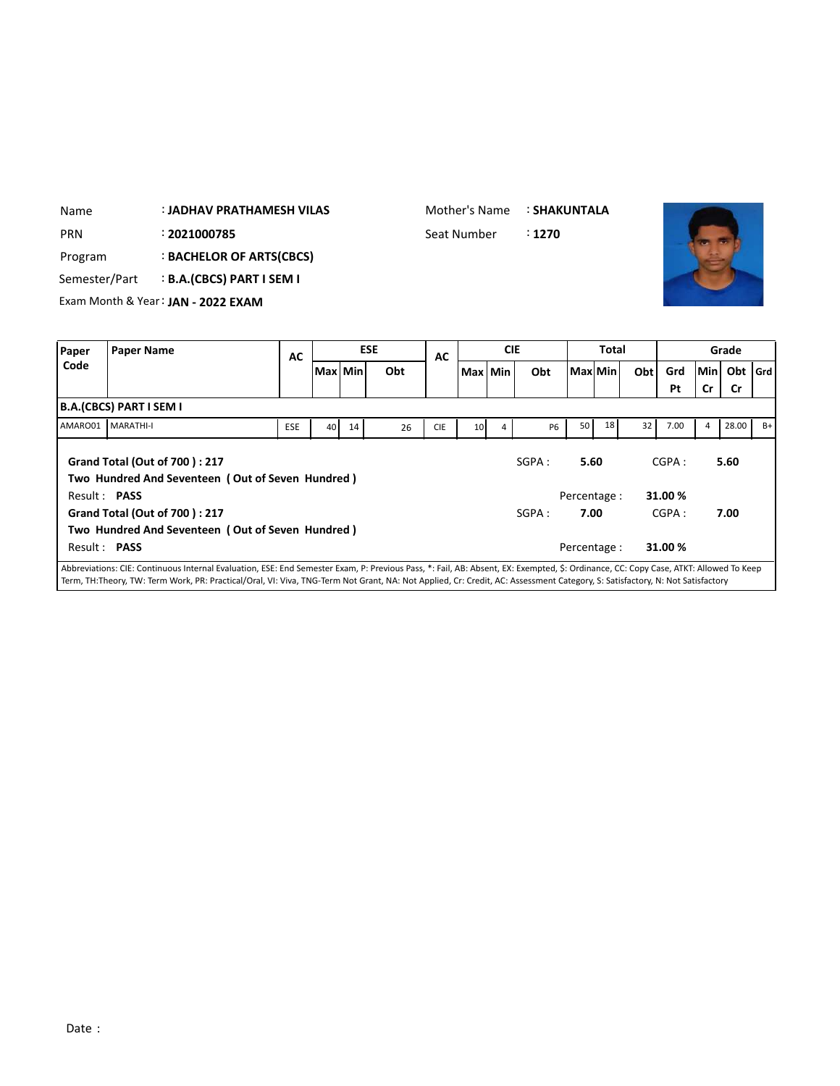| Name          |                         | : JADHAV PRATHAMESH VILAS            |            |                 |    |            | Mother's Name |                 |            | : SHAKUNTALA |          |       |     |       |     |           |       |
|---------------|-------------------------|--------------------------------------|------------|-----------------|----|------------|---------------|-----------------|------------|--------------|----------|-------|-----|-------|-----|-----------|-------|
| <b>PRN</b>    |                         | : 2021000785                         |            |                 |    |            | Seat Number   |                 |            | : 1270       |          |       |     |       |     |           |       |
| Program       |                         | : BACHELOR OF ARTS(CBCS)             |            |                 |    |            |               |                 |            |              |          |       |     |       |     |           |       |
| Semester/Part |                         | <b>B.A.(CBCS) PART I SEM I</b>       |            |                 |    |            |               |                 |            |              |          |       |     |       |     |           |       |
|               |                         | Exam Month & Year: JAN - 2022 EXAM   |            |                 |    |            |               |                 |            |              |          |       |     |       |     |           |       |
|               |                         |                                      |            |                 |    |            |               |                 |            |              |          |       |     |       |     |           |       |
| Paper         | <b>Paper Name</b>       |                                      | <b>AC</b>  |                 |    | <b>ESE</b> | <b>AC</b>     |                 | <b>CIE</b> |              |          | Total |     |       |     | Grade     |       |
| Code          |                         |                                      |            | Max   Min       |    | Obt        |               | Max Min         |            | Obt          | Max  Min |       | Obt | Grd   | Min | Obt       | l Grd |
|               |                         |                                      |            |                 |    |            |               |                 |            |              |          |       |     | Pt    | Cr  | <b>Cr</b> |       |
|               | B.A.(CBCS) PART I SEM I |                                      |            |                 |    |            |               |                 |            |              |          |       |     |       |     |           |       |
| AMARO01       | MARATHI-I               |                                      | <b>ESE</b> | 40 <sup>1</sup> | 14 | 26         | <b>CIE</b>    | 10 <sup>1</sup> |            | <b>P6</b>    | 50       | 18    | 32  | 7.00  | 4   | 28.00     | $B+$  |
|               |                         | <b>Grand Total (Out of 700): 217</b> |            |                 |    |            |               |                 |            | SGPA:        | 5.60     |       |     | CGPA: |     | 5.60      |       |

Mother's Name : **SHAKUNTALA**

|                     | AMAROU1 I MARATHI-I                              | <b>ESE</b> | 40 l | 14 | 26 | <b>CIE</b> | 10 l | 4 | P6    | 50           | 18 I | 32 | 7.00    | 4 | 28.00 | -B+ |
|---------------------|--------------------------------------------------|------------|------|----|----|------------|------|---|-------|--------------|------|----|---------|---|-------|-----|
|                     |                                                  |            |      |    |    |            |      |   |       |              |      |    |         |   |       |     |
|                     | <b>Grand Total (Out of 700): 217</b>             |            |      |    |    |            |      |   | SGPA: | 5.60         |      |    | CGPA:   |   | 5.60  |     |
|                     | Two Hundred And Seventeen (Out of Seven Hundred) |            |      |    |    |            |      |   |       |              |      |    |         |   |       |     |
| Result: <b>PASS</b> |                                                  |            |      |    |    |            |      |   |       | Percentage : |      |    | 31.00 % |   |       |     |
|                     | Grand Total (Out of 700): 217                    |            |      |    |    |            |      |   | SGPA: | 7.00         |      |    | CGPA:   |   | 7.00  |     |
|                     | Two Hundred And Seventeen (Out of Seven Hundred) |            |      |    |    |            |      |   |       |              |      |    |         |   |       |     |
| Result: <b>PASS</b> |                                                  |            |      |    |    |            |      |   |       | Percentage:  |      |    | 31.00 % |   |       |     |
|                     |                                                  |            |      |    |    |            |      |   |       |              |      |    |         |   |       |     |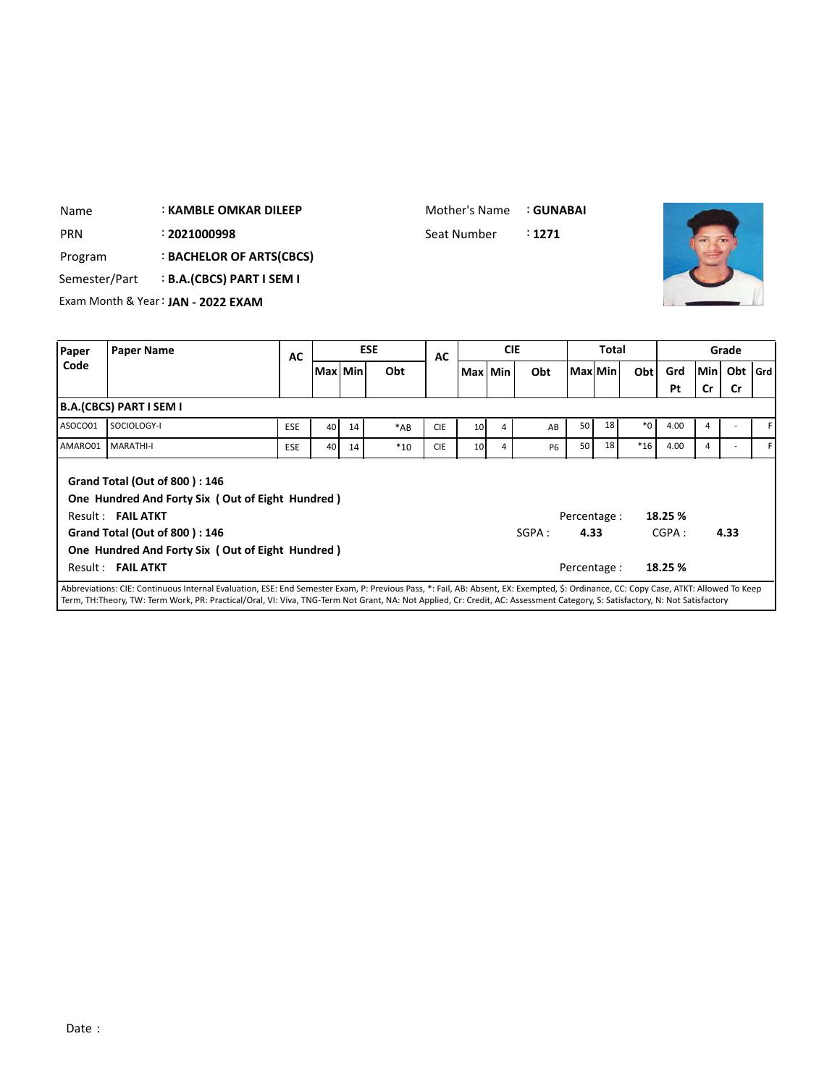| <b>PRN</b>    |                                | : 2021000998                                     |            |                 |         |            | Seat Number |                 |            | : 1271    |              |       |         |         |     |           |       |
|---------------|--------------------------------|--------------------------------------------------|------------|-----------------|---------|------------|-------------|-----------------|------------|-----------|--------------|-------|---------|---------|-----|-----------|-------|
| Program       |                                | <b>BACHELOR OF ARTS(CBCS)</b>                    |            |                 |         |            |             |                 |            |           |              |       |         |         |     |           |       |
| Semester/Part |                                | <b>B.A.(CBCS) PART I SEM I</b>                   |            |                 |         |            |             |                 |            |           |              |       |         |         |     |           |       |
|               |                                | Exam Month & Year: JAN - 2022 EXAM               |            |                 |         |            |             |                 |            |           |              |       |         |         |     |           |       |
|               |                                |                                                  |            |                 |         |            |             |                 |            |           |              |       |         |         |     |           |       |
| Paper         | <b>Paper Name</b>              |                                                  | <b>AC</b>  |                 |         | <b>ESE</b> | AC          |                 | <b>CIE</b> |           |              | Total |         |         |     | Grade     |       |
| Code          |                                |                                                  |            |                 | Max Min | Obt        |             | Max Min         |            | Obt       | Max Min      |       | Obt     | Grd     | Min | Obt       | l Grd |
|               |                                |                                                  |            |                 |         |            |             |                 |            |           |              |       |         | Pt      | Cr  | <b>Cr</b> |       |
|               | <b>B.A.(CBCS) PART I SEM I</b> |                                                  |            |                 |         |            |             |                 |            |           |              |       |         |         |     |           |       |
| ASOCO01       | SOCIOLOGY-I                    |                                                  | <b>ESE</b> | 40 <sup>1</sup> | 14      | $*AB$      | <b>CIE</b>  | 10 <sup>1</sup> | 4          | AB        | 50           | 18    | $*_{0}$ | 4.00    | 4   |           |       |
| AMARO01       | MARATHI-I                      |                                                  | <b>ESE</b> | 40              | 14      | $*10$      | <b>CIE</b>  | 10              | 4          | <b>P6</b> | 50           | 18    | $*16$   | 4.00    | 4   |           |       |
|               |                                | Grand Total (Out of 800): 146                    |            |                 |         |            |             |                 |            |           |              |       |         |         |     |           |       |
|               |                                | One Hundred And Forty Six (Out of Eight Hundred) |            |                 |         |            |             |                 |            |           |              |       |         |         |     |           |       |
|               | Result: FAIL ATKT              |                                                  |            |                 |         |            |             |                 |            |           | Percentage : |       |         | 18.25 % |     |           |       |
|               |                                | <b>Grand Total (Out of 800): 146</b>             |            |                 |         |            |             |                 |            | SGPA:     | 4.33         |       |         | CGPA:   |     | 4.33      |       |
|               |                                | One Hundred And Forty Six (Out of Eight Hundred) |            |                 |         |            |             |                 |            |           |              |       |         |         |     |           |       |

: **KAMBLE OMKAR DILEEP**

Name

Mother's Name : **GUNABAI**

Abbreviations: CIE: Continuous Internal Evaluation, ESE: End Semester Exam, P: Previous Pass, \*: Fail, AB: Absent, EX: Exempted, \$: Ordinance, CC: Copy Case, ATKT: Allowed To Keep Term, TH:Theory, TW: Term Work, PR: Practical/Oral, VI: Viva, TNG-Term Not Grant, NA: Not Applied, Cr: Credit, AC: Assessment Category, S: Satisfactory, N: Not Satisfactory

Result : **FAIL ATKT Percentage : 18.25 %**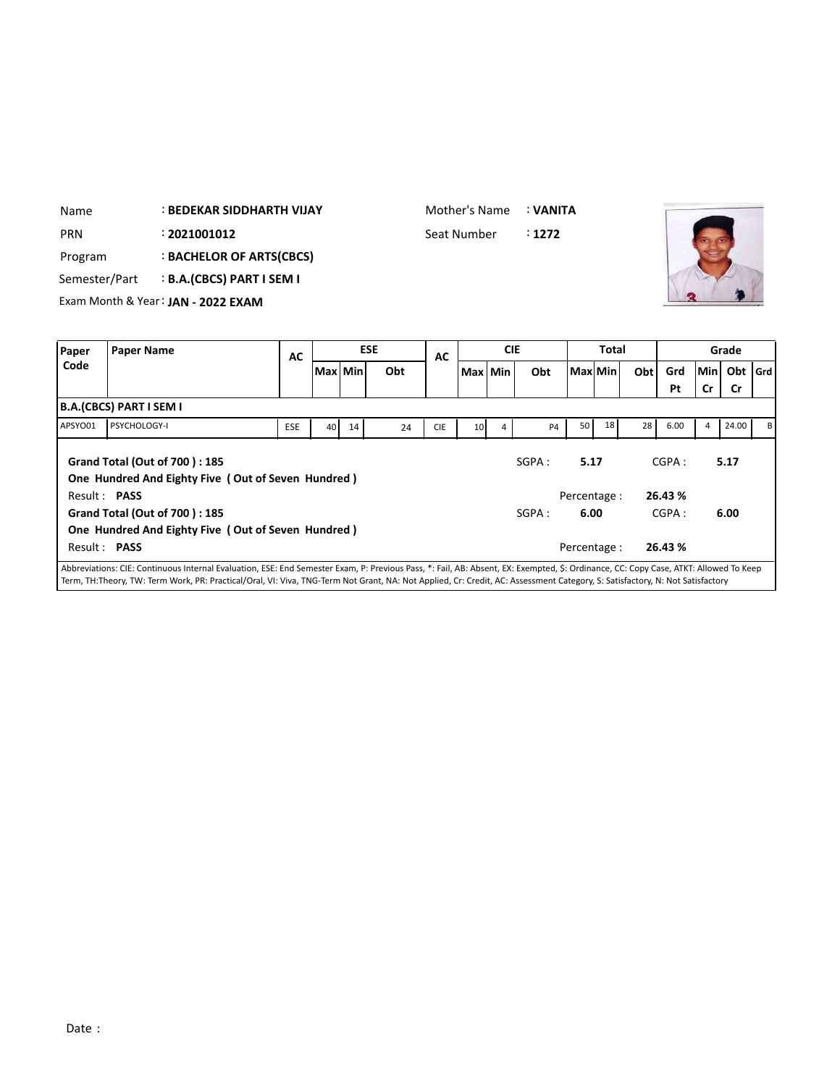| Name          | <b>BEDEKAR SIDDHARTH VIJAY</b>     |  | Mother's Name | : VANITA |  |
|---------------|------------------------------------|--|---------------|----------|--|
| <b>PRN</b>    | : 2021001012                       |  | Seat Number   | :1272    |  |
| Program       | : BACHELOR OF ARTS(CBCS)           |  |               |          |  |
| Semester/Part | <b>B.A.(CBCS) PART I SEM I</b>     |  |               |          |  |
|               | Exam Month & Year: JAN - 2022 EXAM |  |               |          |  |
|               |                                    |  |               |          |  |
|               |                                    |  |               |          |  |

| <b>Paper</b> | <b>Paper Name</b>                                                                                                                                                                    | AC         |           |    | <b>ESE</b> | AC         |                 | <b>CIE</b> |           |              | <b>Total</b> |     |         |             | Grade     |    |
|--------------|--------------------------------------------------------------------------------------------------------------------------------------------------------------------------------------|------------|-----------|----|------------|------------|-----------------|------------|-----------|--------------|--------------|-----|---------|-------------|-----------|----|
| Code         |                                                                                                                                                                                      |            | Max   Min |    | Obt        |            | Max Min         |            | Obt       |              | Max Min      | Obt | Grd     | <b>Minl</b> | Obt   Grd |    |
|              |                                                                                                                                                                                      |            |           |    |            |            |                 |            |           |              |              |     | Pt      | Cr          | <b>Cr</b> |    |
|              | B.A.(CBCS) PART I SEM I                                                                                                                                                              |            |           |    |            |            |                 |            |           |              |              |     |         |             |           |    |
| APSYO01      | PSYCHOLOGY-I                                                                                                                                                                         | <b>ESE</b> | 40        | 14 | 24         | <b>CIE</b> | 10 <sup>1</sup> | 4          | <b>P4</b> | 50           | 18           | 28  | 6.00    | 4           | 24.00     | вI |
|              | Grand Total (Out of 700): 185                                                                                                                                                        |            |           |    |            |            |                 |            | SGPA:     | 5.17         |              |     | CGPA:   |             | 5.17      |    |
|              | One Hundred And Eighty Five (Out of Seven Hundred)                                                                                                                                   |            |           |    |            |            |                 |            |           |              |              |     |         |             |           |    |
|              | Result: PASS                                                                                                                                                                         |            |           |    |            |            |                 |            |           | Percentage : |              |     | 26.43 % |             |           |    |
|              | Grand Total (Out of 700): 185                                                                                                                                                        |            |           |    |            |            |                 |            | SGPA:     | 6.00         |              |     | CGPA:   |             | 6.00      |    |
|              | One Hundred And Eighty Five (Out of Seven Hundred)                                                                                                                                   |            |           |    |            |            |                 |            |           |              |              |     |         |             |           |    |
|              | Result: PASS                                                                                                                                                                         |            |           |    |            |            |                 |            |           | Percentage : |              |     | 26.43 % |             |           |    |
|              | Abbreviations: CIE: Continuous Internal Evaluation, ESE: End Semester Exam, P: Previous Pass, *: Fail, AB: Absent, EX: Exempted, \$: Ordinance, CC: Copy Case, ATKT: Allowed To Keep |            |           |    |            |            |                 |            |           |              |              |     |         |             |           |    |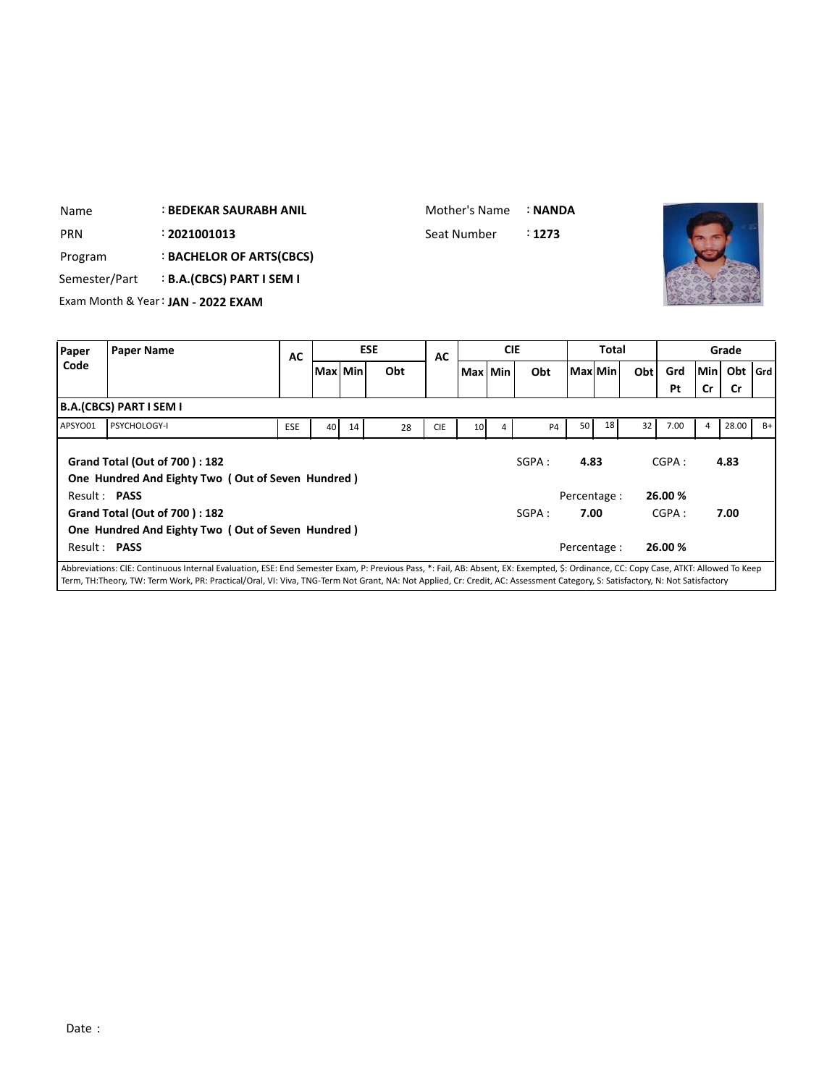| Name          | <b>BEDEKAR SAURABH ANIL</b>        | Mother's Name | : NANDA |  |
|---------------|------------------------------------|---------------|---------|--|
| <b>PRN</b>    | : 2021001013                       | Seat Number   | :1273   |  |
| Program       | <b>BACHELOR OF ARTS(CBCS)</b>      |               |         |  |
| Semester/Part | <b>B.A.(CBCS) PART I SEM I</b>     |               |         |  |
|               | Exam Month & Year: JAN - 2022 EXAM |               |         |  |
|               |                                    |               |         |  |

| Paper               | Paper Name                                                                                                                                                                                                                                                                                                                                                           | AC         |           |    | <b>ESE</b> | AC         |                 | <b>CIE</b> |           |         | <b>Total</b> |     |                  |     | Grade     |      |
|---------------------|----------------------------------------------------------------------------------------------------------------------------------------------------------------------------------------------------------------------------------------------------------------------------------------------------------------------------------------------------------------------|------------|-----------|----|------------|------------|-----------------|------------|-----------|---------|--------------|-----|------------------|-----|-----------|------|
| Code                |                                                                                                                                                                                                                                                                                                                                                                      |            | Max   Min |    | Obt        |            | Max Min         |            | Obt       | Max Min |              | Obt | Grd              | Min | Obt   Grd |      |
|                     |                                                                                                                                                                                                                                                                                                                                                                      |            |           |    |            |            |                 |            |           |         |              |     | Pt               | Cr  | <b>Cr</b> |      |
|                     | B.A.(CBCS) PART I SEM I                                                                                                                                                                                                                                                                                                                                              |            |           |    |            |            |                 |            |           |         |              |     |                  |     |           |      |
| APSYO01             | <b>PSYCHOLOGY-I</b>                                                                                                                                                                                                                                                                                                                                                  | <b>ESE</b> | 40        | 14 | 28         | <b>CIE</b> | 10 <sup>1</sup> | 4          | <b>P4</b> | 50      | 18           | 32  | 7.00             | 4   | 28.00     | $B+$ |
| Result: PASS        | <b>Grand Total (Out of 700): 182</b><br>One Hundred And Eighty Two (Out of Seven Hundred)                                                                                                                                                                                                                                                                            |            |           |    |            |            |                 |            | SGPA:     | 4.83    | Percentage:  |     | CGPA:<br>26.00 % |     | 4.83      |      |
|                     | <b>Grand Total (Out of 700): 182</b><br>One Hundred And Eighty Two (Out of Seven Hundred)                                                                                                                                                                                                                                                                            |            |           |    |            |            |                 |            | SGPA:     | 7.00    |              |     | CGPA:            |     | 7.00      |      |
| Result: <b>PASS</b> |                                                                                                                                                                                                                                                                                                                                                                      |            |           |    |            |            |                 |            |           |         | Percentage : |     | 26.00 %          |     |           |      |
|                     | Abbreviations: CIE: Continuous Internal Evaluation, ESE: End Semester Exam, P: Previous Pass, *: Fail, AB: Absent, EX: Exempted, \$: Ordinance, CC: Copy Case, ATKT: Allowed To Keep<br>Term, TH:Theory, TW: Term Work, PR: Practical/Oral, VI: Viva, TNG-Term Not Grant, NA: Not Applied, Cr: Credit, AC: Assessment Category, S: Satisfactory, N: Not Satisfactory |            |           |    |            |            |                 |            |           |         |              |     |                  |     |           |      |

 $\overline{\phantom{a}}$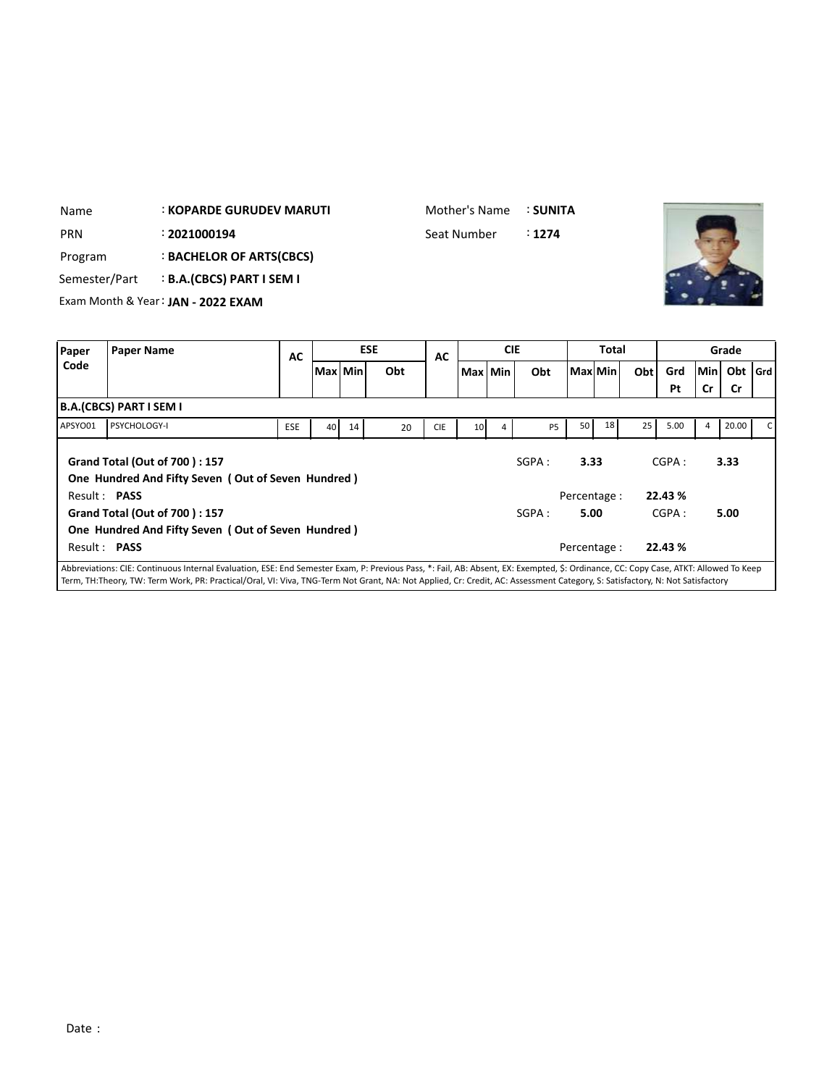| Name                              | <b>: KOPARDE GURUDEV MARUTI</b>    |            | Mother's Name | : SUNITA |       |       |
|-----------------------------------|------------------------------------|------------|---------------|----------|-------|-------|
| <b>PRN</b>                        | : 2021000194                       |            | Seat Number   | : 1274   |       |       |
| Program                           | <b>BACHELOR OF ARTS(CBCS)</b>      |            |               |          |       |       |
| Semester/Part                     | <b>B.A.(CBCS) PART I SEM I</b>     |            |               |          |       |       |
|                                   | Exam Month & Year: JAN - 2022 EXAM |            |               |          |       |       |
|                                   |                                    |            |               |          |       |       |
| <b>Daner</b><br><b>Paner Name</b> |                                    | <b>ESE</b> | <b>CIE</b>    |          | Total | Grade |

| Paper        | <b>Paper Name</b>                                                                                                                                                                    | <b>AC</b>  |         |    | <b>ESE</b> | AC         |                 | <b>CIE</b> |                |             | Total |     |         |     | Grade     |  |
|--------------|--------------------------------------------------------------------------------------------------------------------------------------------------------------------------------------|------------|---------|----|------------|------------|-----------------|------------|----------------|-------------|-------|-----|---------|-----|-----------|--|
| Code         |                                                                                                                                                                                      |            | Max Min |    | Obt        |            | Max Min         |            | Obt            | Max Min     |       | Obt | Grd     | Min | Obt   Grd |  |
|              |                                                                                                                                                                                      |            |         |    |            |            |                 |            |                |             |       |     | Pt      | Cr  | Cr        |  |
|              | B.A.(CBCS) PART I SEM I                                                                                                                                                              |            |         |    |            |            |                 |            |                |             |       |     |         |     |           |  |
| APSYO01      | <b>PSYCHOLOGY-I</b>                                                                                                                                                                  | <b>ESE</b> | 40      | 14 | 20         | <b>CIE</b> | 10 <sup>1</sup> | 4          | P <sub>5</sub> | 50          | 18    | 25  | 5.00    | 4   | 20.00     |  |
|              | Grand Total (Out of 700): 157<br>One Hundred And Fifty Seven (Out of Seven Hundred)                                                                                                  |            |         |    |            |            |                 |            | SGPA:          | 3.33        |       |     | CGPA:   |     | 3.33      |  |
| Result: PASS |                                                                                                                                                                                      |            |         |    |            |            |                 |            |                | Percentage: |       |     | 22.43 % |     |           |  |
|              | Grand Total (Out of 700): 157                                                                                                                                                        |            |         |    |            |            |                 |            | SGPA :         | 5.00        |       |     | CGPA:   |     | 5.00      |  |
|              | One Hundred And Fifty Seven (Out of Seven Hundred)                                                                                                                                   |            |         |    |            |            |                 |            |                |             |       |     |         |     |           |  |
| Result: PASS |                                                                                                                                                                                      |            |         |    |            |            |                 |            |                | Percentage: |       |     | 22.43 % |     |           |  |
|              | Abbreviations: CIE: Continuous Internal Evaluation, ESE: End Semester Exam, P: Previous Pass, *: Fail, AB: Absent, EX: Exempted, \$: Ordinance, CC: Copy Case, ATKT: Allowed To Keep |            |         |    |            |            |                 |            |                |             |       |     |         |     |           |  |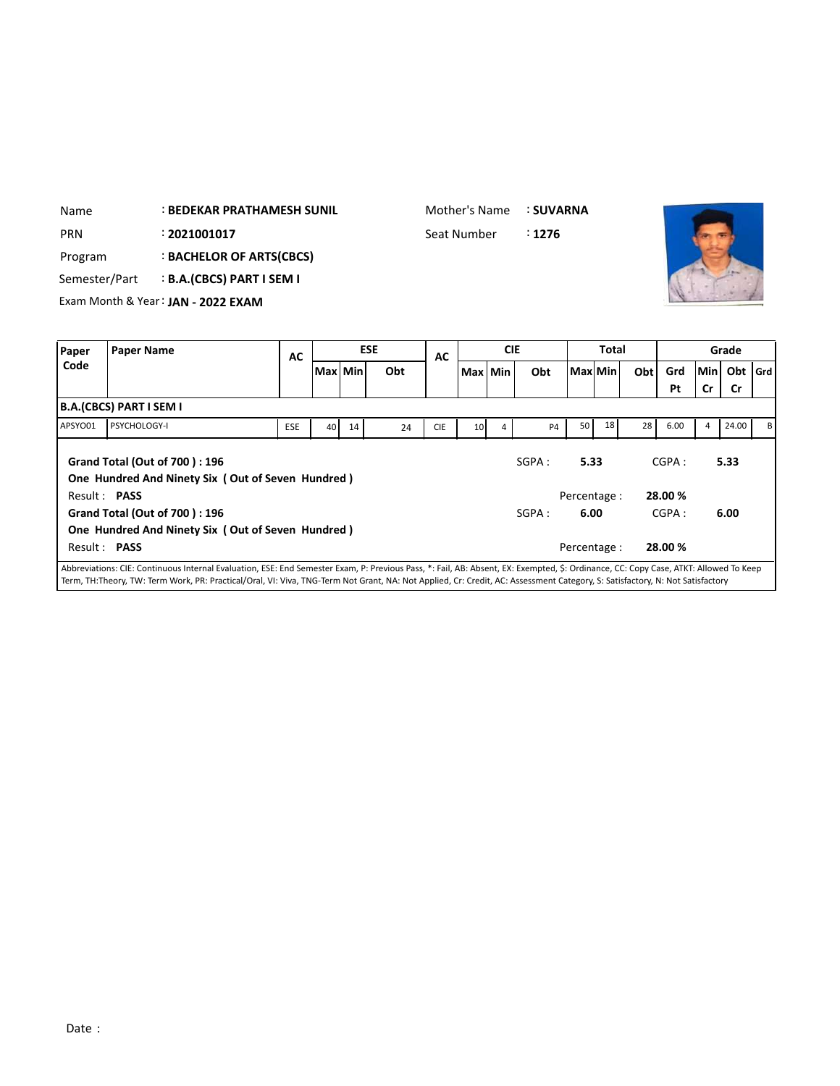| Name          | <b>: BEDEKAR PRATHAMESH SUNIL</b>  | Mother's Name | <b>: SUVARNA</b> |  |
|---------------|------------------------------------|---------------|------------------|--|
| <b>PRN</b>    | : 2021001017                       | Seat Number   | :1276            |  |
| Program       | <b>BACHELOR OF ARTS(CBCS)</b>      |               |                  |  |
| Semester/Part | <b>B.A.(CBCS) PART I SEM I</b>     |               |                  |  |
|               | Exam Month & Year: JAN - 2022 EXAM |               |                  |  |
|               |                                    |               |                  |  |

| Paper        | <b>Paper Name</b>                                                                                                                                                                    | AC         |           |    | <b>ESE</b> | AC         |                 | <b>CIE</b> |                |         | <b>Total</b> |     |         |     | Grade     |    |
|--------------|--------------------------------------------------------------------------------------------------------------------------------------------------------------------------------------|------------|-----------|----|------------|------------|-----------------|------------|----------------|---------|--------------|-----|---------|-----|-----------|----|
| Code         |                                                                                                                                                                                      |            | Max   Min |    | Obt        |            | Max Min         |            | Obt            | Max Min |              | Obt | Grd     | Min | Obt   Grd |    |
|              |                                                                                                                                                                                      |            |           |    |            |            |                 |            |                |         |              |     | Pt      | Cr  | Cr        |    |
|              | B.A.(CBCS) PART I SEM I                                                                                                                                                              |            |           |    |            |            |                 |            |                |         |              |     |         |     |           |    |
| APSYO01      | <b>PSYCHOLOGY-I</b>                                                                                                                                                                  | <b>ESE</b> | 40        | 14 | 24         | <b>CIE</b> | 10 <sup>1</sup> | 4          | P <sub>4</sub> | 50      | 18           | 28  | 6.00    | 4   | 24.00     | вI |
|              | Grand Total (Out of 700): 196<br>One Hundred And Ninety Six (Out of Seven Hundred)                                                                                                   |            |           |    |            |            |                 |            | SGPA:          | 5.33    |              |     | CGPA:   |     | 5.33      |    |
| Result: PASS |                                                                                                                                                                                      |            |           |    |            |            |                 |            |                |         | Percentage : |     | 28.00 % |     |           |    |
|              | Grand Total (Out of 700): 196                                                                                                                                                        |            |           |    |            |            |                 |            | SGPA:          | 6.00    |              |     | CGPA:   |     | 6.00      |    |
|              | One Hundred And Ninety Six (Out of Seven Hundred)                                                                                                                                    |            |           |    |            |            |                 |            |                |         |              |     |         |     |           |    |
| Result: PASS |                                                                                                                                                                                      |            |           |    |            |            |                 |            |                |         | Percentage : |     | 28.00 % |     |           |    |
|              | Abbreviations: CIE: Continuous Internal Evaluation, ESE: End Semester Exam, P: Previous Pass, *: Fail, AB: Absent, EX: Exempted, \$: Ordinance, CC: Copy Case, ATKT: Allowed To Keep |            |           |    |            |            |                 |            |                |         |              |     |         |     |           |    |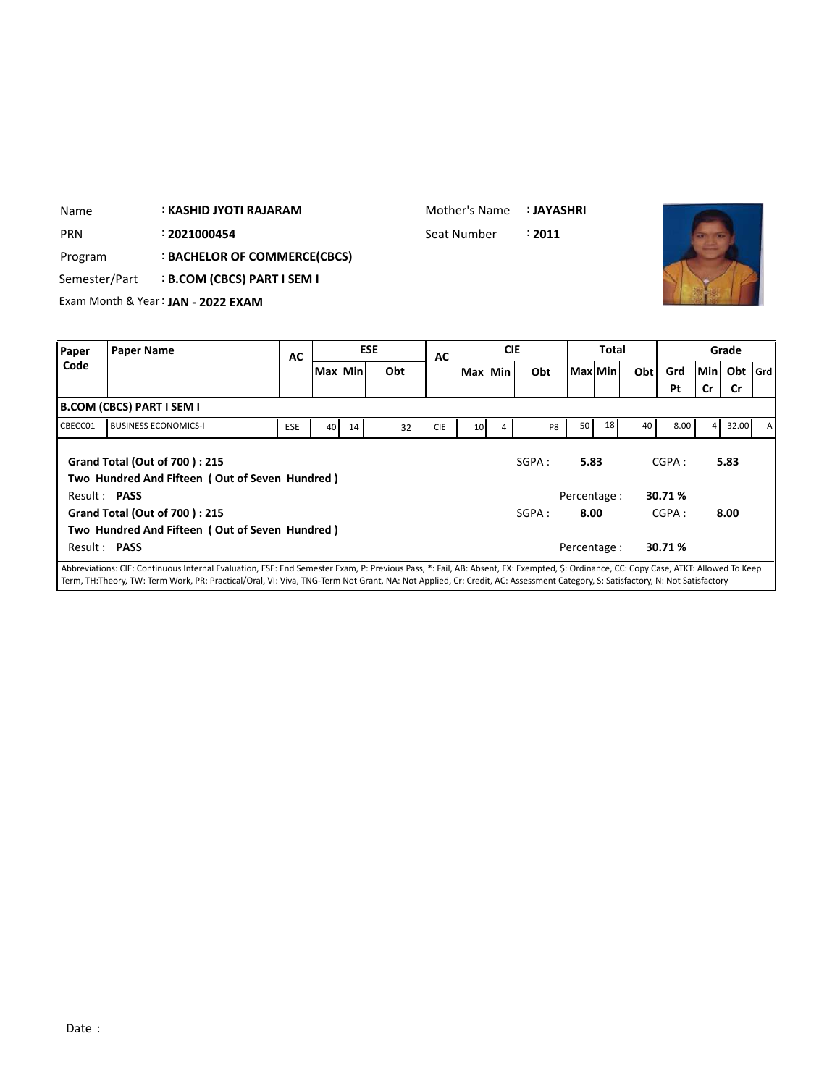| Name          |                                  | : KASHID JYOTI RAJARAM             |    |           |            | Mother's Name |         |            | : JAYASHRI |         |              |     |     |        |       |
|---------------|----------------------------------|------------------------------------|----|-----------|------------|---------------|---------|------------|------------|---------|--------------|-----|-----|--------|-------|
| <b>PRN</b>    |                                  | : 2021000454                       |    |           |            | Seat Number   |         |            | : 2011     |         |              |     |     |        |       |
| Program       |                                  | : BACHELOR OF COMMERCE(CBCS)       |    |           |            |               |         |            |            |         |              |     |     |        |       |
|               | Semester/Part                    | <b>B.COM (CBCS) PART I SEM I</b>   |    |           |            |               |         |            |            |         |              |     |     |        |       |
|               |                                  | Exam Month & Year: JAN - 2022 EXAM |    |           |            |               |         |            |            |         |              |     |     |        |       |
|               |                                  |                                    |    |           |            |               |         |            |            |         |              |     |     |        |       |
|               |                                  |                                    |    |           |            |               |         |            |            |         |              |     |     |        |       |
|               | <b>Paper Name</b>                |                                    |    |           | <b>ESE</b> |               |         | <b>CIE</b> |            |         | <b>Total</b> |     |     |        | Grade |
| Paper<br>Code |                                  |                                    | AC | Max   Min | Obt        | AC            | Max Min |            | Obt        | Max Min |              | Obt | Grd | Min Ob |       |
|               |                                  |                                    |    |           |            |               |         |            |            |         |              |     | Pt  | Cr     | - Cr  |
|               | <b>B.COM (CBCS) PART I SEM I</b> |                                    |    |           |            |               |         |            |            |         |              |     |     |        |       |

|              | B.COM (CBCS) PART I SEM I                                                                                                                                                            |            |                 |    |    |            |                 |                |       |              |                 |    |        |                |       |                |
|--------------|--------------------------------------------------------------------------------------------------------------------------------------------------------------------------------------|------------|-----------------|----|----|------------|-----------------|----------------|-------|--------------|-----------------|----|--------|----------------|-------|----------------|
| CBECC01      | <b>BUSINESS ECONOMICS-I</b>                                                                                                                                                          | <b>ESE</b> | 40 <sup>1</sup> | 14 | 32 | <b>CIE</b> | 10 <sup>1</sup> | $\overline{4}$ | P8    | 50           | 18 <sup>1</sup> | 40 | 8.00   | $\overline{4}$ | 32.00 | $\overline{A}$ |
|              | Grand Total (Out of 700): 215<br>Two Hundred And Fifteen (Out of Seven Hundred)                                                                                                      |            |                 |    |    |            |                 |                | SGPA: |              | 5.83            |    | CGPA:  |                | 5.83  |                |
| Result: PASS |                                                                                                                                                                                      |            |                 |    |    |            |                 |                |       | Percentage : |                 |    | 30.71% |                |       |                |
|              | Grand Total (Out of 700): 215                                                                                                                                                        |            |                 |    |    |            |                 |                | SGPA: |              | 8.00            |    | CGPA:  |                | 8.00  |                |
|              | Two Hundred And Fifteen (Out of Seven Hundred)                                                                                                                                       |            |                 |    |    |            |                 |                |       |              |                 |    |        |                |       |                |
| Result: PASS |                                                                                                                                                                                      |            |                 |    |    |            |                 |                |       | Percentage : |                 |    | 30.71% |                |       |                |
|              | Abbreviations: CIE: Continuous Internal Evaluation, ESE: End Semester Exam, P: Previous Pass, *: Eail, AB: Absent, EX: Exempted, S: Ordinance, CC: Conv. Case, ATKT: Allowed To Keen |            |                 |    |    |            |                 |                |       |              |                 |    |        |                |       |                |

**Obt Grd**

**Pt Cr Cr**

 $\mathbf{L}$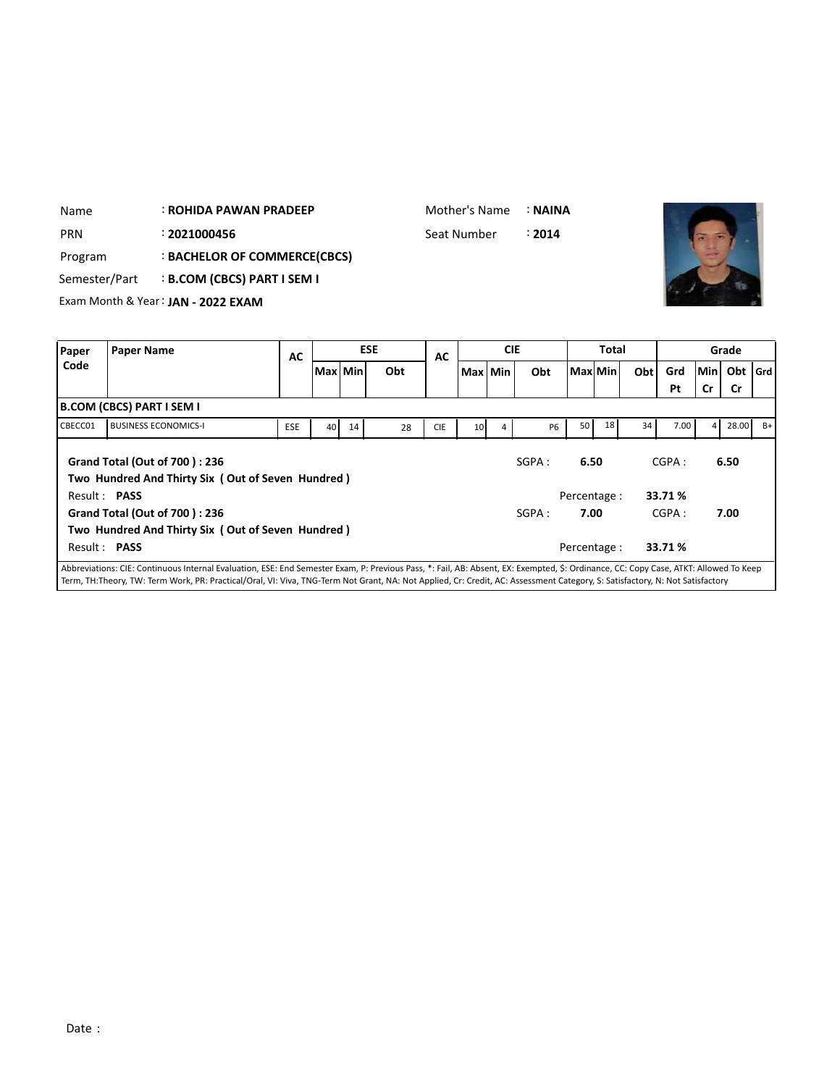| <b>PRN</b><br>Program<br>Semester/Part |                                  | : 2021000456<br>: BACHELOR OF COMMERCE(CBCS)<br>: B.COM (CBCS) PART I SEM I<br>Exam Month & Year: JAN - 2022 EXAM |            |    |           |            |            | Seat Number     |            | : 2014    |          |              |     |            |         |                    |       |
|----------------------------------------|----------------------------------|-------------------------------------------------------------------------------------------------------------------|------------|----|-----------|------------|------------|-----------------|------------|-----------|----------|--------------|-----|------------|---------|--------------------|-------|
| Paper                                  | <b>Paper Name</b>                |                                                                                                                   | AC         |    |           | <b>ESE</b> | AC         |                 | <b>CIE</b> |           |          | <b>Total</b> |     |            |         | Grade              |       |
| Code                                   |                                  |                                                                                                                   |            |    | Max   Min | Obt        |            | Max Min         |            | Obt       | Maxl Min |              | Obt | Grd        | Min     | Obt                | l Grd |
| CBECC01                                | <b>B.COM (CBCS) PART I SEM I</b> | <b>BUSINESS ECONOMICS-I</b>                                                                                       | <b>ESE</b> | 40 | 14        | 28         | <b>CIE</b> | 10 <sup>1</sup> | 4          | <b>P6</b> | 50       | 18           | 34  | Pt<br>7.00 | Cr<br>4 | <b>Cr</b><br>28.00 | $B+$  |
|                                        |                                  | <b>Grand Total (Out of 700): 236</b><br>Two Hundred And Thirty Six (Out of Seven Hundred)                         |            |    |           |            |            |                 |            | SGPA:     | 6.50     |              |     | CGPA:      |         | 6.50               |       |

: **ROHIDA PAWAN PRADEEP**

Name

Mother's Name :**NAINA**

Result : **PASS** Percentage : **33.71 % Grand Total (Out of 700 ) : 236 Two Hundred And Thirty Six ( Out of Seven Hundred )** Result : **PASS** Percentage : **33.71 %** SGPA : **7.00** CGPA : **7.00** Abbreviations: CIE: Continuous Internal Evaluation, ESE: End Semester Exam, P: Previous Pass, \*: Fail, AB: Absent, EX: Exempted, \$: Ordinance, CC: Copy Case, ATKT: Allowed To Keep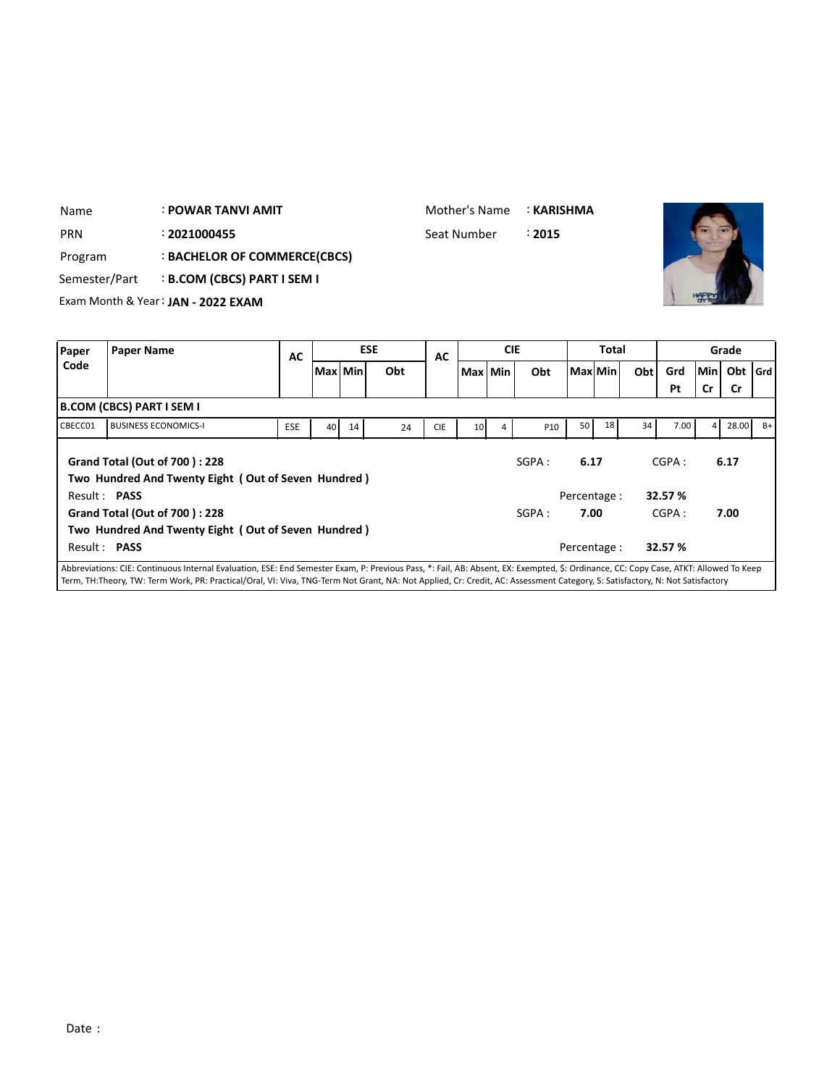| Name          |                                  | <b>: POWAR TANVI AMIT</b>          |            |    |         |            | Mother's Name |         |            | : KARISHMA |    |           |     |      |                |           |       |
|---------------|----------------------------------|------------------------------------|------------|----|---------|------------|---------------|---------|------------|------------|----|-----------|-----|------|----------------|-----------|-------|
| <b>PRN</b>    |                                  | : 2021000455                       |            |    |         |            | Seat Number   |         |            | : 2015     |    |           |     |      |                |           |       |
| Program       |                                  | : BACHELOR OF COMMERCE(CBCS)       |            |    |         |            |               |         |            |            |    |           |     |      |                |           |       |
| Semester/Part |                                  | <b>B.COM (CBCS) PART I SEM I</b>   |            |    |         |            |               |         |            |            |    |           |     |      |                |           |       |
|               |                                  | Exam Month & Year: JAN - 2022 EXAM |            |    |         |            |               |         |            |            |    |           |     |      |                |           |       |
|               |                                  |                                    |            |    |         |            |               |         |            |            |    |           |     |      |                |           |       |
|               |                                  |                                    |            |    |         |            |               |         |            |            |    |           |     |      |                |           |       |
| Paper         | <b>Paper Name</b>                |                                    |            |    |         | <b>ESE</b> |               |         | <b>CIE</b> |            |    | Total     |     |      |                | Grade     |       |
| Code          |                                  |                                    | <b>AC</b>  |    | Max Min | Obt        | <b>AC</b>     | Max Min |            | Obt        |    | Maxl Minl | Obt | Grd  | Min            | Obt       | l Grd |
|               |                                  |                                    |            |    |         |            |               |         |            |            |    |           |     | Pt   | Cr             | <b>Cr</b> |       |
|               | <b>B.COM (CBCS) PART I SEM I</b> |                                    |            |    |         |            |               |         |            |            |    |           |     |      |                |           |       |
| CBECC01       |                                  | <b>BUSINESS ECONOMICS-I</b>        | <b>ESE</b> | 40 | 14      | 24         | <b>CIE</b>    | 10      | 4          | <b>P10</b> | 50 | 18        | 34  | 7.00 | $\overline{4}$ | 28.00     | $B+$  |

|              |                                                                                                                                                                                      | ∼∽ | -- | -- | --- |  |        |              |         |      |  |
|--------------|--------------------------------------------------------------------------------------------------------------------------------------------------------------------------------------|----|----|----|-----|--|--------|--------------|---------|------|--|
|              | <b>Grand Total (Out of 700): 228</b>                                                                                                                                                 |    |    |    |     |  | SGPA : | 6.17         | CGPA:   | 6.17 |  |
| Result: PASS | Two Hundred And Twenty Eight (Out of Seven Hundred)                                                                                                                                  |    |    |    |     |  |        | Percentage:  | 32.57 % |      |  |
|              | <b>Grand Total (Out of 700): 228</b>                                                                                                                                                 |    |    |    |     |  | SGPA : | 7.00         | CGPA:   | 7.00 |  |
|              | Two Hundred And Twenty Eight (Out of Seven Hundred)                                                                                                                                  |    |    |    |     |  |        |              |         |      |  |
| Result: PASS |                                                                                                                                                                                      |    |    |    |     |  |        | Percentage : | 32.57 % |      |  |
|              | Abbroviations: CIE: Continuous Internal Evaluation, ESE: End Compster Evam, D: Drovious Dass, *; Eail, A.D: Absont, EV: Evamptod, S: Ordinance, CC: Conv.Case, ATVT: Allowed To Keep |    |    |    |     |  |        |              |         |      |  |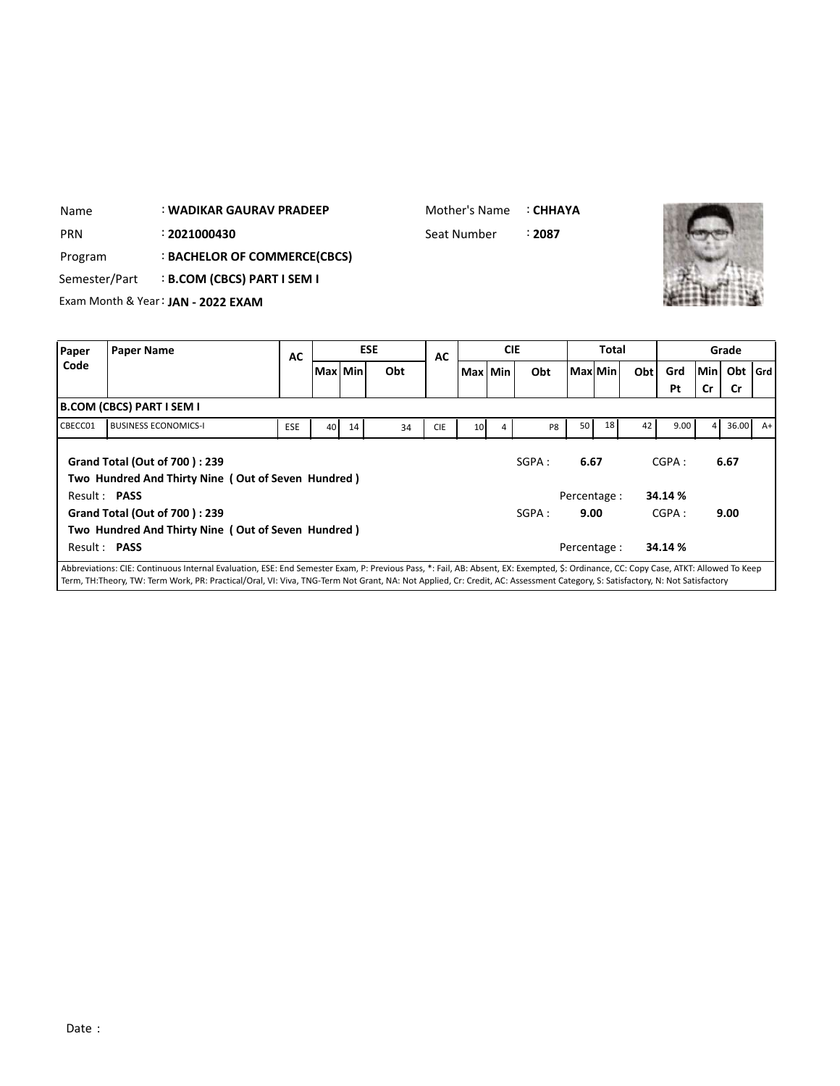| Name          |                           | : WADIKAR GAURAV PRADEEP           |           | Mother's Name |            | ∶ СННАҮА    |            |        |              |              |     |     |         |       |
|---------------|---------------------------|------------------------------------|-----------|---------------|------------|-------------|------------|--------|--------------|--------------|-----|-----|---------|-------|
| <b>PRN</b>    |                           | : 2021000430                       |           |               |            | Seat Number |            | : 2087 |              |              |     |     |         |       |
| Program       |                           | : BACHELOR OF COMMERCE(CBCS)       |           |               |            |             |            |        |              |              |     |     |         |       |
| Semester/Part |                           | <b>B.COM (CBCS) PART I SEM I</b>   |           |               |            |             |            |        |              |              |     |     |         |       |
|               |                           | Exam Month & Year: JAN - 2022 EXAM |           |               |            |             |            |        |              |              |     |     |         |       |
| Paper         | <b>Paper Name</b>         |                                    |           |               | <b>ESE</b> |             | <b>CIE</b> |        |              | <b>Total</b> |     |     |         | Grade |
| Code          |                           |                                    | <b>AC</b> |               | Obt        | AC          |            |        |              |              |     | Grd | Min Obt |       |
|               |                           |                                    |           | Max   Min     |            |             | Max Min    | Obt    | l Maxl Min l |              | Obt | Pt  | Cr      | .Cr   |
|               | R COM (CRCS) DART I SEM I |                                    |           |               |            |             |            |        |              |              |     |     |         |       |

|         | B.COM (CBCS) PART I SEM I                                                                                                                                                            |            |                 |    |    |            |                 |   |        |              |    |    |         |                |       |      |
|---------|--------------------------------------------------------------------------------------------------------------------------------------------------------------------------------------|------------|-----------------|----|----|------------|-----------------|---|--------|--------------|----|----|---------|----------------|-------|------|
| CBECC01 | <b>BUSINESS ECONOMICS-I</b>                                                                                                                                                          | <b>ESE</b> | 40 <sup>1</sup> | 14 | 34 | <b>CIE</b> | 10 <sup>1</sup> | 4 | P8     | 50           | 18 | 42 | 9.00    | $\overline{4}$ | 36.00 | $A+$ |
|         | Grand Total (Out of 700): 239<br>Two Hundred And Thirty Nine (Out of Seven Hundred)                                                                                                  |            |                 |    |    |            |                 |   | SGPA:  | 6.67         |    |    | CGPA:   |                | 6.67  |      |
|         | Result: PASS                                                                                                                                                                         |            |                 |    |    |            |                 |   |        | Percentage : |    |    | 34.14 % |                |       |      |
|         | Grand Total (Out of 700): 239                                                                                                                                                        |            |                 |    |    |            |                 |   | SGPA : | 9.00         |    |    | CGPA:   |                | 9.00  |      |
|         | Two Hundred And Thirty Nine (Out of Seven Hundred)                                                                                                                                   |            |                 |    |    |            |                 |   |        |              |    |    |         |                |       |      |
|         | Result: PASS                                                                                                                                                                         |            |                 |    |    |            |                 |   |        | Percentage : |    |    | 34.14 % |                |       |      |
|         | Abbroidations: CIE: Continuous Internal Evaluation, ECE: End Compater Evans, D. Droviaus Dass, *: Esil, AD: Absort EV: Exampted, C. Ordinance, CC: Capu Caso, ATI/T: Allowed To Kapp |            |                 |    |    |            |                 |   |        |              |    |    |         |                |       |      |

**Obt Grd**

**Pt Cr Cr**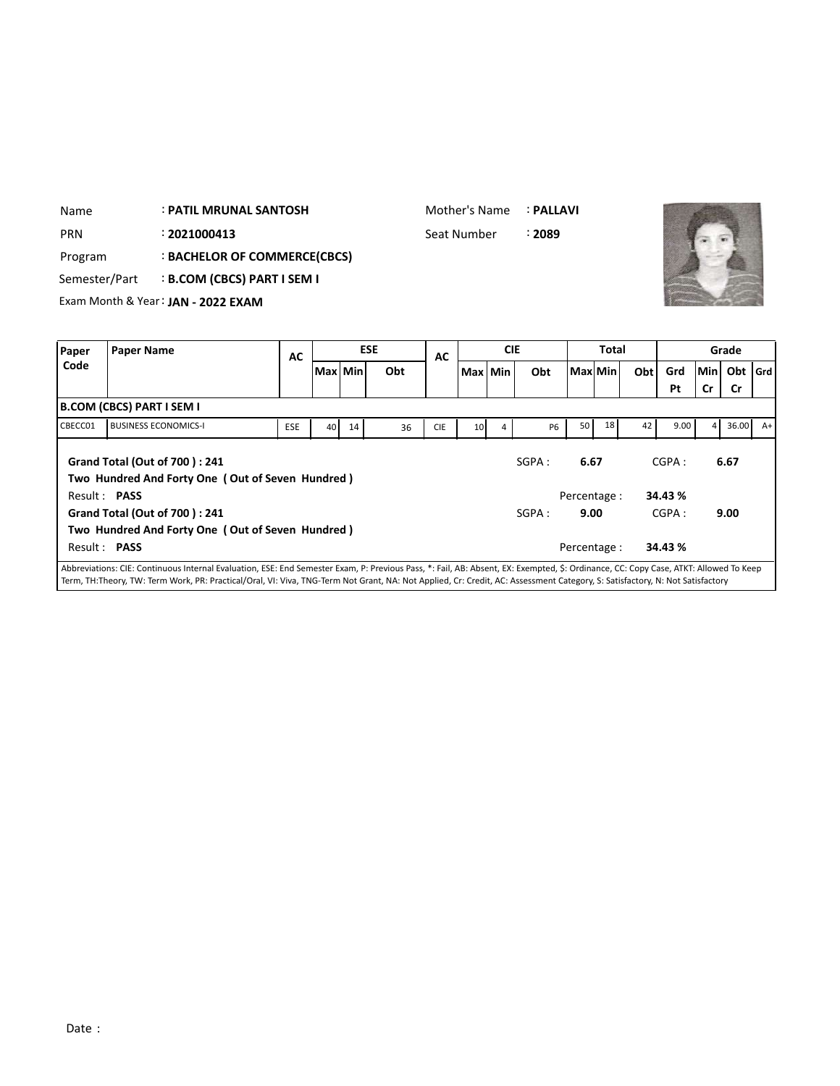| Name          | <b>: PATIL MRUNAL SANTOSH</b>      |                                  |    |         |  |            | Mother's Name |         |            | : PALLAVI |         |              |     |     |     |       |  |
|---------------|------------------------------------|----------------------------------|----|---------|--|------------|---------------|---------|------------|-----------|---------|--------------|-----|-----|-----|-------|--|
| <b>PRN</b>    |                                    | : 2021000413                     |    |         |  |            | Seat Number   |         |            | : 2089    |         |              |     |     |     |       |  |
| Program       |                                    | : BACHELOR OF COMMERCE(CBCS)     |    |         |  |            |               |         |            |           |         |              |     |     |     |       |  |
| Semester/Part |                                    | <b>B.COM (CBCS) PART I SEM I</b> |    |         |  |            |               |         |            |           |         |              |     |     |     |       |  |
|               | Exam Month & Year: JAN - 2022 EXAM |                                  |    |         |  |            |               |         |            |           |         |              |     |     |     |       |  |
|               |                                    |                                  |    |         |  |            |               |         |            |           |         |              |     |     |     |       |  |
| Paper         | <b>Paper Name</b>                  |                                  | AC |         |  | <b>ESE</b> | AC            |         | <b>CIE</b> |           |         | <b>Total</b> |     |     |     | Grade |  |
| Code          |                                    |                                  |    | Max Min |  | Obt        |               | Max Min |            | Obt       | Max Min |              | Obt | Grd | Min | Obt   |  |
|               |                                    |                                  |    |         |  |            |               |         |            |           |         |              |     | Pt  | Cr  | Cr    |  |

|         |                                                                                                                                                                                    |            |    |    |    |            |                 |                |           |                 |    |    | Pt      | <b>Cr</b>      | .Cr        |  |
|---------|------------------------------------------------------------------------------------------------------------------------------------------------------------------------------------|------------|----|----|----|------------|-----------------|----------------|-----------|-----------------|----|----|---------|----------------|------------|--|
|         | B.COM (CBCS) PART I SEM I                                                                                                                                                          |            |    |    |    |            |                 |                |           |                 |    |    |         |                |            |  |
| CBECC01 | <b>BUSINESS ECONOMICS-I</b>                                                                                                                                                        | <b>ESE</b> | 40 | 14 | 36 | <b>CIE</b> | 10 <sup>1</sup> | $\overline{4}$ | <b>P6</b> | 50 <sub>1</sub> | 18 | 42 | 9.00    | $\overline{4}$ | $36.00$ A+ |  |
|         | <b>Grand Total (Out of 700): 241</b><br>Two Hundred And Forty One (Out of Seven Hundred)                                                                                           |            |    |    |    |            |                 |                | SGPA :    | 6.67            |    |    | CGPA:   |                | 6.67       |  |
|         | Result: PASS                                                                                                                                                                       |            |    |    |    |            |                 |                |           | Percentage :    |    |    | 34.43 % |                |            |  |
|         | Grand Total (Out of 700): 241                                                                                                                                                      |            |    |    |    |            |                 |                | SGPA :    | 9.00            |    |    | CGPA:   |                | 9.00       |  |
|         | Two Hundred And Forty One (Out of Seven Hundred)                                                                                                                                   |            |    |    |    |            |                 |                |           |                 |    |    |         |                |            |  |
|         | Result: PASS                                                                                                                                                                       |            |    |    |    |            |                 |                |           | Percentage :    |    |    | 34.43 % |                |            |  |
|         | Abbreviations: CIE: Continuous Internal Evaluation, ESE: End Semester Evam, P: Previous Pass *: Fail AR: Absent, EX: Evempted, S: Ordinance, CC: Conv. Case, ATKT: Allowed To Keep |            |    |    |    |            |                 |                |           |                 |    |    |         |                |            |  |

**Obt Grd**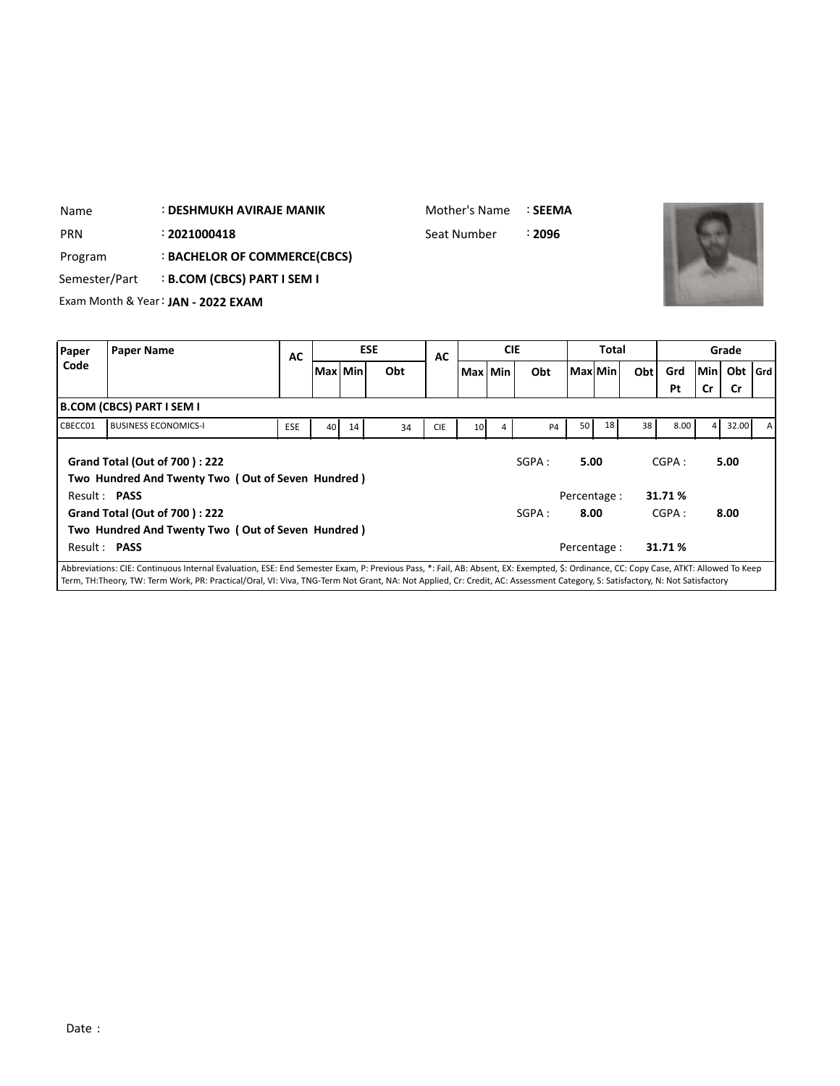| Name          | <b>: DESHMUKH AVIRAJE MANIK</b>    | Mother's Name | :SEEMA |
|---------------|------------------------------------|---------------|--------|
| <b>PRN</b>    | : 2021000418                       | Seat Number   | ፡ 2096 |
| Program       | : BACHELOR OF COMMERCE(CBCS)       |               |        |
| Semester/Part | : B.COM (CBCS) PART I SEM I        |               |        |
|               | Exam Month & Year: JAN - 2022 EXAM |               |        |



| Paper   | <b>Paper Name</b>                                                                                                                                                                    | AC  |    |           | <b>ESE</b> | AC         |                 | <b>CIE</b> |           |                     | <b>Total</b> |     |                 |                | Grade   |  |
|---------|--------------------------------------------------------------------------------------------------------------------------------------------------------------------------------------|-----|----|-----------|------------|------------|-----------------|------------|-----------|---------------------|--------------|-----|-----------------|----------------|---------|--|
| Code    |                                                                                                                                                                                      |     |    | Max   Min | Obt        |            |                 | Max Min    | Obt       |                     | Max Min      | Obt | Grd             | lMin I         | Obt Grd |  |
|         |                                                                                                                                                                                      |     |    |           |            |            |                 |            |           |                     |              |     | Pt              | Cr             | Cr      |  |
|         | B.COM (CBCS) PART I SEM I                                                                                                                                                            |     |    |           |            |            |                 |            |           |                     |              |     |                 |                |         |  |
| CBECC01 | <b>BUSINESS ECONOMICS-I</b>                                                                                                                                                          | ESE | 40 | 14        | 34         | <b>CIE</b> | 10 <sup>1</sup> | 4          | <b>P4</b> | 50 <sub>1</sub>     | 18           | 38  | 8.00            | 4 <sup>1</sup> | 32.00   |  |
|         | <b>Grand Total (Out of 700): 222</b><br>Two Hundred And Twenty Two (Out of Seven Hundred)<br>Result: PASS                                                                            |     |    |           |            |            |                 |            | SGPA :    | 5.00<br>Percentage: |              |     | CGPA:<br>31.71% |                | 5.00    |  |
|         | <b>Grand Total (Out of 700): 222</b>                                                                                                                                                 |     |    |           |            |            |                 |            | SGPA :    | 8.00                |              |     | CGPA:           |                | 8.00    |  |
|         | Two Hundred And Twenty Two (Out of Seven Hundred)                                                                                                                                    |     |    |           |            |            |                 |            |           |                     |              |     |                 |                |         |  |
|         | Result: PASS                                                                                                                                                                         |     |    |           |            |            |                 |            |           | Percentage :        |              |     | 31.71%          |                |         |  |
|         | Abbreviations: CIE: Continuous Internal Evaluation, ESE: End Semester Exam, P: Previous Pass, *: Fail, AB: Absent, EX: Exempted, \$: Ordinance, CC: Copy Case, ATKT: Allowed To Keep |     |    |           |            |            |                 |            |           |                     |              |     |                 |                |         |  |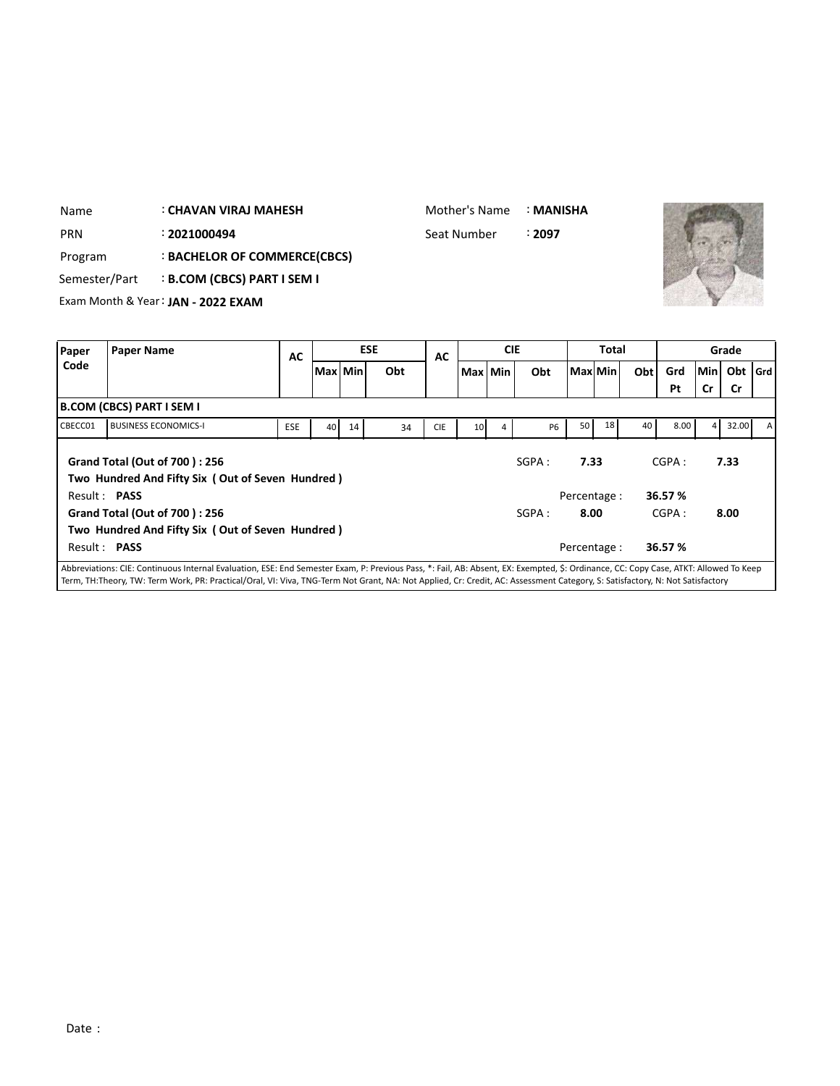| Name          |                                       | : CHAVAN VIRAJ MAHESH                            |            |    |         |     |            | Mother's Name   |            | : MANISHA |            |         |     |           |     |           |       |
|---------------|---------------------------------------|--------------------------------------------------|------------|----|---------|-----|------------|-----------------|------------|-----------|------------|---------|-----|-----------|-----|-----------|-------|
| <b>PRN</b>    |                                       | : 2021000494                                     |            |    |         |     |            | Seat Number     |            | ፡ 2097    |            |         |     |           |     |           |       |
| Program       |                                       | : BACHELOR OF COMMERCE(CBCS)                     |            |    |         |     |            |                 |            |           |            |         |     |           |     |           |       |
| Semester/Part |                                       | <b>B.COM (CBCS) PART I SEM I</b>                 |            |    |         |     |            |                 |            |           |            |         |     |           |     |           |       |
|               |                                       | Exam Month & Year: JAN - 2022 EXAM               |            |    |         |     |            |                 |            |           |            |         |     |           |     |           |       |
|               |                                       |                                                  |            |    |         |     |            |                 |            |           |            |         |     |           |     |           |       |
| Paper         | <b>ESE</b><br><b>Paper Name</b><br>AC |                                                  |            |    |         |     | AC         |                 | <b>CIE</b> |           |            | Total   |     |           |     | Grade     |       |
| Code          |                                       |                                                  |            |    | Max Min | Obt |            |                 | Max Min    | Obt       |            | Max Min | Obt | Grd       | Min | Obt       | l Grd |
|               |                                       |                                                  |            |    |         |     |            |                 |            |           |            |         |     | Pt        | Cr  | <b>Cr</b> |       |
|               | <b>B.COM (CBCS) PART I SEM I</b>      |                                                  |            |    |         |     |            |                 |            |           |            |         |     |           |     |           |       |
| CBECC01       |                                       | <b>BUSINESS ECONOMICS-I</b>                      | <b>ESE</b> | 40 | 14      | 34  | <b>CIE</b> | 10 <sup>1</sup> |            | <b>P6</b> | 50         | 18      | 40  | 8.00      | 4   | 32.00     | A     |
|               |                                       | <b>Grand Total (Out of 700): 256</b>             |            |    |         |     |            |                 |            | SGPA:     | 7.33       |         |     | CGPA:     |     | 7.33      |       |
|               | <b>Desile Bacc</b>                    | Two Hundred And Fifty Six (Out of Seven Hundred) |            |    |         |     |            |                 |            |           | <b>D .</b> |         |     | 30. PS 01 |     |           |       |

| Two Hundred And Fifty Six (Out of Seven Hundred)                                                                                                                                     |        |              |        |      |
|--------------------------------------------------------------------------------------------------------------------------------------------------------------------------------------|--------|--------------|--------|------|
| Result: <b>PASS</b>                                                                                                                                                                  |        | Percentage : | 36.57% |      |
| Grand Total (Out of 700): 256                                                                                                                                                        | SGPA : | 8.00         | CGPA:  | 8.00 |
| Two Hundred And Fifty Six (Out of Seven Hundred)                                                                                                                                     |        |              |        |      |
| Result: <b>PASS</b>                                                                                                                                                                  |        | Percentage:  | 36.57% |      |
| Abbreviations: CIE: Continuous Internal Evaluation, ESE: End Semester Exam, P: Previous Pass, *: Fail, AB: Absent, EX: Exempted, \$: Ordinance, CC: Copy Case, ATKT: Allowed To Keep |        |              |        |      |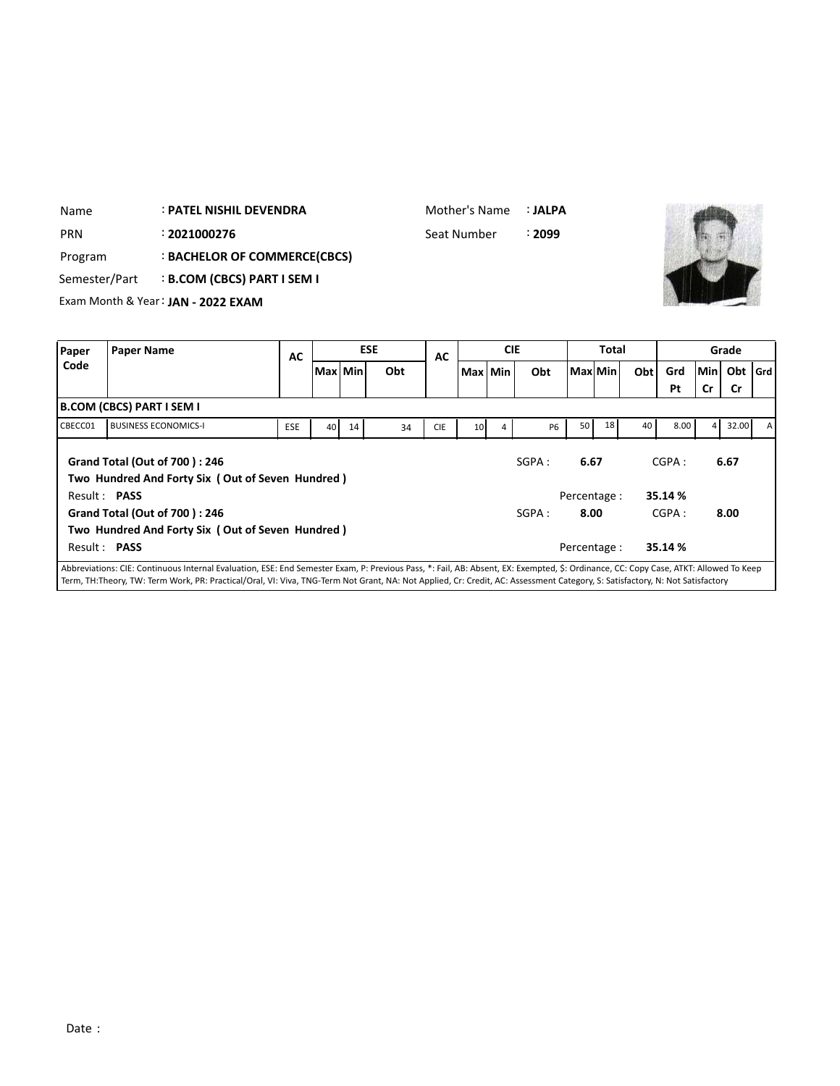| Name          |                   | <b>: PATEL NISHIL DEVENDRA</b>     |    |         |            | Mother's Name |            | : JALPA |         |              |     |     |            |       |
|---------------|-------------------|------------------------------------|----|---------|------------|---------------|------------|---------|---------|--------------|-----|-----|------------|-------|
| <b>PRN</b>    |                   | : 2021000276                       |    |         |            | Seat Number   |            | : 2099  |         |              |     |     |            |       |
| Program       |                   | : BACHELOR OF COMMERCE(CBCS)       |    |         |            |               |            |         |         |              |     |     |            |       |
| Semester/Part |                   | <b>B.COM (CBCS) PART I SEM I</b>   |    |         |            |               |            |         |         |              |     |     |            |       |
|               |                   | Exam Month & Year: JAN - 2022 EXAM |    |         |            |               |            |         |         |              |     |     |            |       |
|               |                   |                                    |    |         |            |               |            |         |         |              |     |     |            |       |
| Paper         |                   |                                    | AC |         | <b>ESE</b> | <b>AC</b>     | <b>CIE</b> |         |         | <b>Total</b> |     |     |            | Grade |
| Code          | <b>Paper Name</b> |                                    |    | Max Min | Obt        |               | Max Min    | Obt     | Max Min |              | Obt | Grd | <b>Min</b> | Obt   |
|               |                   |                                    |    |         |            |               |            |         |         |              |     | Pt  | Cr         | .Cr   |

Mother's Name : **JALPA**

SGPA : **6.67** CGPA : **6.67**

SGPA : **8.00** CGPA : **8.00**

**Obt Grd**

Abbreviations: CIE: Continuous Internal Evaluation, ESE: End Semester Exam, P: Previous Pass, \*: Fail, AB: Absent, EX: Exempted, \$: Ordinance, CC: Copy Case, ATKT: Allowed To Keep Term, TH:Theory, TW: Term Work, PR: Practical/Oral, VI: Viva, TNG-Term Not Grant, NA: Not Applied, Cr: Credit, AC: Assessment Category, S: Satisfactory, N: Not Satisfactory

Result : **PASS** Percentage : **35.14 %**

Result : **PASS** Percentage : **35.14 %**

CBECC01 BUSINESS ECONOMICS-I | ESE | 40 14 34 CIE | 10 4 P6 50 18 40 8.00 4 32.00 A

Name

**B.COM (CBCS) PART I SEM I**

**Grand Total (Out of 700 ) : 246**

**Grand Total (Out of 700 ) : 246**

**Two Hundred And Forty Six ( Out of Seven Hundred )**

**Two Hundred And Forty Six ( Out of Seven Hundred )**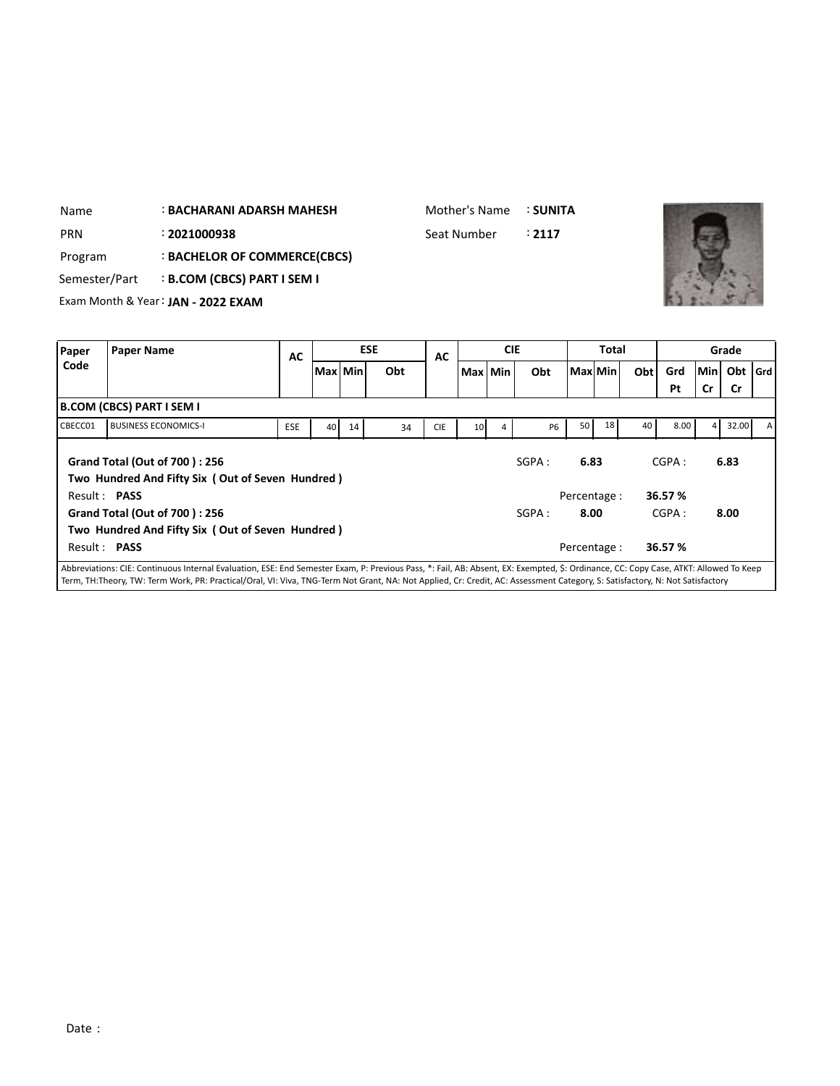| Name          | <b>BACHARANI ADARSH MAHESH</b> |                                    |           |         |  |            |             | Mother's Name |            | : SUNITA |              |     |           |           |           |       |
|---------------|--------------------------------|------------------------------------|-----------|---------|--|------------|-------------|---------------|------------|----------|--------------|-----|-----------|-----------|-----------|-------|
| <b>PRN</b>    |                                | : 2021000938                       |           |         |  |            | Seat Number |               |            | : 2117   |              |     |           |           |           |       |
| Program       |                                | : BACHELOR OF COMMERCE(CBCS)       |           |         |  |            |             |               |            |          |              |     |           |           |           |       |
| Semester/Part |                                | <b>B.COM (CBCS) PART I SEM I</b>   |           |         |  |            |             |               |            |          |              |     |           |           |           |       |
|               |                                | Exam Month & Year: JAN - 2022 EXAM |           |         |  |            |             |               |            |          |              |     |           |           |           |       |
|               |                                |                                    |           |         |  |            |             |               |            |          |              |     |           |           |           |       |
| Paper         | <b>Paper Name</b>              |                                    | <b>AC</b> |         |  | <b>ESE</b> | <b>AC</b>   |               | <b>CIE</b> |          | <b>Total</b> |     |           |           | Grade     |       |
| Code          |                                |                                    |           | Max Min |  | Obt        |             | Max Min       |            | Obt      | Max Min      | Obt | Grd<br>Pt | Min<br>Cr | Obt<br>Cr | l Grd |

|              |                                                                                                                                                                                      |            |    |    |    |            |                 |   |           |                 |    |    | Pt      | Cr | Cr    |              |
|--------------|--------------------------------------------------------------------------------------------------------------------------------------------------------------------------------------|------------|----|----|----|------------|-----------------|---|-----------|-----------------|----|----|---------|----|-------|--------------|
|              | <b>B.COM (CBCS) PART I SEM I</b>                                                                                                                                                     |            |    |    |    |            |                 |   |           |                 |    |    |         |    |       |              |
| CBECC01      | <b>BUSINESS ECONOMICS-I</b>                                                                                                                                                          | <b>ESE</b> | 40 | 14 | 34 | <b>CIE</b> | 10 <sup>1</sup> | 4 | <b>P6</b> | 50 <sub>1</sub> | 18 | 40 | 8.00    | 4  | 32.00 | $\mathsf{A}$ |
|              | <b>Grand Total (Out of 700): 256</b><br>Two Hundred And Fifty Six (Out of Seven Hundred)                                                                                             |            |    |    |    |            |                 |   | SGPA:     | 6.83            |    |    | CGPA:   |    | 6.83  |              |
| Result: PASS |                                                                                                                                                                                      |            |    |    |    |            |                 |   |           | Percentage:     |    |    | 36.57 % |    |       |              |
|              | Grand Total (Out of 700): 256                                                                                                                                                        |            |    |    |    |            |                 |   | SGPA:     | 8.00            |    |    | CGPA:   |    | 8.00  |              |
|              | Two Hundred And Fifty Six (Out of Seven Hundred)                                                                                                                                     |            |    |    |    |            |                 |   |           |                 |    |    |         |    |       |              |
| Result: PASS |                                                                                                                                                                                      |            |    |    |    |            |                 |   |           | Percentage :    |    |    | 36.57 % |    |       |              |
|              | Abbreviations: CIE: Continuous Internal Evaluation, ESE: End Semester Exam, P: Previous Pass, *: Fail, AB: Absent, EX: Exempted, \$: Ordinance, CC: Copy Case, ATKT: Allowed To Keep |            |    |    |    |            |                 |   |           |                 |    |    |         |    |       |              |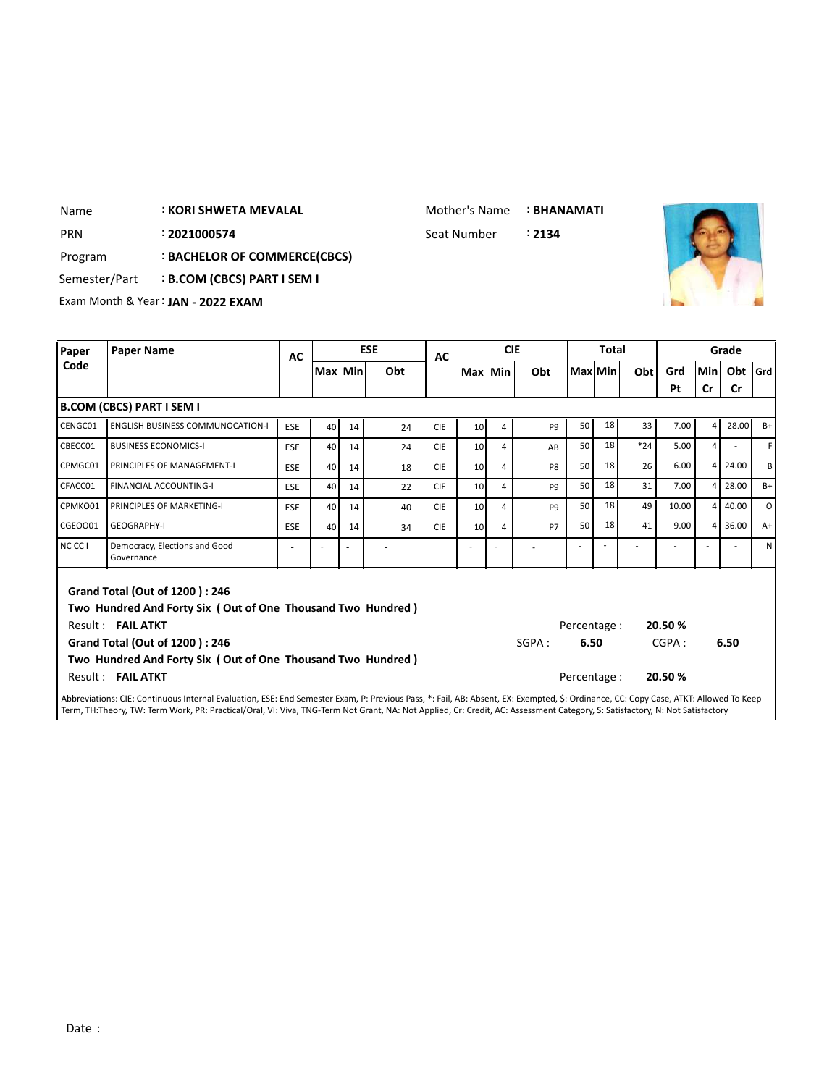: **KORI SHWETA MEVALAL** Name

Mother's Name : **BHANAMATI**

: Seat Number PRN 2**021000574** Seat Number



Program : **BACHELOR OF COMMERCE(CBCS)**

Semester/Part : **B.COM (CBCS) PART I SEM I** 

Exam Month & Year: **JAN - 2022 EXAM**

| Paper   | <b>Paper Name</b>                                                                                                                                                                                                                               | AC         |         |    | <b>ESE</b> | AC         |                 |   | <b>CIE</b>     |                                      | Total   |       |                           |     | Grade |              |
|---------|-------------------------------------------------------------------------------------------------------------------------------------------------------------------------------------------------------------------------------------------------|------------|---------|----|------------|------------|-----------------|---|----------------|--------------------------------------|---------|-------|---------------------------|-----|-------|--------------|
| Code    |                                                                                                                                                                                                                                                 |            | Max Min |    | Obt        |            | Max Min         |   | Obt            |                                      | Max Min | Obt   | Grd                       | Min | Obt   | l Grd        |
|         |                                                                                                                                                                                                                                                 |            |         |    |            |            |                 |   |                |                                      |         |       | Pt                        | Cr  | Cr    |              |
|         | B.COM (CBCS) PART I SEM I                                                                                                                                                                                                                       |            |         |    |            |            |                 |   |                |                                      |         |       |                           |     |       |              |
| CENGC01 | <b>ENGLISH BUSINESS COMMUNOCATION-I</b>                                                                                                                                                                                                         | <b>ESE</b> | 40      | 14 | 24         | <b>CIE</b> | 10 <sup>1</sup> | 4 | P <sub>9</sub> | 50                                   | 18      | 33    | 7.00                      | 4   | 28.00 | $B+$         |
| CBECC01 | <b>BUSINESS ECONOMICS-I</b>                                                                                                                                                                                                                     | ESE        | 40      | 14 | 24         | <b>CIE</b> | 10              | 4 | AB             | 50                                   | 18      | $*24$ | 5.00                      | 4   |       | F.           |
| CPMGC01 | PRINCIPLES OF MANAGEMENT-I                                                                                                                                                                                                                      | ESE        | 40      | 14 | 18         | <b>CIE</b> | 10 <sup>1</sup> | 4 | P <sub>8</sub> | 50                                   | 18      | 26    | 6.00                      | 4   | 24.00 | B            |
| CFACC01 | <b>FINANCIAL ACCOUNTING-I</b>                                                                                                                                                                                                                   | ESE        | 40      | 14 | 22         | <b>CIE</b> | 10              | 4 | P <sub>9</sub> | 50                                   | 18      | 31    | 7.00                      | 4   | 28.00 | $B+$         |
| CPMKO01 | PRINCIPLES OF MARKETING-I                                                                                                                                                                                                                       | <b>ESE</b> | 40      | 14 | 40         | <b>CIE</b> | 10 <sup>1</sup> | 4 | P <sub>9</sub> | 50                                   | 18      | 49    | 10.00                     | 4   | 40.00 | $\circ$      |
| CGE0001 | <b>GEOGRAPHY-I</b>                                                                                                                                                                                                                              | <b>ESE</b> | 40      | 14 | 34         | <b>CIE</b> | 10              | 4 | <b>P7</b>      | 50                                   | 18      | 41    | 9.00                      | 4   | 36.00 | $A+$         |
| NC CC I | Democracy, Elections and Good<br>Governance                                                                                                                                                                                                     | ÷          |         | ٠  |            |            |                 |   |                |                                      |         |       |                           |     |       | $\mathsf{N}$ |
|         | Grand Total (Out of 1200): 246<br>Two Hundred And Forty Six (Out of One Thousand Two Hundred)<br>Result: FAIL ATKT<br><b>Grand Total (Out of 1200): 246</b><br>Two Hundred And Forty Six (Out of One Thousand Two Hundred)<br>Result: FAIL ATKT |            |         |    |            |            |                 |   | SGPA:          | Percentage :<br>6.50<br>Percentage : |         |       | 20.50%<br>CGPA:<br>20.50% |     | 6.50  |              |
|         | Abbreviations: CIE: Continuous Internal Evaluation, ESE: End Semester Exam, P: Previous Pass, *: Fail, AB: Absent, EX: Exempted, \$: Ordinance, CC: Copy Case, ATKT: Allowed To Keep                                                            |            |         |    |            |            |                 |   |                |                                      |         |       |                           |     |       |              |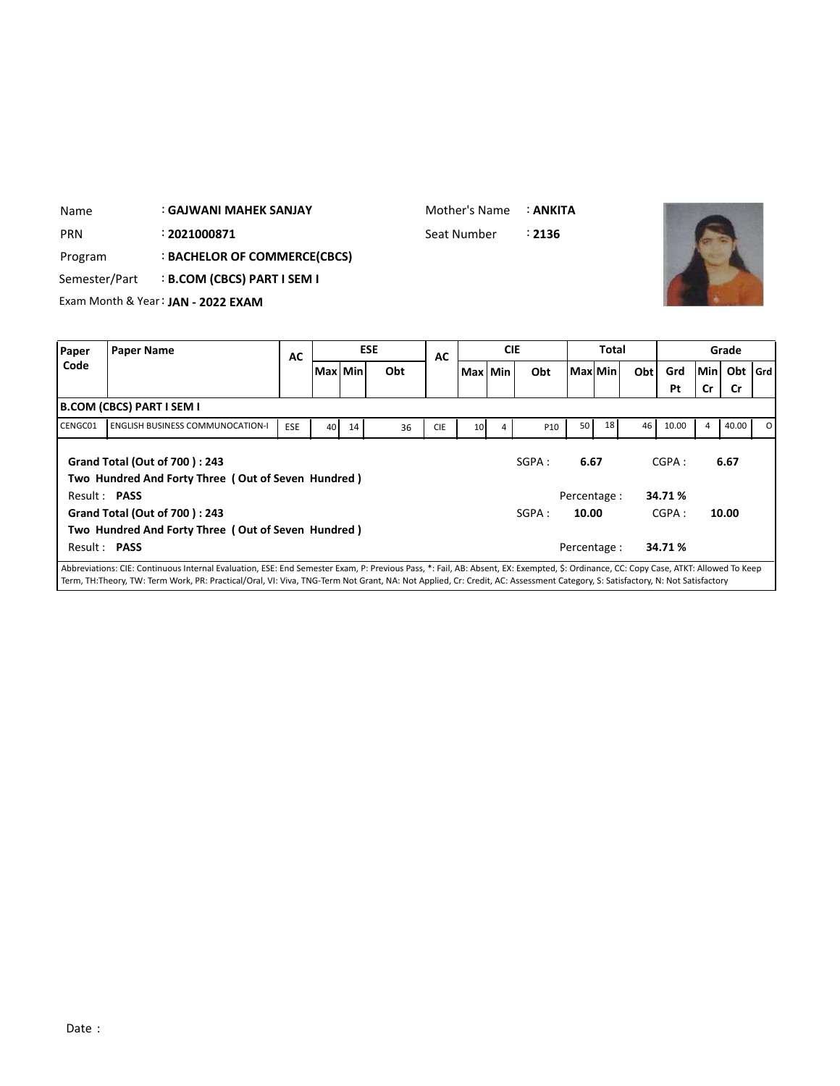| <b>PRN</b>    | : 2021000871                                       |                                  |            |           |    |            | Seat Number |                 |            | : 2136     |      |              |     |       |       |           |       |
|---------------|----------------------------------------------------|----------------------------------|------------|-----------|----|------------|-------------|-----------------|------------|------------|------|--------------|-----|-------|-------|-----------|-------|
| Program       |                                                    | : BACHELOR OF COMMERCE(CBCS)     |            |           |    |            |             |                 |            |            |      |              |     |       |       |           |       |
| Semester/Part |                                                    | <b>B.COM (CBCS) PART I SEM I</b> |            |           |    |            |             |                 |            |            |      |              |     |       |       |           |       |
|               | Exam Month & Year: JAN - 2022 EXAM                 |                                  |            |           |    |            |             |                 |            |            |      |              |     |       |       |           |       |
|               |                                                    |                                  |            |           |    |            |             |                 |            |            |      |              |     |       |       |           |       |
| Paper         | <b>Paper Name</b>                                  |                                  | <b>AC</b>  |           |    | <b>ESE</b> | AC          |                 | <b>CIE</b> |            |      | <b>Total</b> |     |       |       | Grade     |       |
| Code          |                                                    |                                  |            | Max   Min |    | Obt        |             |                 | Max Min    | Obt        |      | Max Min      | Obt | Grd   | lMinl | Obt       | l Grd |
|               |                                                    |                                  |            |           |    |            |             |                 |            |            |      |              |     | Pt    | Cr    | <b>Cr</b> |       |
|               | <b>B.COM (CBCS) PART I SEM I</b>                   |                                  |            |           |    |            |             |                 |            |            |      |              |     |       |       |           |       |
| CENGC01       | <b>ENGLISH BUSINESS COMMUNOCATION-I</b>            |                                  | <b>ESE</b> | 40        | 14 | 36         | <b>CIE</b>  | 10 <sup>1</sup> |            | <b>P10</b> | 50   | 18           | 46  | 10.00 | 4     | 40.00     | Ω     |
|               | Grand Total (Out of 700): 243                      |                                  |            |           |    |            |             |                 |            | SGPA:      | 6.67 |              |     | CGPA: |       | 6.67      |       |
|               | Two Hundred And Forty Three (Out of Seven Hundred) |                                  |            |           |    |            |             |                 |            |            |      |              |     |       |       |           |       |

: **GAJWANI MAHEK SANJAY**

Name

Mother's Name : **ANKITA**

**Grand Total (Out of 700 ) : 243 Two Hundred And Forty Three ( Out of Seven Hundred )** Result : **PASS** Percentage : **34.71 %** SGPA : **10.00** CGPA : **10.00** Abbreviations: CIE: Continuous Internal Evaluation, ESE: End Semester Exam, P: Previous Pass, \*: Fail, AB: Absent, EX: Exempted, \$: Ordinance, CC: Copy Case, ATKT: Allowed To Keep Term, TH:Theory, TW: Term Work, PR: Practical/Oral, VI: Viva, TNG-Term Not Grant, NA: Not Applied, Cr: Credit, AC: Assessment Category, S: Satisfactory, N: Not Satisfactory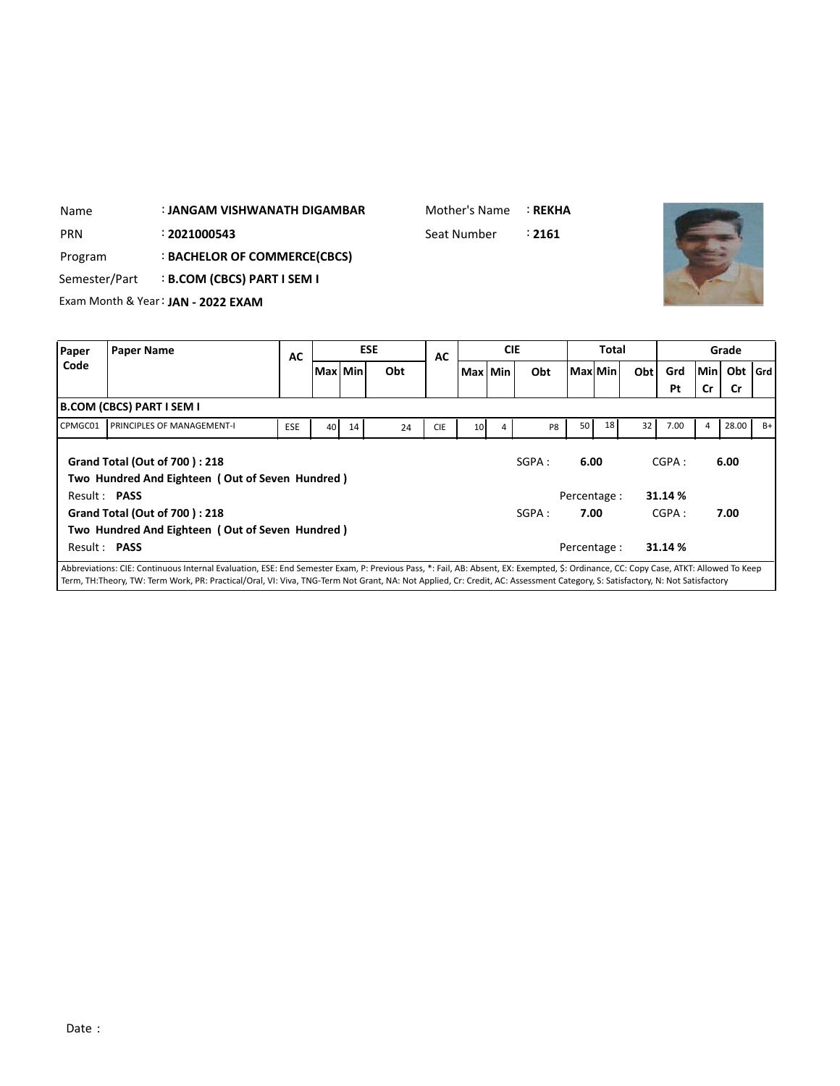| Name                                         | : JANGAM VISHWANATH DIGAMBAR     |           |    |            | Mother's Name |                 |            | <b>: REKHA</b> |                |              |     |           |             |                  |       |
|----------------------------------------------|----------------------------------|-----------|----|------------|---------------|-----------------|------------|----------------|----------------|--------------|-----|-----------|-------------|------------------|-------|
| <b>PRN</b><br>: 2021000543                   |                                  |           |    |            | Seat Number   |                 |            | : 2161         |                |              |     |           |             |                  |       |
| Program                                      | : BACHELOR OF COMMERCE(CBCS)     |           |    |            |               |                 |            |                |                |              |     |           |             |                  |       |
| Semester/Part                                | <b>B.COM (CBCS) PART I SEM I</b> |           |    |            |               |                 |            |                |                |              |     |           |             |                  |       |
| Exam Month & Year: JAN - 2022 EXAM           |                                  |           |    | <b>ESE</b> |               |                 | <b>CIE</b> |                |                | <b>Total</b> |     |           |             |                  |       |
| Paper<br><b>Paper Name</b><br>Code           | AC                               |           |    |            | AC            |                 |            |                |                |              |     |           |             | Grade            |       |
|                                              |                                  | Max   Min |    | Obt        |               | Max Min         |            | Obt            | <b>Max</b> Min |              | Obt | Grd<br>Pt | Min I<br>Cr | Obt<br><b>Cr</b> | l Grd |
| <b>B.COM (CBCS) PART I SEM I</b>             |                                  |           |    |            |               |                 |            |                |                |              |     |           |             |                  |       |
| CPMGC01<br><b>PRINCIPLES OF MANAGEMENT-I</b> | <b>ESE</b>                       | 40        | 14 | 24         | <b>CIE</b>    | 10 <sup>1</sup> | 4          | P8             | 50             | 18           | 32  | 7.00      | 4           | 28.00            | $B+$  |

| CPMGC01             | <b>I PRINCIPLES OF MANAGEMENT-I</b>                                                     | <b>ESE</b> | 40 I | 14 | 24 | <b>CIE</b> | 10 <sub>1</sub> | 4 | P <sub>8</sub> | 50 <sub>1</sub> | 18 <sup>1</sup> | 32 | 7.00    | 4 | 28.00 |  |
|---------------------|-----------------------------------------------------------------------------------------|------------|------|----|----|------------|-----------------|---|----------------|-----------------|-----------------|----|---------|---|-------|--|
|                     | <b>Grand Total (Out of 700): 218</b><br>Two Hundred And Eighteen (Out of Seven Hundred) |            |      |    |    |            |                 |   | SGPA:          | 6.00            |                 |    | CGPA:   |   | 6.00  |  |
| Result: <b>PASS</b> |                                                                                         |            |      |    |    |            |                 |   |                | Percentage:     |                 |    | 31.14 % |   |       |  |
|                     | <b>Grand Total (Out of 700): 218</b>                                                    |            |      |    |    |            |                 |   | SGPA:          | 7.00            |                 |    | CGPA:   |   | 7.00  |  |
|                     | Two Hundred And Eighteen (Out of Seven Hundred)                                         |            |      |    |    |            |                 |   |                |                 |                 |    |         |   |       |  |
| Result: PASS        |                                                                                         |            |      |    |    |            |                 |   |                | Percentage:     |                 |    | 31.14 % |   |       |  |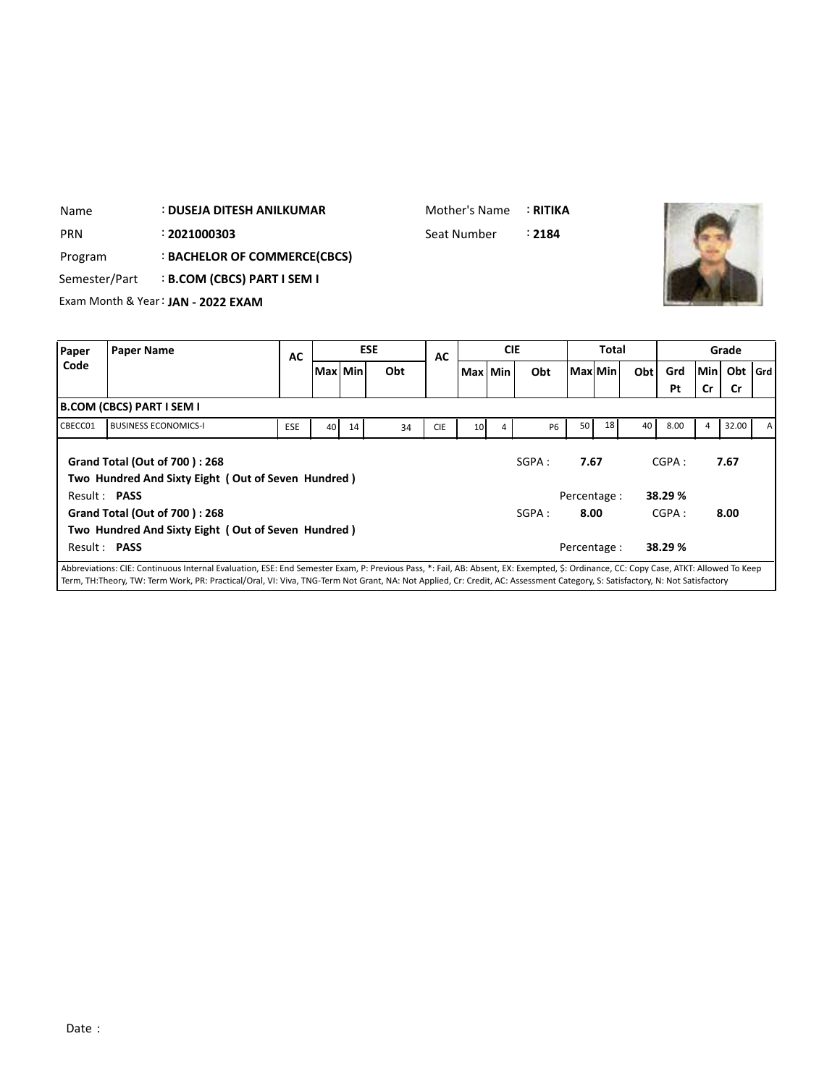| Name       | : DUSEJA DITESH ANILKUMAR                 | Mother's Name : RITIKA |       |
|------------|-------------------------------------------|------------------------|-------|
| <b>PRN</b> | : 2021000303                              | Seat Number            | ∶2184 |
| Program    | : BACHELOR OF COMMERCE(CBCS)              |                        |       |
|            | Semester/Part : B.COM (CBCS) PART I SEM I |                        |       |
|            | Exam Month & Year: JAN - 2022 EXAM        |                        |       |

| Paper   | <b>Paper Name</b>                                                                                                                                                                    | AC         |         |    | <b>ESE</b> | <b>AC</b>  |                 | <b>CIE</b> |           |      | <b>Total</b> |     |         |       | Grade     |              |
|---------|--------------------------------------------------------------------------------------------------------------------------------------------------------------------------------------|------------|---------|----|------------|------------|-----------------|------------|-----------|------|--------------|-----|---------|-------|-----------|--------------|
| Code    |                                                                                                                                                                                      |            | Max Min |    | Obt        |            |                 | Max Min    | Obt       |      | Max Min      | Obt | Grd     | Min I | Obt   Grd |              |
|         |                                                                                                                                                                                      |            |         |    |            |            |                 |            |           |      |              |     | Pt      | Cr    | <b>Cr</b> |              |
|         | B.COM (CBCS) PART I SEM I                                                                                                                                                            |            |         |    |            |            |                 |            |           |      |              |     |         |       |           |              |
| CBECC01 | <b>BUSINESS ECONOMICS-I</b>                                                                                                                                                          | <b>ESE</b> | 40      | 14 | 34         | <b>CIE</b> | 10 <sup>1</sup> | 4          | <b>P6</b> | 50   | 18           | 40  | 8.00    | 4     | 32.00     | $\mathsf{A}$ |
|         | Grand Total (Out of 700): 268<br>Two Hundred And Sixty Eight (Out of Seven Hundred)                                                                                                  |            |         |    |            |            |                 |            | SGPA:     | 7.67 |              |     | CGPA:   |       | 7.67      |              |
|         | Result: <b>PASS</b>                                                                                                                                                                  |            |         |    |            |            |                 |            |           |      | Percentage:  |     | 38.29 % |       |           |              |
|         | Grand Total (Out of 700): 268                                                                                                                                                        |            |         |    |            |            |                 |            | SGPA:     | 8.00 |              |     | CGPA:   |       | 8.00      |              |
|         | Two Hundred And Sixty Eight (Out of Seven Hundred)                                                                                                                                   |            |         |    |            |            |                 |            |           |      |              |     |         |       |           |              |
|         | Result: PASS                                                                                                                                                                         |            |         |    |            |            |                 |            |           |      | Percentage : |     | 38.29 % |       |           |              |
|         | Abbreviations: CIE: Continuous Internal Evaluation, ESE: End Semester Exam, P: Previous Pass, *: Fail, AB: Absent, EX: Exempted, \$: Ordinance, CC: Copy Case, ATKT: Allowed To Keep |            |         |    |            |            |                 |            |           |      |              |     |         |       |           |              |

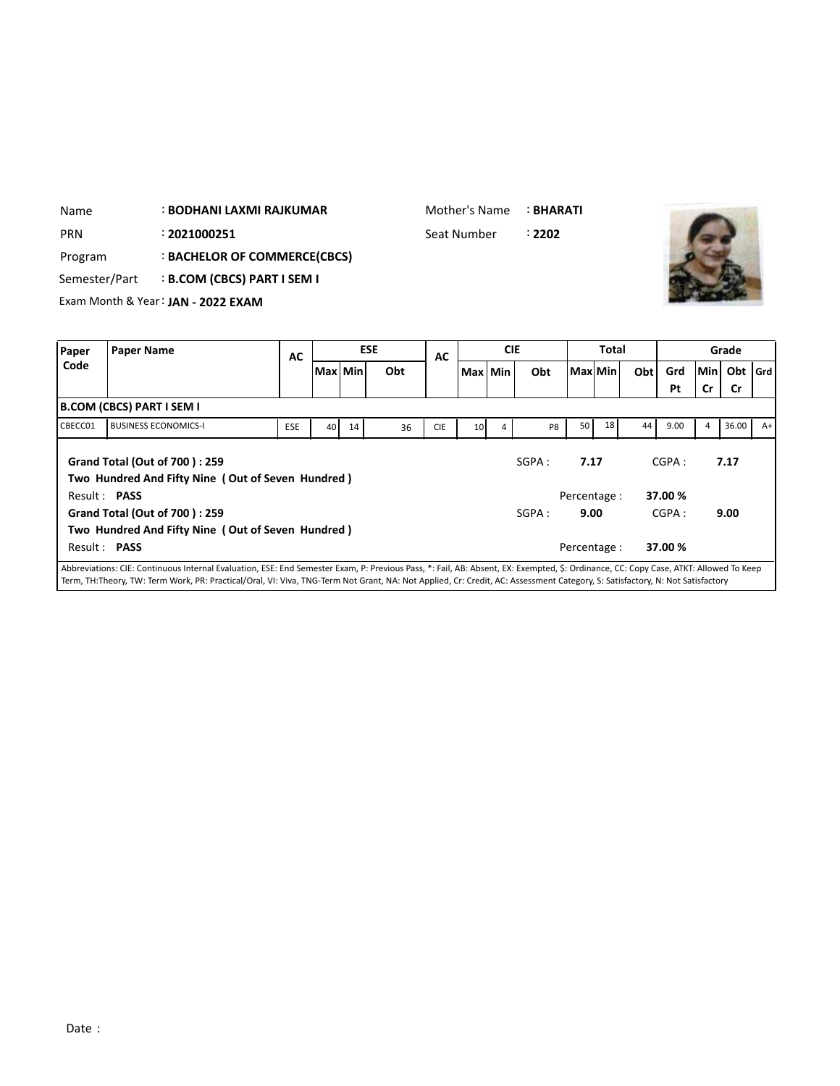| Name          | <b>: BODHANI LAXMI RAJKUMAR</b>    | Mother's Name : <b>BHARATI</b> |        |
|---------------|------------------------------------|--------------------------------|--------|
| <b>PRN</b>    | : 2021000251                       | Seat Number                    | : 2202 |
| Program       | : BACHELOR OF COMMERCE(CBCS)       |                                |        |
| Semester/Part | B.COM (CBCS) PART I SEM I :        |                                |        |
|               | Exam Month & Year: JAN - 2022 EXAM |                                |        |
|               |                                    |                                |        |

| Paper        | <b>Paper Name</b>                                                                                                                                                                    | AC         |           |    | <b>ESE</b> | AC         |                 | <b>CIE</b> |                |                 | <b>Total</b> |     |        |           | Grade     |      |
|--------------|--------------------------------------------------------------------------------------------------------------------------------------------------------------------------------------|------------|-----------|----|------------|------------|-----------------|------------|----------------|-----------------|--------------|-----|--------|-----------|-----------|------|
| Code         |                                                                                                                                                                                      |            | Max   Min |    | Obt        |            | Max Min         |            | Obt            |                 | Max Min      | Obt | Grd    | Min       | Obt   Grd |      |
|              |                                                                                                                                                                                      |            |           |    |            |            |                 |            |                |                 |              |     | Pt     | <b>Cr</b> | <b>Cr</b> |      |
|              | <b>B.COM (CBCS) PART I SEM I</b>                                                                                                                                                     |            |           |    |            |            |                 |            |                |                 |              |     |        |           |           |      |
| CBECC01      | <b>BUSINESS ECONOMICS-I</b>                                                                                                                                                          | <b>ESE</b> | 40        | 14 | 36         | <b>CIE</b> | 10 <sup>1</sup> | 4          | P <sub>8</sub> | 50 <sub>1</sub> | 18           | 44  | 9.00   | 4         | 36.00     | $A+$ |
|              | <b>Grand Total (Out of 700): 259</b><br>Two Hundred And Fifty Nine (Out of Seven Hundred)                                                                                            |            |           |    |            |            |                 |            | SGPA:          | 7.17            |              |     | CGPA:  |           | 7.17      |      |
| Result: PASS |                                                                                                                                                                                      |            |           |    |            |            |                 |            |                | Percentage:     |              |     | 37.00% |           |           |      |
|              | <b>Grand Total (Out of 700): 259</b>                                                                                                                                                 |            |           |    |            |            |                 |            | SGPA:          | 9.00            |              |     | CGPA:  |           | 9.00      |      |
|              | Two Hundred And Fifty Nine (Out of Seven Hundred)                                                                                                                                    |            |           |    |            |            |                 |            |                |                 |              |     |        |           |           |      |
| Result: PASS |                                                                                                                                                                                      |            |           |    |            |            |                 |            |                | Percentage :    |              |     | 37.00% |           |           |      |
|              | Abbreviations: CIE: Continuous Internal Evaluation, ESE: End Semester Exam, P: Previous Pass, *: Fail, AB: Absent, EX: Exempted, \$: Ordinance, CC: Copy Case, ATKT: Allowed To Keep |            |           |    |            |            |                 |            |                |                 |              |     |        |           |           |      |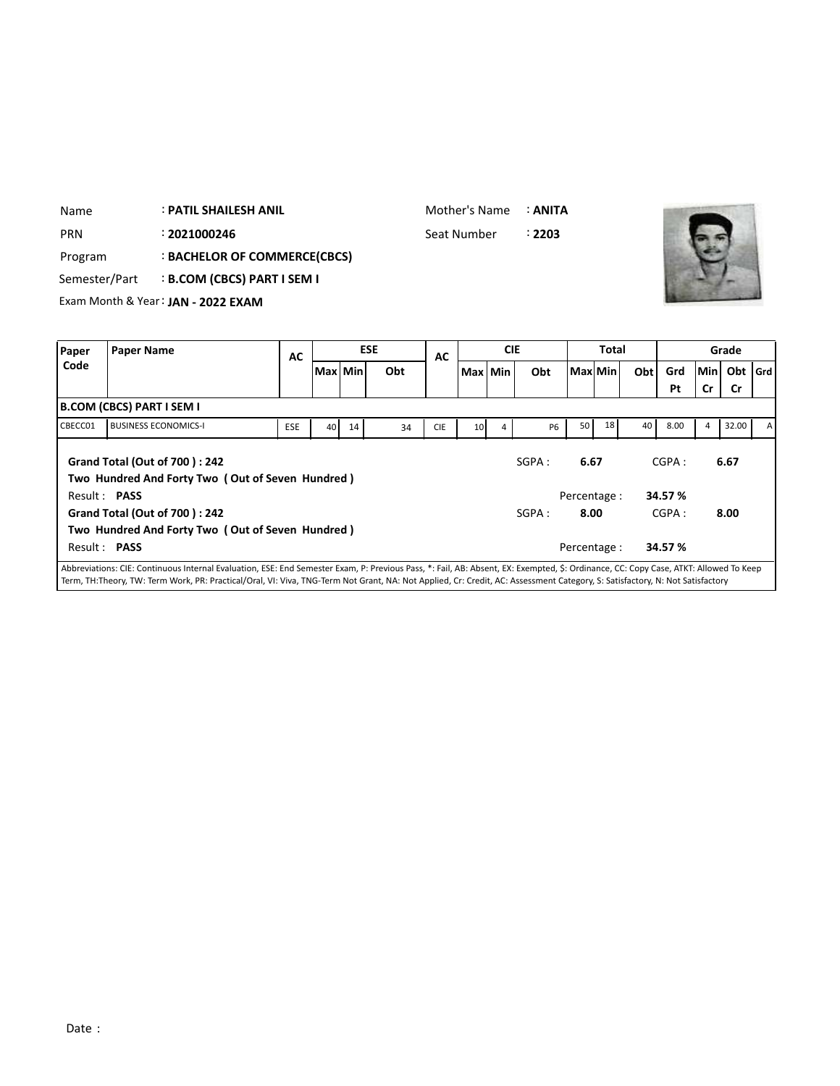| Name       | <b>: PATIL SHAILESH ANIL</b>              | Mother's Name : <b>ANITA</b> |        |
|------------|-------------------------------------------|------------------------------|--------|
| <b>PRN</b> | : 2021000246                              | Seat Number                  | : 2203 |
| Program    | : BACHELOR OF COMMERCE(CBCS)              |                              |        |
|            | Semester/Part : B.COM (CBCS) PART I SEM I |                              |        |
|            | Exam Month & Year: JAN - 2022 EXAM        |                              |        |



| Paper   | <b>Paper Name</b>                                                                                                                                                                    | <b>AC</b> |           |    | <b>ESE</b> | AC         |                 | <b>CIE</b> |           |      | Total        |     |        |       | Grade     |   |
|---------|--------------------------------------------------------------------------------------------------------------------------------------------------------------------------------------|-----------|-----------|----|------------|------------|-----------------|------------|-----------|------|--------------|-----|--------|-------|-----------|---|
| Code    |                                                                                                                                                                                      |           | Max   Min |    | Obt        |            |                 | Max Min    | Obt       |      | Maxl Min     | Obt | Grd    | Min I | Obt   Grd |   |
|         |                                                                                                                                                                                      |           |           |    |            |            |                 |            |           |      |              |     | Pt     | Cr    | Cr        |   |
|         | <b>B.COM (CBCS) PART I SEM I</b>                                                                                                                                                     |           |           |    |            |            |                 |            |           |      |              |     |        |       |           |   |
| CBECC01 | <b>BUSINESS ECONOMICS-I</b>                                                                                                                                                          | ESE       | 40        | 14 | 34         | <b>CIE</b> | 10 <sup>1</sup> | 4          | <b>P6</b> | 50   | 18           | 40  | 8.00   | 4     | 32.00     | A |
|         | <b>Grand Total (Out of 700): 242</b><br>Two Hundred And Forty Two (Out of Seven Hundred)                                                                                             |           |           |    |            |            |                 |            | SGPA :    | 6.67 |              |     | CGPA:  |       | 6.67      |   |
|         | Result: <b>PASS</b>                                                                                                                                                                  |           |           |    |            |            |                 |            |           |      | Percentage:  |     | 34.57% |       |           |   |
|         | <b>Grand Total (Out of 700): 242</b>                                                                                                                                                 |           |           |    |            |            |                 |            | SGPA :    |      | 8.00         |     | CGPA:  |       | 8.00      |   |
|         | Two Hundred And Forty Two (Out of Seven Hundred)                                                                                                                                     |           |           |    |            |            |                 |            |           |      |              |     |        |       |           |   |
|         | Result: PASS                                                                                                                                                                         |           |           |    |            |            |                 |            |           |      | Percentage : |     | 34.57% |       |           |   |
|         | Abbreviations: CIE: Continuous Internal Evaluation, ESE: End Semester Exam, P: Previous Pass, *: Fail, AB: Absent, EX: Exempted, \$: Ordinance, CC: Copy Case, ATKT: Allowed To Keep |           |           |    |            |            |                 |            |           |      |              |     |        |       |           |   |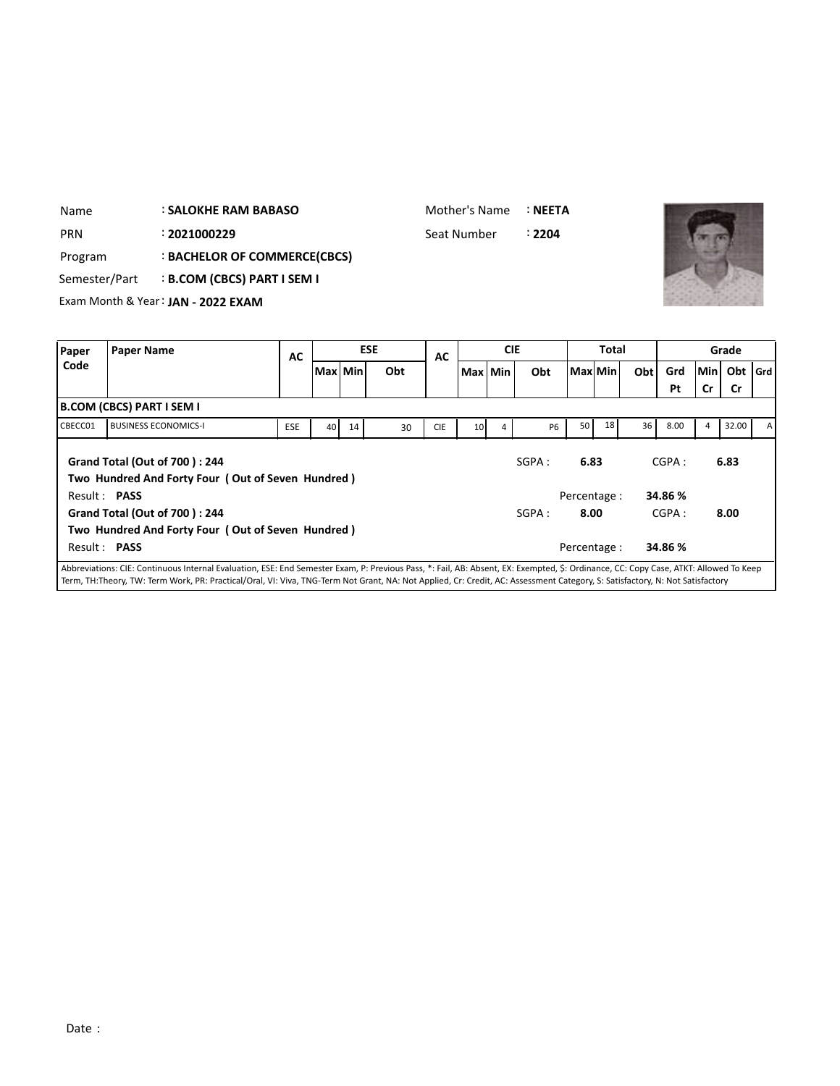| <b>PRN</b>    |                                  | : 2021000229                                      |     |                 |    |            | Seat Number |                 |            | : 2204    |             |                |     |         |     |           |       |
|---------------|----------------------------------|---------------------------------------------------|-----|-----------------|----|------------|-------------|-----------------|------------|-----------|-------------|----------------|-----|---------|-----|-----------|-------|
| Program       |                                  | : BACHELOR OF COMMERCE(CBCS)                      |     |                 |    |            |             |                 |            |           |             |                |     |         |     |           |       |
| Semester/Part |                                  | <b>B.COM (CBCS) PART I SEM I</b>                  |     |                 |    |            |             |                 |            |           |             |                |     |         |     |           |       |
|               |                                  | Exam Month & Year: JAN - 2022 EXAM                |     |                 |    |            |             |                 |            |           |             |                |     |         |     |           |       |
|               |                                  |                                                   |     |                 |    |            |             |                 |            |           |             |                |     |         |     |           |       |
| Paper         | <b>Paper Name</b>                |                                                   | AC  |                 |    | <b>ESE</b> | <b>AC</b>   |                 | <b>CIE</b> |           |             | Total          |     |         |     | Grade     |       |
| Code          |                                  |                                                   |     | Max Min         |    | Obt        |             | Max Min         |            | Obt       |             | <b>Max</b> Min | Obt | Grd     | Min | Obt       | l Grd |
|               |                                  |                                                   |     |                 |    |            |             |                 |            |           |             |                |     | Pt      | Cr  | <b>Cr</b> |       |
|               | <b>B.COM (CBCS) PART I SEM I</b> |                                                   |     |                 |    |            |             |                 |            |           |             |                |     |         |     |           |       |
| CBECC01       |                                  | <b>BUSINESS ECONOMICS-I</b>                       | ESE | 40 <sup>1</sup> | 14 | 30         | <b>CIE</b>  | 10 <sup>1</sup> | 4          | <b>P6</b> | 50          | 18             | 36  | 8.00    | 4   | 32.00     |       |
|               |                                  |                                                   |     |                 |    |            |             |                 |            |           |             |                |     |         |     |           |       |
|               |                                  | <b>Grand Total (Out of 700): 244</b>              |     |                 |    |            |             |                 |            | SGPA:     | 6.83        |                |     | CGPA:   |     | 6.83      |       |
|               | Result: PASS                     | Two Hundred And Forty Four (Out of Seven Hundred) |     |                 |    |            |             |                 |            |           | Percentage: |                |     | 34.86 % |     |           |       |
|               |                                  | Grand Total (Out of 700): 244                     |     |                 |    |            |             |                 |            | SGPA:     | 8.00        |                |     | CGPA:   |     | 8.00      |       |
|               |                                  |                                                   |     |                 |    |            |             |                 |            |           |             |                |     |         |     |           |       |

Abbreviations: CIE: Continuous Internal Evaluation, ESE: End Semester Exam, P: Previous Pass, \*: Fail, AB: Absent, EX: Exempted, \$: Ordinance, CC: Copy Case, ATKT: Allowed To Keep Term, TH:Theory, TW: Term Work, PR: Practical/Oral, VI: Viva, TNG-Term Not Grant, NA: Not Applied, Cr: Credit, AC: Assessment Category, S: Satisfactory, N: Not Satisfactory

Result : **PASS** Percentage : **34.86 %**

: **SALOKHE RAM BABASO** Name

**Two Hundred And Forty Four ( Out of Seven Hundred )**

Mother's Name :**NEETA**

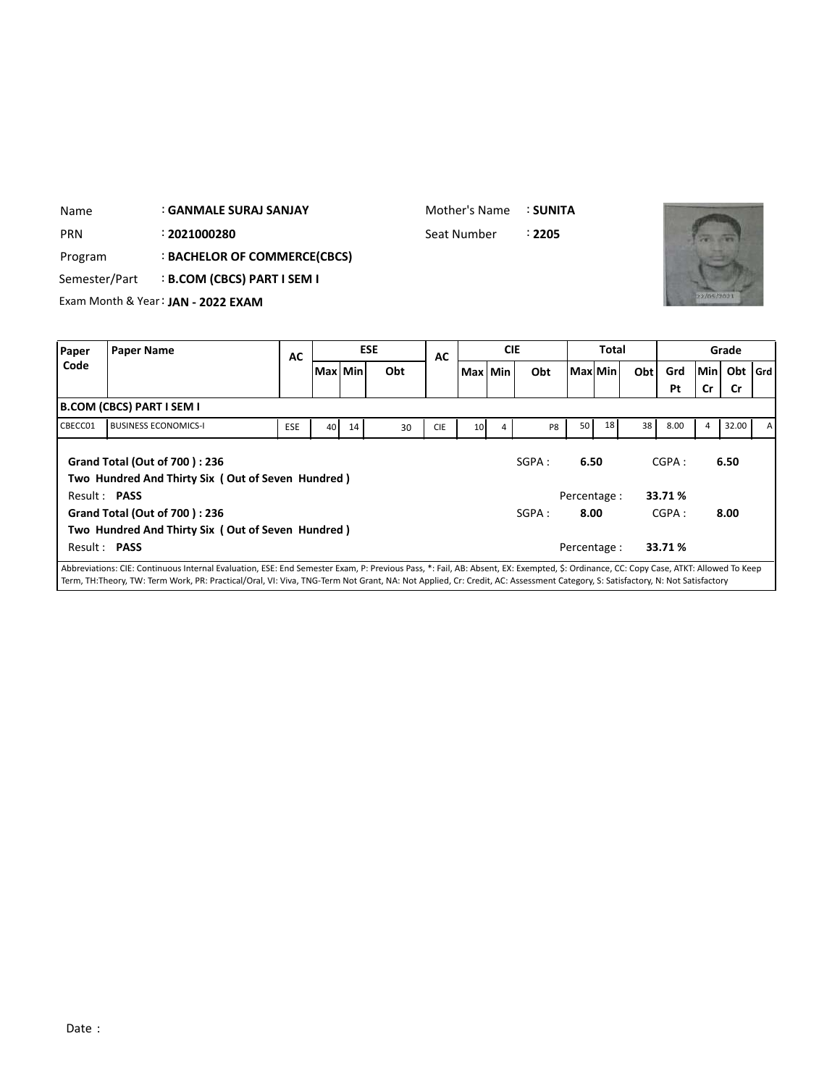| Name       |                                  | <b>GANMALE SURAJ SANJAY</b>        |            |           |    |            | Mother's Name |                 |            | : SUNITA |              |              |     |      |            |       |       |
|------------|----------------------------------|------------------------------------|------------|-----------|----|------------|---------------|-----------------|------------|----------|--------------|--------------|-----|------|------------|-------|-------|
| <b>PRN</b> |                                  | : 2021000280                       |            |           |    |            | Seat Number   |                 |            | :2205    |              |              |     |      |            |       |       |
| Program    |                                  | : BACHELOR OF COMMERCE(CBCS)       |            |           |    |            |               |                 |            |          |              |              |     |      |            |       |       |
|            | Semester/Part                    | <b>B.COM (CBCS) PART I SEM I</b>   |            |           |    |            |               |                 |            |          |              |              |     |      |            |       |       |
|            |                                  | Exam Month & Year: JAN - 2022 EXAM |            |           |    |            |               |                 |            |          |              |              |     |      | 22/05/2021 |       |       |
|            |                                  |                                    |            |           |    |            |               |                 |            |          |              |              |     |      |            |       |       |
|            |                                  |                                    |            |           |    |            |               |                 |            |          |              |              |     |      |            |       |       |
| Paper      | <b>Paper Name</b>                |                                    |            |           |    | <b>ESE</b> |               |                 | <b>CIE</b> |          |              | <b>Total</b> |     |      |            | Grade |       |
| Code       |                                  |                                    | AC         | Max   Min |    | Obt        | AC            | Max Min         |            | Obt      | l Maxl Min l |              | Obt | Grd  | Min        | Obt   | l Grd |
|            |                                  |                                    |            |           |    |            |               |                 |            |          |              |              |     | Pt   | Cr         | Cr    |       |
|            | <b>B.COM (CBCS) PART I SEM I</b> |                                    |            |           |    |            |               |                 |            |          |              |              |     |      |            |       |       |
| CBECC01    |                                  | <b>BUSINESS ECONOMICS-I</b>        | <b>ESE</b> | 40        | 14 | 30         | <b>CIE</b>    | 10 <sup>1</sup> | 4          | P8       | 50           | 18           | 38  | 8.00 | 4          | 32.00 | А     |

Mother's Name : **SUNITA**

|                     |                                                                                    |            |    |    |    |            |                 |   |                |                 |                 |                 | Pt      | Cr | Cr    |                |
|---------------------|------------------------------------------------------------------------------------|------------|----|----|----|------------|-----------------|---|----------------|-----------------|-----------------|-----------------|---------|----|-------|----------------|
|                     | <b>B.COM (CBCS) PART I SEM I</b>                                                   |            |    |    |    |            |                 |   |                |                 |                 |                 |         |    |       |                |
| CBECC01             | <b>BUSINESS ECONOMICS-I</b>                                                        | <b>ESE</b> | 40 | 14 | 30 | <b>CIE</b> | 10 <sup>1</sup> | 4 | P <sub>8</sub> | 50 <sub>1</sub> | 18 <sup>1</sup> | 38 <sup>1</sup> | 8.00    | 4  | 32.00 | $\overline{A}$ |
|                     | Grand Total (Out of 700): 236<br>Two Hundred And Thirty Six (Out of Seven Hundred) |            |    |    |    |            |                 |   | SGPA:          | 6.50            |                 |                 | CGPA:   |    | 6.50  |                |
| Result: PASS        |                                                                                    |            |    |    |    |            |                 |   |                | Percentage :    |                 |                 | 33.71 % |    |       |                |
|                     | <b>Grand Total (Out of 700): 236</b>                                               |            |    |    |    |            |                 |   | SGPA :         | 8.00            |                 |                 | CGPA:   |    | 8.00  |                |
|                     | Two Hundred And Thirty Six (Out of Seven Hundred)                                  |            |    |    |    |            |                 |   |                |                 |                 |                 |         |    |       |                |
| Result: <b>PASS</b> |                                                                                    |            |    |    |    |            |                 |   |                | Percentage :    |                 |                 | 33.71 % |    |       |                |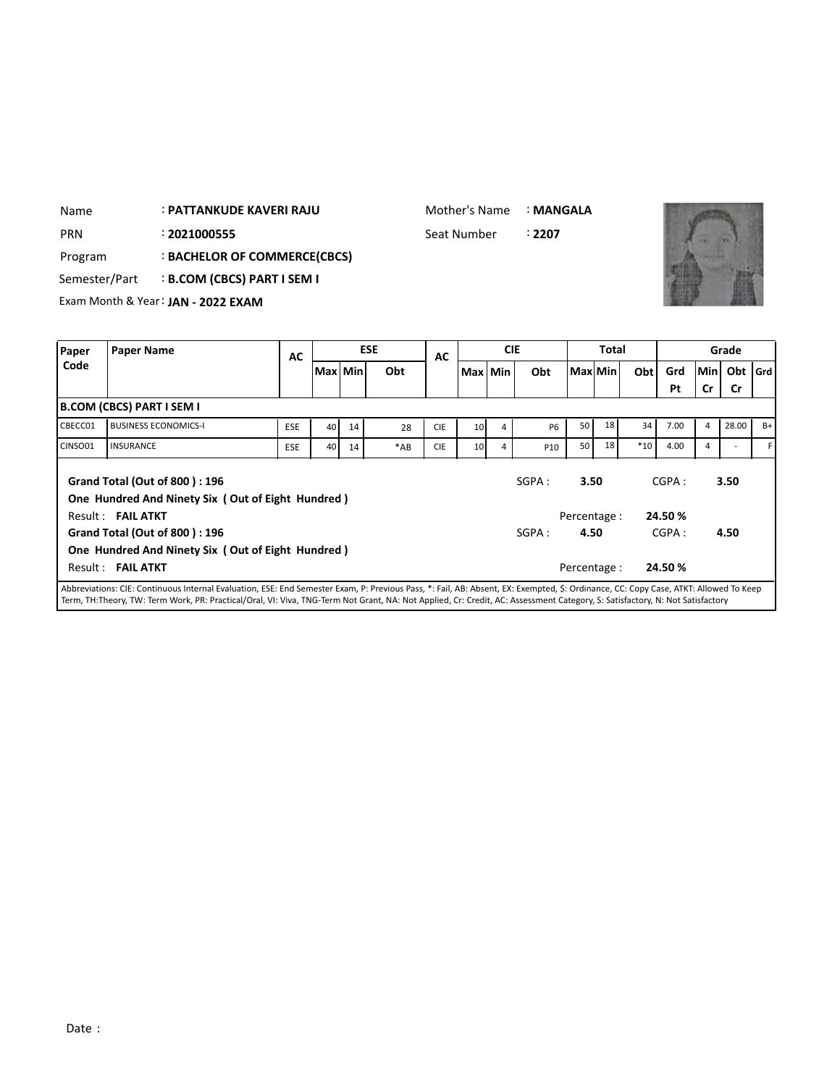| Name          | : PATTANKUDE KAVERI RAJU           |    |         |            | Mother's Name |           |            | : MANGALA |              |     |     |            |       |
|---------------|------------------------------------|----|---------|------------|---------------|-----------|------------|-----------|--------------|-----|-----|------------|-------|
| <b>PRN</b>    | : 2021000555                       |    |         |            | Seat Number   |           |            | : 2207    |              |     |     |            |       |
| Program       | : BACHELOR OF COMMERCE(CBCS)       |    |         |            |               |           |            |           |              |     |     |            |       |
| Semester/Part | <b>B.COM (CBCS) PART I SEM I</b>   |    |         |            |               |           |            |           |              |     |     |            |       |
|               | Exam Month & Year: JAN - 2022 EXAM |    |         |            |               |           |            |           |              |     |     |            |       |
|               |                                    |    |         |            |               |           |            |           |              |     |     |            |       |
| Paper         | <b>Paper Name</b>                  | AC |         | <b>ESE</b> | AC            |           | <b>CIE</b> |           | <b>Total</b> |     |     |            | Grade |
| Code          |                                    |    | Max Min | Obt        |               | Max   Min |            | Obt       | Max Min      | Obt | Grd | <b>Min</b> | Obt   |

| , upc,  | . .p.                                                                              | AC         |           |    |       | AC         |                 |   |           |                 |    |       |        |           | -----     |    |
|---------|------------------------------------------------------------------------------------|------------|-----------|----|-------|------------|-----------------|---|-----------|-----------------|----|-------|--------|-----------|-----------|----|
| Code    |                                                                                    |            | Max   Min |    | Obt   |            | Max Min         |   | Obt       | Max Min         |    | Obt   | Grd    | Min       | Obt   Grd |    |
|         |                                                                                    |            |           |    |       |            |                 |   |           |                 |    |       | Pt     | <b>Cr</b> | Cr        |    |
|         | <b>B.COM (CBCS) PART I SEM I</b>                                                   |            |           |    |       |            |                 |   |           |                 |    |       |        |           |           |    |
| CBECC01 | <b>BUSINESS ECONOMICS-I</b>                                                        | <b>ESE</b> | 40        | 14 | 28    | <b>CIE</b> | 10 <sup>1</sup> | 4 | <b>P6</b> | 50 <sup>1</sup> | 18 | 34    | 7.00   | 4         | 28.00     | B+ |
| CINSO01 | <b>INSURANCE</b>                                                                   | <b>ESE</b> | 40        | 14 | $*AB$ | <b>CIE</b> | 10 <sup>1</sup> | 4 | P10       | 50 <sub>1</sub> | 18 | $*10$ | 4.00   | 4         |           |    |
|         | Grand Total (Out of 800): 196<br>One Hundred And Ninety Six (Out of Eight Hundred) |            |           |    |       |            |                 |   | SGPA:     | 3.50            |    |       | CGPA:  |           | 3.50      |    |
|         | Result: FAIL ATKT                                                                  |            |           |    |       |            |                 |   |           | Percentage :    |    |       | 24.50% |           |           |    |
|         | Grand Total (Out of 800): 196                                                      |            |           |    |       |            |                 |   | SGPA:     | 4.50            |    |       | CGPA:  |           | 4.50      |    |
|         | One Hundred And Ninety Six (Out of Eight Hundred)                                  |            |           |    |       |            |                 |   |           |                 |    |       |        |           |           |    |
|         | Result: FAIL ATKT                                                                  |            |           |    |       |            |                 |   |           | Percentage :    |    |       | 24.50% |           |           |    |
|         |                                                                                    |            |           |    |       |            |                 |   |           | .               |    |       |        |           |           |    |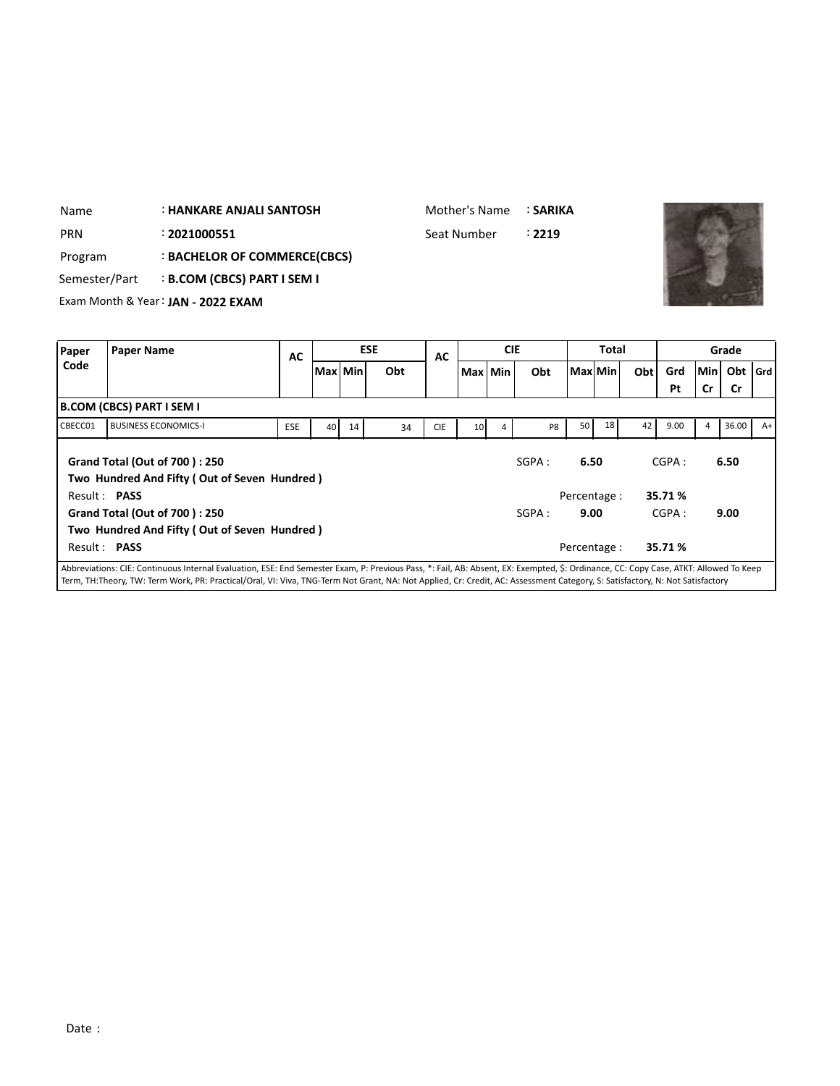| <b>PRN</b><br>Program<br>Semester/Part |                                  | : 2021000551<br>: BACHELOR OF COMMERCE(CBCS)<br><b>B.COM (CBCS) PART I SEM I</b><br>Exam Month & Year: JAN - 2022 EXAM |           |           |            |     |            | Seat Number     |            | : 2219 |           |       |     |                |            |                   |      |
|----------------------------------------|----------------------------------|------------------------------------------------------------------------------------------------------------------------|-----------|-----------|------------|-----|------------|-----------------|------------|--------|-----------|-------|-----|----------------|------------|-------------------|------|
| Paper                                  | <b>Paper Name</b>                |                                                                                                                        | <b>AC</b> |           | <b>ESE</b> |     | <b>AC</b>  |                 | <b>CIE</b> |        |           | Total |     |                |            | Grade             |      |
| Code                                   |                                  |                                                                                                                        |           | Max   Min |            | Obt |            |                 | Max Min    | Obt    | Maxl Minl |       | Obt | Grd<br>Pt      | Min <br>Cr | Obt   Grd  <br>Cr |      |
|                                        | <b>B.COM (CBCS) PART I SEM I</b> |                                                                                                                        |           |           |            |     |            |                 |            |        |           |       |     |                |            |                   |      |
| CBECC01                                |                                  | <b>BUSINESS ECONOMICS-I</b>                                                                                            | ESE       | 40        | 14         | 34  | <b>CIE</b> | 10 <sup>1</sup> | 4          | P8     | 50        | 18    | 42  | 9.00           | 4          | 36.00             | $A+$ |
|                                        | .                                | Grand Total (Out of 700): 250<br>Two Hundred And Fifty (Out of Seven Hundred)                                          |           |           |            |     |            |                 |            | SGPA:  | 6.50      |       |     | CGPA:<br>----- |            | 6.50              |      |

: **HANKARE ANJALI SANTOSH**

Name

Mother's Name : **SARIKA**

| Two Hundred And Fifty (Out of Seven Hundred)                                                |       |              |         |      |
|---------------------------------------------------------------------------------------------|-------|--------------|---------|------|
| Result: PASS                                                                                |       | Percentage : | 35.71 % |      |
| <b>Grand Total (Out of 700): 250</b>                                                        | SGPA: | 9.00         | CGPA:   | 9.00 |
| Two Hundred And Fifty (Out of Seven Hundred)                                                |       |              |         |      |
| Result: <b>PASS</b>                                                                         |       | Percentage : | 35.71 % |      |
| All the other the letter formed the position wednesd to the the contract of American Indian |       |              |         |      |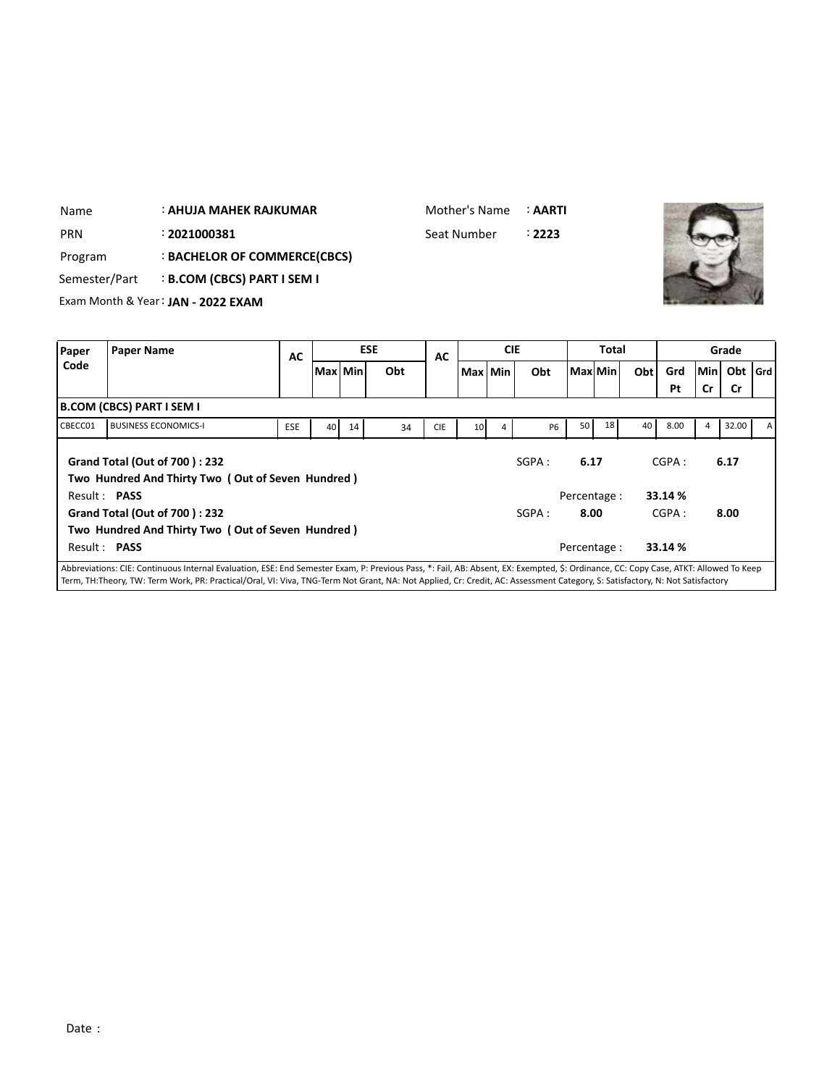| Name       | : AHUJA MAHEK RAJKUMAR                    | Mother's Name : <b>AARTI</b> |        |
|------------|-------------------------------------------|------------------------------|--------|
| <b>PRN</b> | : 2021000381                              | Seat Number                  | : 2223 |
| Program    | : BACHELOR OF COMMERCE(CBCS)              |                              |        |
|            | Semester/Part : B.COM (CBCS) PART I SEM I |                              |        |
|            | Exam Month & Year: JAN - 2022 EXAM        |                              |        |

| Paper        | <b>Paper Name</b>                                                                                                                                                                    | AC         |           |    | <b>ESE</b> | AC         |                 |   | <b>CIE</b> |                 | <b>Total</b> |     |         |       | Grade     |              |
|--------------|--------------------------------------------------------------------------------------------------------------------------------------------------------------------------------------|------------|-----------|----|------------|------------|-----------------|---|------------|-----------------|--------------|-----|---------|-------|-----------|--------------|
| Code         |                                                                                                                                                                                      |            | Max   Min |    | Obt        |            | Max   Min       |   | Obt        |                 | ! Maxl Min l | Obt | Grd     | Min I | Obt   Grd |              |
|              |                                                                                                                                                                                      |            |           |    |            |            |                 |   |            |                 |              |     | Pt      | Cr    | <b>Cr</b> |              |
|              | <b>B.COM (CBCS) PART I SEM I</b>                                                                                                                                                     |            |           |    |            |            |                 |   |            |                 |              |     |         |       |           |              |
| CBECC01      | <b>BUSINESS ECONOMICS-I</b>                                                                                                                                                          | <b>ESE</b> | 40        | 14 | 34         | <b>CIE</b> | 10 <sup>1</sup> | 4 | <b>P6</b>  | 50 <sub>1</sub> | 18           | 40  | 8.00    | 4     | 32.00     | $\mathsf{A}$ |
|              | <b>Grand Total (Out of 700): 232</b><br>Two Hundred And Thirty Two (Out of Seven Hundred)                                                                                            |            |           |    |            |            |                 |   | SGPA:      | 6.17            |              |     | CGPA:   |       | 6.17      |              |
|              | Result: PASS                                                                                                                                                                         |            |           |    |            |            |                 |   |            |                 | Percentage:  |     | 33.14 % |       |           |              |
|              | <b>Grand Total (Out of 700): 232</b>                                                                                                                                                 |            |           |    |            |            |                 |   | SGPA:      | 8.00            |              |     | CGPA:   |       | 8.00      |              |
|              | Two Hundred And Thirty Two (Out of Seven Hundred)                                                                                                                                    |            |           |    |            |            |                 |   |            |                 |              |     |         |       |           |              |
| Result: PASS |                                                                                                                                                                                      |            |           |    |            |            |                 |   |            |                 | Percentage:  |     | 33.14 % |       |           |              |
|              | Abbreviations: CIE: Continuous Internal Evaluation, ESE: End Semester Exam, P: Previous Pass, *: Fail, AB: Absent, EX: Exempted, \$: Ordinance, CC: Copy Case, ATKT: Allowed To Keep |            |           |    |            |            |                 |   |            |                 |              |     |         |       |           |              |

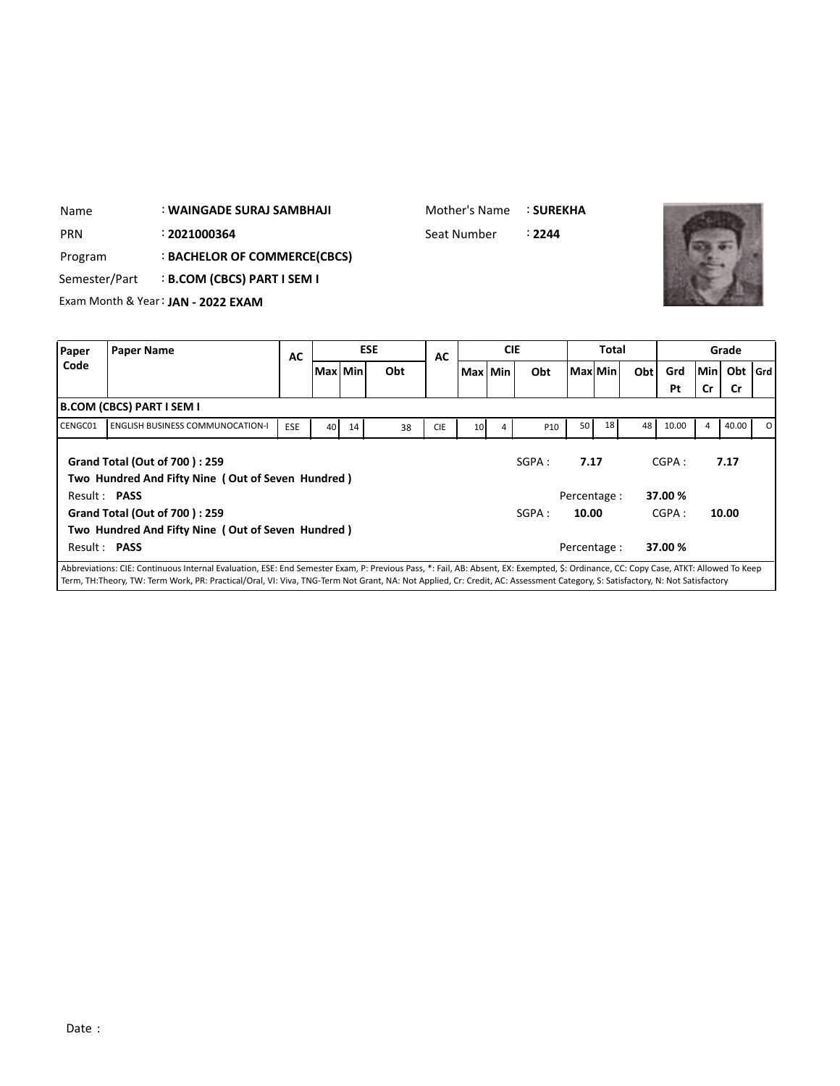| Name       | : WAINGADE SURAJ SAMBHAJI                 | Mother's Name : SUREKHA |        |
|------------|-------------------------------------------|-------------------------|--------|
| <b>PRN</b> | : 2021000364                              | Seat Number             | ፡ 2244 |
| Program    | : BACHELOR OF COMMERCE(CBCS)              |                         |        |
|            | Semester/Part : B.COM (CBCS) PART I SEM I |                         |        |
|            | Exam Month & Year: JAN - 2022 EXAM        |                         |        |



| Paper        | <b>Paper Name</b>                                                                                                                                                                   | AC         |         |    | <b>ESE</b> | AC         |                 | <b>CIE</b> |                 |       | <b>Total</b> |            |         |            | Grade     |    |
|--------------|-------------------------------------------------------------------------------------------------------------------------------------------------------------------------------------|------------|---------|----|------------|------------|-----------------|------------|-----------------|-------|--------------|------------|---------|------------|-----------|----|
| Code         |                                                                                                                                                                                     |            | Max Min |    | Obt        |            | Max Min         |            | Obt             |       | Maxl Min     | <b>Obt</b> | Grd     | <b>Min</b> | Obt   Grd |    |
|              |                                                                                                                                                                                     |            |         |    |            |            |                 |            |                 |       |              |            | Pt      | Cr         | <b>Cr</b> |    |
|              | B.COM (CBCS) PART I SEM I                                                                                                                                                           |            |         |    |            |            |                 |            |                 |       |              |            |         |            |           |    |
| CENGC01      | <b>ENGLISH BUSINESS COMMUNOCATION-I</b>                                                                                                                                             | <b>ESE</b> | 40      | 14 | 38         | <b>CIE</b> | 10 <sup>1</sup> | 4          | P <sub>10</sub> | 50    | 18           | 48         | 10.00   | 4          | 40.00     | 0. |
|              | <b>Grand Total (Out of 700): 259</b><br>Two Hundred And Fifty Nine (Out of Seven Hundred)                                                                                           |            |         |    |            |            |                 |            | SGPA:           | 7.17  |              |            | CGPA:   |            | 7.17      |    |
| Result: PASS |                                                                                                                                                                                     |            |         |    |            |            |                 |            |                 |       | Percentage:  |            | 37.00%  |            |           |    |
|              | <b>Grand Total (Out of 700): 259</b>                                                                                                                                                |            |         |    |            |            |                 |            | SGPA:           | 10.00 |              |            | CGPA:   |            | 10.00     |    |
|              | Two Hundred And Fifty Nine (Out of Seven Hundred)                                                                                                                                   |            |         |    |            |            |                 |            |                 |       |              |            |         |            |           |    |
| Result: PASS |                                                                                                                                                                                     |            |         |    |            |            |                 |            |                 |       | Percentage:  |            | 37.00 % |            |           |    |
|              | Abbreviations: CIE: Continuous Internal Evaluation, ESE: End Semester Exam, P: Previous Pass, *: Fail, AB: Absent, EX: Exempted, S: Ordinance, CC: Copy Case, ATKT: Allowed To Keep |            |         |    |            |            |                 |            |                 |       |              |            |         |            |           |    |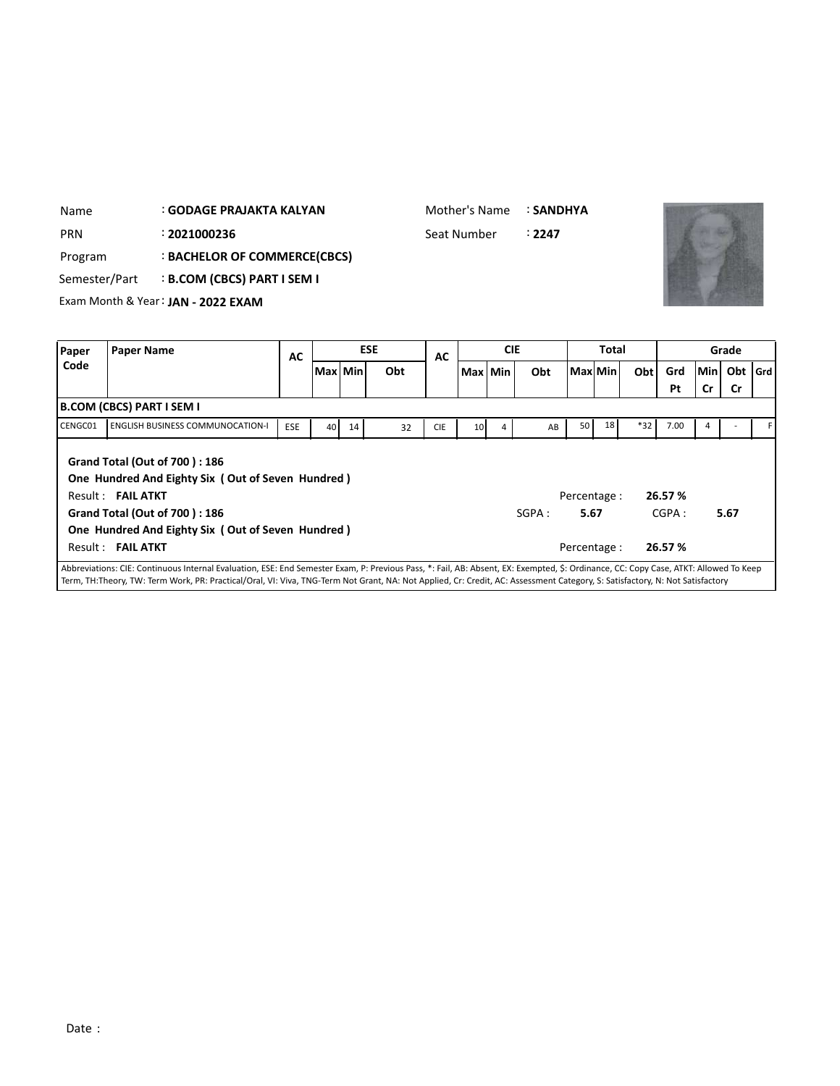| Name          |                                    | : GODAGE PRAJAKTA KALYAN                          |            |                 |         |            |            | Mother's Name   |            | <b>: SANDHYA</b> |              |         |       |       |           |       |     |
|---------------|------------------------------------|---------------------------------------------------|------------|-----------------|---------|------------|------------|-----------------|------------|------------------|--------------|---------|-------|-------|-----------|-------|-----|
| <b>PRN</b>    |                                    | : 2021000236                                      |            |                 |         |            |            | Seat Number     |            | :2247            |              |         |       |       |           |       |     |
| Program       |                                    | : BACHELOR OF COMMERCE(CBCS)                      |            |                 |         |            |            |                 |            |                  |              |         |       |       |           |       |     |
| Semester/Part |                                    | <b>B.COM (CBCS) PART I SEM I</b>                  |            |                 |         |            |            |                 |            |                  |              |         |       |       |           |       |     |
|               |                                    | Exam Month & Year: JAN - 2022 EXAM                |            |                 |         |            |            |                 |            |                  |              |         |       |       |           |       |     |
|               |                                    |                                                   |            |                 |         |            |            |                 |            |                  |              |         |       |       |           |       |     |
| Paper         | <b>Paper Name</b>                  |                                                   | <b>AC</b>  |                 |         | <b>ESE</b> | <b>AC</b>  |                 | <b>CIE</b> |                  |              | Total   |       |       |           | Grade |     |
| Code          |                                    |                                                   |            |                 | Max Min | Obt        |            |                 | Max Min    | Obt              |              | Max Min | Obt   | Grd   | Min       | Obt   | Grd |
|               |                                    |                                                   |            |                 |         |            |            |                 |            |                  |              |         |       | Pt    | <b>Cr</b> | Cr    |     |
|               | <b>B.COM (CBCS) PART I SEM I</b>   |                                                   |            |                 |         |            |            |                 |            |                  |              |         |       |       |           |       |     |
| CENGC01       |                                    | <b>ENGLISH BUSINESS COMMUNOCATION-I</b>           | <b>ESE</b> | 40 <sub>1</sub> | 14      | 32         | <b>CIE</b> | 10 <sup>1</sup> | 4          | AB               | 50           | 18      | $*32$ | 7.00  | 4         |       |     |
|               |                                    |                                                   |            |                 |         |            |            |                 |            |                  |              |         |       |       |           |       |     |
|               |                                    | Grand Total (Out of 700): 186                     |            |                 |         |            |            |                 |            |                  |              |         |       |       |           |       |     |
|               |                                    | One Hundred And Eighty Six (Out of Seven Hundred) |            |                 |         |            |            |                 |            |                  |              |         |       |       |           |       |     |
|               | $R$ $\rho$ sult · <b>FAII ATKT</b> |                                                   |            |                 |         |            |            |                 |            |                  | Percentage · |         |       | 2657% |           |       |     |

Mother's Name : **SANDHYA**

Result : **FAIL ATKT** Percentage : **26.57 % Grand Total (Out of 700 ) : 186 One Hundred And Eighty Six ( Out of Seven Hundred )** Result : **FAIL ATKT** Percentage : **26.57 %** SGPA: **5.67** CGPA: **5.67**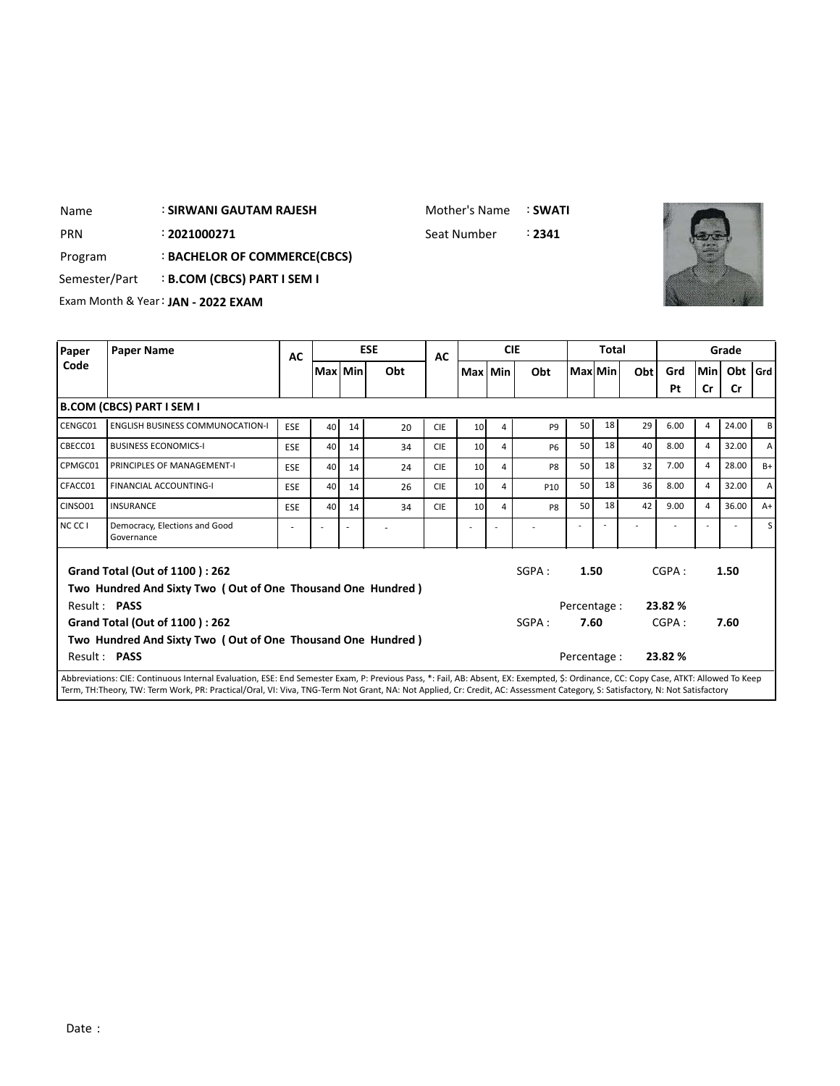## : **SIRWANI GAUTAM RAJESH** Name

Mother's Name : **SWATI**

: PRN 2021000271 Seat Number : 2341



Program : **BACHELOR OF COMMERCE(CBCS)**

Semester/Part : **B.COM (CBCS) PART I SEM I** 

Exam Month & Year: **JAN - 2022 EXAM**

| Paper        | <b>Paper Name</b>                                                                                    | AC         |           |    | <b>ESE</b> | AC         |                 |   | <b>CIE</b>     |              | Total   |     |         |                | Grade     |              |
|--------------|------------------------------------------------------------------------------------------------------|------------|-----------|----|------------|------------|-----------------|---|----------------|--------------|---------|-----|---------|----------------|-----------|--------------|
| Code         |                                                                                                      |            | Max   Min |    | Obt        |            | Max Min         |   | Obt            |              | Max Min | Obt | Grd     | lMinl          | Obt       | l Grd l      |
|              |                                                                                                      |            |           |    |            |            |                 |   |                |              |         |     | Pt      | Cr             | <b>Cr</b> |              |
|              | B.COM (CBCS) PART I SEM I                                                                            |            |           |    |            |            |                 |   |                |              |         |     |         |                |           |              |
| CENGC01      | <b>ENGLISH BUSINESS COMMUNOCATION-I</b>                                                              | <b>ESE</b> | 40        | 14 | 20         | <b>CIE</b> | 10 <sup>1</sup> | 4 | P <sub>9</sub> | 50           | 18      | 29  | 6.00    | $\overline{4}$ | 24.00     | В            |
| CBECC01      | <b>BUSINESS ECONOMICS-I</b>                                                                          | <b>ESE</b> | 40        | 14 | 34         | <b>CIE</b> | 10 <sup>1</sup> | 4 | <b>P6</b>      | 50           | 18      | 40  | 8.00    | $\overline{4}$ | 32.00     | $\mathsf{A}$ |
| CPMGC01      | PRINCIPLES OF MANAGEMENT-I                                                                           | <b>ESE</b> | 40        | 14 | 24         | <b>CIE</b> | 10 <sup>1</sup> | 4 | P <sub>8</sub> | 50           | 18      | 32  | 7.00    | $\overline{4}$ | 28.00     | $B+$         |
| CFACC01      | <b>FINANCIAL ACCOUNTING-I</b>                                                                        | <b>ESE</b> | 40        | 14 | 26         | <b>CIE</b> | 10 <sup>1</sup> | 4 | P10            | 50           | 18      | 36  | 8.00    | $\overline{4}$ | 32.00     | $\mathsf{A}$ |
| CINSO01      | <b>INSURANCE</b>                                                                                     | <b>ESE</b> | 40        | 14 | 34         | <b>CIE</b> | 10 <sup>1</sup> | 4 | P <sub>8</sub> | 50           | 18      | 42  | 9.00    | $\overline{4}$ | 36.00     | $A+$         |
| NC CC I      | Democracy, Elections and Good<br>Governance                                                          |            |           | ÷, |            |            |                 |   |                |              |         |     |         |                |           | s l          |
|              | <b>Grand Total (Out of 1100): 262</b><br>Two Hundred And Sixty Two (Out of One Thousand One Hundred) |            |           |    |            |            |                 |   | SGPA:          | 1.50         |         |     | CGPA:   |                | 1.50      |              |
| Result: PASS |                                                                                                      |            |           |    |            |            |                 |   |                | Percentage : |         |     | 23.82 % |                |           |              |
|              | <b>Grand Total (Out of 1100): 262</b>                                                                |            |           |    |            |            |                 |   | SGPA:          | 7.60         |         |     | CGPA:   |                | 7.60      |              |
|              | Two Hundred And Sixty Two (Out of One Thousand One Hundred)                                          |            |           |    |            |            |                 |   |                |              |         |     |         |                |           |              |
| Result: PASS |                                                                                                      |            |           |    |            |            |                 |   |                | Percentage : |         |     | 23.82 % |                |           |              |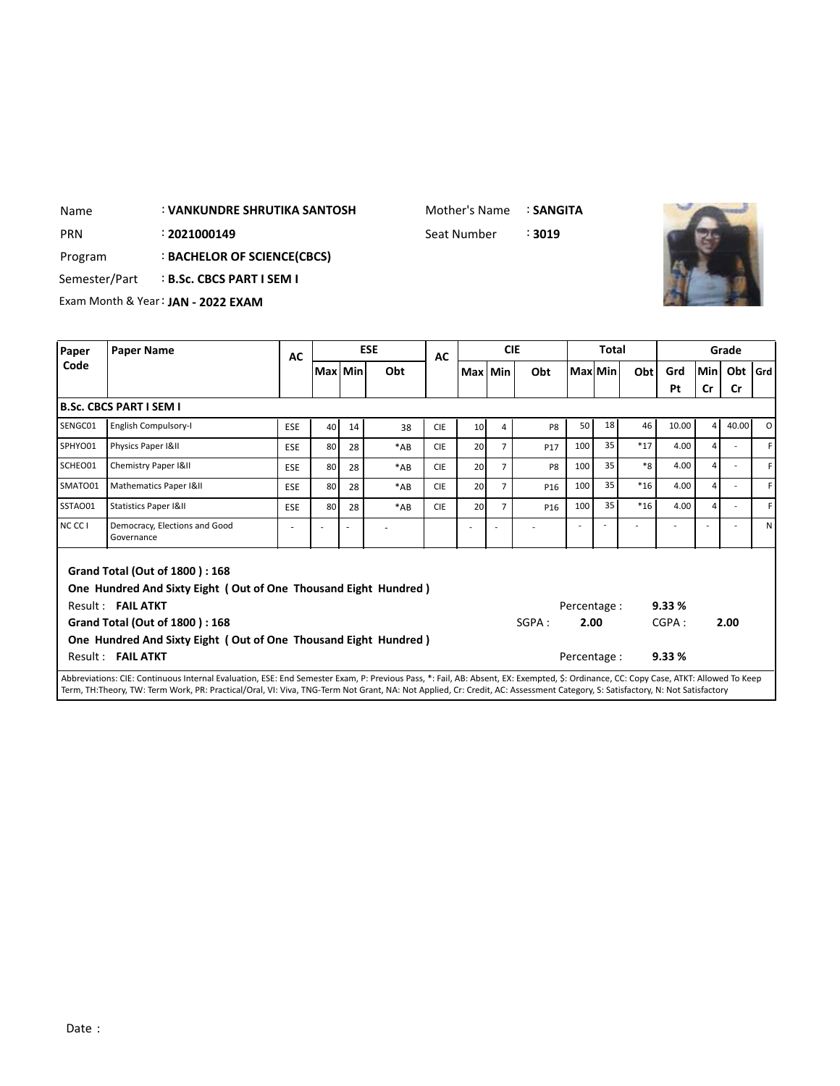Mother's Name : **SANGITA**

: PRN 2021000149 **Seat Number** 3019



Program : **BACHELOR OF SCIENCE(CBCS)**

Semester/Part : **B.Sc. CBCS PART I SEM I** 

Exam Month & Year: **JAN - 2022 EXAM**

| Paper             | <b>Paper Name</b>                                                                                                                                                                    | AC         |         |    | <b>ESE</b> | <b>AC</b>  |                 |                | <b>CIE</b>      |              | Total          |       |       |                | Grade     |     |
|-------------------|--------------------------------------------------------------------------------------------------------------------------------------------------------------------------------------|------------|---------|----|------------|------------|-----------------|----------------|-----------------|--------------|----------------|-------|-------|----------------|-----------|-----|
| Code              |                                                                                                                                                                                      |            | Max Min |    | Obt        |            | Max Min         |                | Obt             |              | <b>Max</b> Min | Obt   | Grd   | <b>Min</b>     | Obt       | Grd |
|                   |                                                                                                                                                                                      |            |         |    |            |            |                 |                |                 |              |                |       | Pt    | <b>Cr</b>      | <b>Cr</b> |     |
|                   | <b>B.Sc. CBCS PART I SEM I</b>                                                                                                                                                       |            |         |    |            |            |                 |                |                 |              |                |       |       |                |           |     |
| SENGC01           | English Compulsory-I                                                                                                                                                                 | <b>ESE</b> | 40      | 14 | 38         | <b>CIE</b> | 10 <sup>1</sup> | 4              | P <sub>8</sub>  | 50           | 18             | 46    | 10.00 | $\overline{4}$ | 40.00     | οI  |
| SPHYO01           | Physics Paper I&II                                                                                                                                                                   | <b>ESE</b> | 80      | 28 | $*AB$      | <b>CIE</b> | 20              | $\overline{7}$ | P17             | 100          | 35             | $*17$ | 4.00  | $\overline{a}$ |           | F.  |
| SCHEO01           | Chemistry Paper I&II                                                                                                                                                                 | <b>ESE</b> | 80      | 28 | $*AB$      | <b>CIE</b> | <b>20</b>       | 7              | P <sub>8</sub>  | 100          | 35             | $*8$  | 4.00  | $\overline{4}$ | ÷         | F I |
| SMATO01           | Mathematics Paper I&II                                                                                                                                                               | <b>ESE</b> | 80      | 28 | $*AB$      | <b>CIE</b> | 20              | $\overline{7}$ | P <sub>16</sub> | 100          | 35             | $*16$ | 4.00  | $\overline{a}$ |           | F I |
| SSTAO01           | <b>Statistics Paper I&amp;II</b>                                                                                                                                                     | ESE        | 80      | 28 | $*AB$      | <b>CIE</b> | 20              | $\overline{7}$ | P <sub>16</sub> | 100          | 35             | $*16$ | 4.00  | $\overline{4}$ |           | F.  |
| NCCC <sub>1</sub> | Democracy, Elections and Good<br>Governance                                                                                                                                          | ٠          |         |    |            |            |                 |                |                 |              |                |       |       |                |           | ΝI  |
|                   | Grand Total (Out of 1800): 168<br>One Hundred And Sixty Eight (Out of One Thousand Eight Hundred)<br>Result: FAIL ATKT                                                               |            |         |    |            |            |                 |                |                 | Percentage : |                |       | 9.33% |                |           |     |
|                   | Grand Total (Out of 1800): 168                                                                                                                                                       |            |         |    |            |            |                 |                | SGPA:           | 2.00         |                |       | CGPA: |                | 2.00      |     |
|                   | One Hundred And Sixty Eight (Out of One Thousand Eight Hundred)                                                                                                                      |            |         |    |            |            |                 |                |                 |              |                |       |       |                |           |     |
|                   | Result: FAIL ATKT                                                                                                                                                                    |            |         |    |            |            |                 |                |                 | Percentage : |                |       | 9.33% |                |           |     |
|                   | Abbreviations: CIE: Continuous Internal Evaluation, ESE: End Semester Exam, P: Previous Pass, *: Fail, AB: Absent, EX: Exempted, \$: Ordinance, CC: Copy Case, ATKT: Allowed To Keep |            |         |    |            |            |                 |                |                 |              |                |       |       |                |           |     |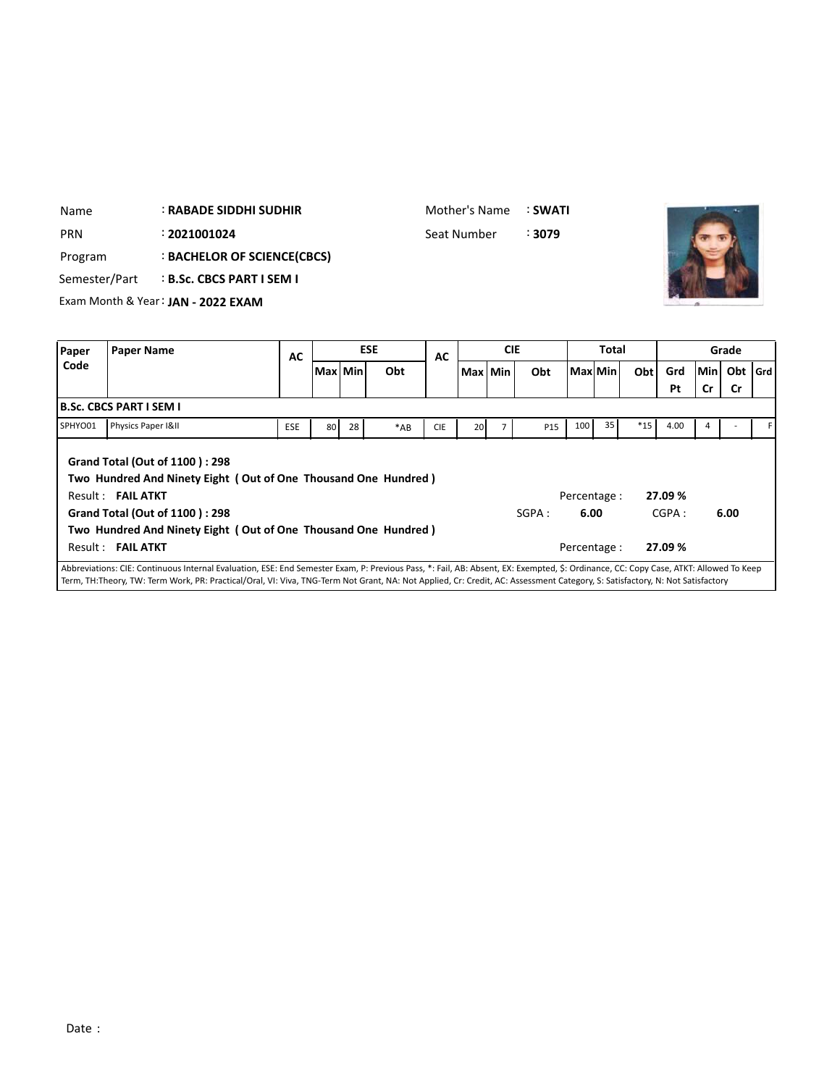| Name       |                                | <b>: RABADE SIDDHI SUDHIR</b>      |           | Mother's Name |            | : SWATI     |            |        |         |              |     |     |           |           |       |
|------------|--------------------------------|------------------------------------|-----------|---------------|------------|-------------|------------|--------|---------|--------------|-----|-----|-----------|-----------|-------|
| <b>PRN</b> |                                | : 2021001024                       |           |               |            | Seat Number |            | : 3079 |         |              |     |     |           |           |       |
| Program    |                                | : BACHELOR OF SCIENCE(CBCS)        |           |               |            |             |            |        |         |              |     |     |           |           |       |
|            | Semester/Part                  | <b>B.Sc. CBCS PART I SEM I</b>     |           |               |            |             |            |        |         |              |     |     |           |           |       |
|            |                                | Exam Month & Year: JAN - 2022 EXAM |           |               |            |             |            |        |         |              |     |     |           |           |       |
|            |                                |                                    |           |               |            |             |            |        |         |              |     |     |           |           |       |
| Paper      | <b>Paper Name</b>              |                                    | <b>AC</b> |               | <b>ESE</b> | <b>AC</b>   | <b>CIE</b> |        |         | <b>Total</b> |     |     |           | Grade     |       |
| Code       |                                |                                    |           | Max Min       | Obt        |             | Max Min    | Obt    | Max Min |              | Obt | Grd | Minl Obt  |           |       |
|            |                                |                                    |           |               |            |             |            |        |         |              |     |     |           |           |       |
|            |                                |                                    |           |               |            |             |            |        |         |              |     | Pt  | <b>Cr</b> | <b>Cr</b> |       |
|            | <b>B.Sc. CBCS PART I SEM I</b> |                                    |           |               |            |             |            |        |         |              |     |     |           |           | l Grd |

SPHYO01 Physics Paper I&II ESE 80 28 \*AB CIE 20 7 P15 100 35 \*15 4.00 4 - F **Grand Total (Out of 1100 ) : 298 Two Hundred And Ninety Eight ( Out of One Thousand One Hundred )** Result : **FAIL ATKT** Percentage : **27.09 % Grand Total (Out of 1100 ) : 298 Two Hundred And Ninety Eight ( Out of One Thousand One Hundred )** Result : **FAIL ATKT** Percentage : **27.09 %** SGPA : **6.00** CGPA : **6.00** Abbreviations: CIE: Continuous Internal Evaluation, ESE: End Semester Exam, P: Previous Pass, \*: Fail, AB: Absent, EX: Exempted, \$: Ordinance, CC: Copy Case, ATKT: Allowed To Keep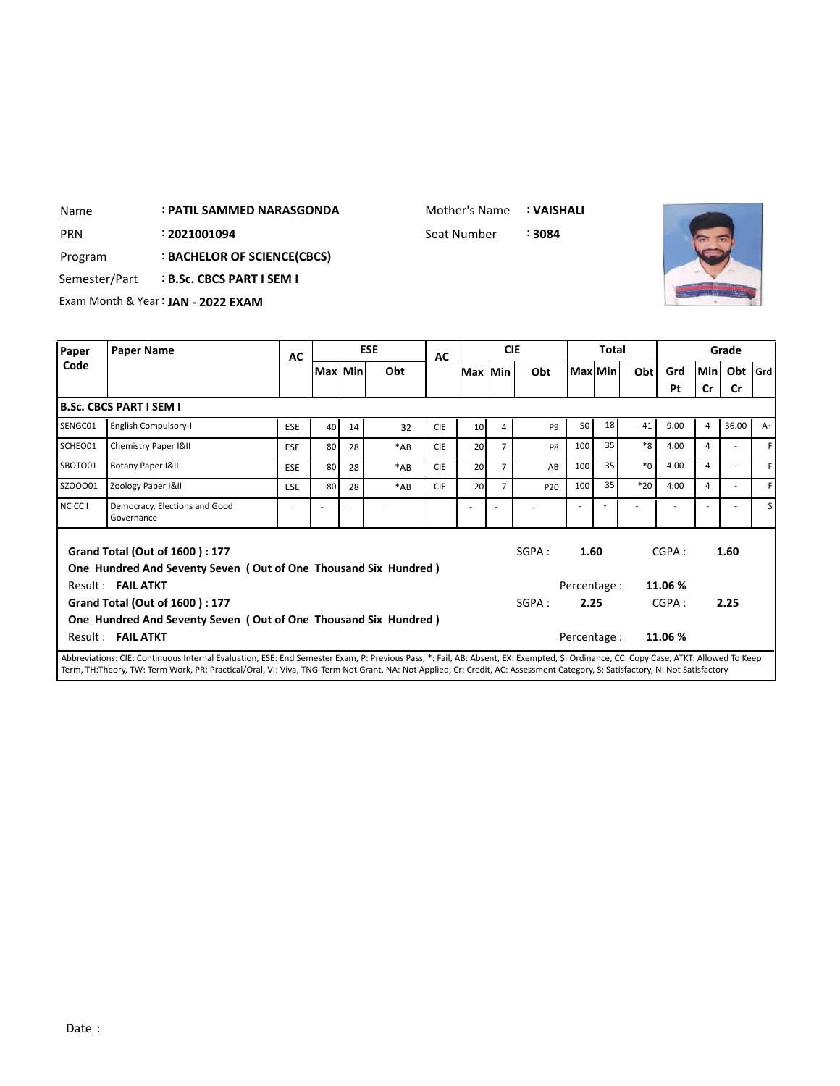## : **PATIL SAMMED NARASGONDA** Name

Mother's Name : **VAISHALI**

: Seat Number PRN 2**021001094 Seat Number** 



Program : **BACHELOR OF SCIENCE(CBCS)**

Semester/Part : **B.Sc. CBCS PART I SEM I** 

Exam Month & Year: **JAN - 2022 EXAM**

| Paper   | <b>Paper Name</b>                                                                    | AC         | <b>ESE</b> |    |       | AC         | <b>CIE</b>      |                |                 | <b>Total</b> |         |         |         |                | Grade     |         |
|---------|--------------------------------------------------------------------------------------|------------|------------|----|-------|------------|-----------------|----------------|-----------------|--------------|---------|---------|---------|----------------|-----------|---------|
| Code    |                                                                                      |            | Max   Min  |    | Obt   |            | Max Min         |                | Obt             |              | Max Min | Obt     | Grd     | <b>Min</b>     | Obt       | l Grd l |
|         |                                                                                      |            |            |    |       |            |                 |                |                 |              |         |         | Pt      | Cr             | <b>Cr</b> |         |
|         | B.Sc. CBCS PART I SEM I                                                              |            |            |    |       |            |                 |                |                 |              |         |         |         |                |           |         |
| SENGC01 | English Compulsory-I                                                                 | <b>ESE</b> | 40         | 14 | 32    | <b>CIE</b> | 10 <sup>1</sup> | 4              | P <sub>9</sub>  | 50           | 18      | 41      | 9.00    | $\overline{a}$ | 36.00     | $A+$    |
| SCHEO01 | Chemistry Paper I&II                                                                 | <b>ESE</b> | 80         | 28 | $*AB$ | <b>CIE</b> | 20              | $\overline{7}$ | P <sub>8</sub>  | 100          | 35      | $*8$    | 4.00    | 4              |           | F       |
| SBOTO01 | Botany Paper I&II                                                                    | <b>ESE</b> | 80         | 28 | $*AB$ | <b>CIE</b> | 20              | 7              | AB              | 100          | 35      | $*_{0}$ | 4.00    | 4              |           | F       |
| SZOO001 | Zoology Paper I&II                                                                   | <b>ESE</b> | 80         | 28 | *AB   | <b>CIE</b> | 20              | 7              | P <sub>20</sub> | 100          | 35      | $*20$   | 4.00    | 4              |           | F       |
| NC CC I | Democracy, Elections and Good<br>Governance                                          |            |            |    |       |            |                 |                |                 |              |         |         |         |                |           | S l     |
|         | <b>Grand Total (Out of 1600): 177</b>                                                |            |            |    |       |            |                 |                | SGPA:           | 1.60         |         |         | CGPA:   |                | 1.60      |         |
|         | One Hundred And Seventy Seven (Out of One Thousand Six Hundred)<br>Result: FAIL ATKT |            |            |    |       |            |                 |                |                 | Percentage : |         |         | 11.06 % |                |           |         |
|         | <b>Grand Total (Out of 1600): 177</b>                                                |            |            |    |       |            |                 |                |                 |              | 2.25    |         | CGPA:   |                | 2.25      |         |
|         | One Hundred And Seventy Seven (Out of One Thousand Six Hundred)<br>Result: FAIL ATKT |            |            |    |       |            |                 |                |                 | Percentage:  |         |         | 11.06 % |                |           |         |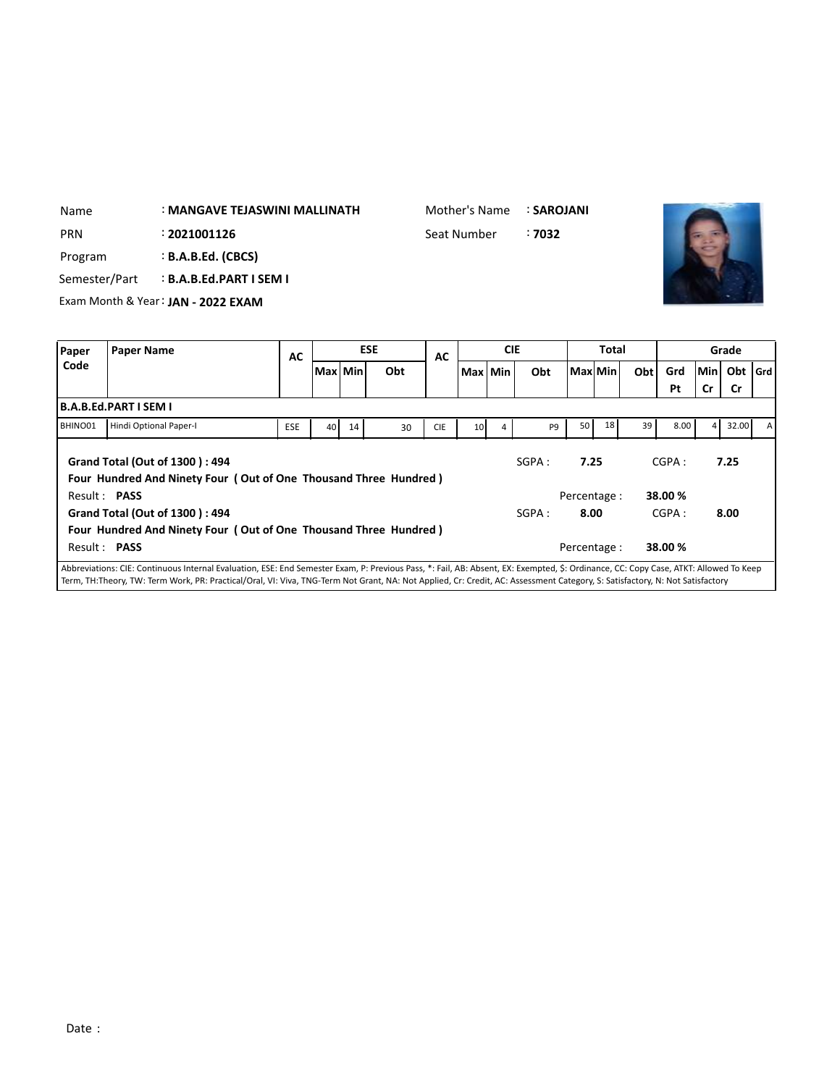| Name                                        | : MANGAVE TEJASWINI MALLINATH      |                  |    | Mother's Name | : SAROJANI |       |
|---------------------------------------------|------------------------------------|------------------|----|---------------|------------|-------|
| PRN                                         | : 2021001126                       |                  |    | Seat Number   | : 7032     |       |
| Program                                     | <b>B.A.B.Ed. (CBCS)</b>            |                  |    |               |            |       |
| Semester/Part                               | <b>B.A.B.Ed.PART I SEM I</b>       |                  |    |               |            |       |
|                                             | Exam Month & Year: JAN - 2022 EXAM |                  |    |               |            |       |
| Paper<br><b>Paper Name</b><br>$\sim$ $\sim$ |                                    | <b>ESE</b><br>AC | AC | <b>CIE</b>    | Total      | Grade |

| u apcı<br>י טאכי יזטוויכ |                                                                                                                                                                                                                                                                                                                                                                      |            | AC      |    |     | AC         |                 |   |                |                     |    |     |                  |        |           |  |
|--------------------------|----------------------------------------------------------------------------------------------------------------------------------------------------------------------------------------------------------------------------------------------------------------------------------------------------------------------------------------------------------------------|------------|---------|----|-----|------------|-----------------|---|----------------|---------------------|----|-----|------------------|--------|-----------|--|
| Code                     |                                                                                                                                                                                                                                                                                                                                                                      |            | Max Min |    | Obt |            | Max Min         |   | Obt            | Max Min             |    | Obt | Grd              | lMin l | Obt   Grd |  |
|                          |                                                                                                                                                                                                                                                                                                                                                                      |            |         |    |     |            |                 |   |                |                     |    |     | Pt               | Cr     | Cr        |  |
|                          | B.A.B.Ed.PART I SEM I                                                                                                                                                                                                                                                                                                                                                |            |         |    |     |            |                 |   |                |                     |    |     |                  |        |           |  |
| BHINO01                  | Hindi Optional Paper-I                                                                                                                                                                                                                                                                                                                                               | <b>ESE</b> | 40      | 14 | 30  | <b>CIE</b> | 10 <sup>1</sup> | 4 | P <sub>9</sub> | 50                  | 18 | 39  | 8.00             | 4      | 32.00     |  |
| Result: PASS             | Grand Total (Out of 1300): 494<br>Four Hundred And Ninety Four (Out of One Thousand Three Hundred)                                                                                                                                                                                                                                                                   |            |         |    |     |            |                 |   | SGPA:          | 7.25<br>Percentage: |    |     | CGPA:<br>38.00 % |        | 7.25      |  |
|                          | Grand Total (Out of 1300): 494                                                                                                                                                                                                                                                                                                                                       |            |         |    |     |            |                 |   | SGPA :         | 8.00                |    |     | CGPA:            |        | 8.00      |  |
|                          | Four Hundred And Ninety Four (Out of One Thousand Three Hundred)                                                                                                                                                                                                                                                                                                     |            |         |    |     |            |                 |   |                |                     |    |     |                  |        |           |  |
| Result: PASS             |                                                                                                                                                                                                                                                                                                                                                                      |            |         |    |     |            |                 |   |                | Percentage :        |    |     | 38.00 %          |        |           |  |
|                          | Abbreviations: CIE: Continuous Internal Evaluation, ESE: End Semester Exam, P: Previous Pass, *: Fail, AB: Absent, EX: Exempted, \$: Ordinance, CC: Copy Case, ATKT: Allowed To Keep<br>Term, TH:Theory, TW: Term Work, PR: Practical/Oral, VI: Viva, TNG-Term Not Grant, NA: Not Applied, Cr: Credit, AC: Assessment Category, S: Satisfactory, N: Not Satisfactory |            |         |    |     |            |                 |   |                |                     |    |     |                  |        |           |  |

 $\overline{\phantom{a}}$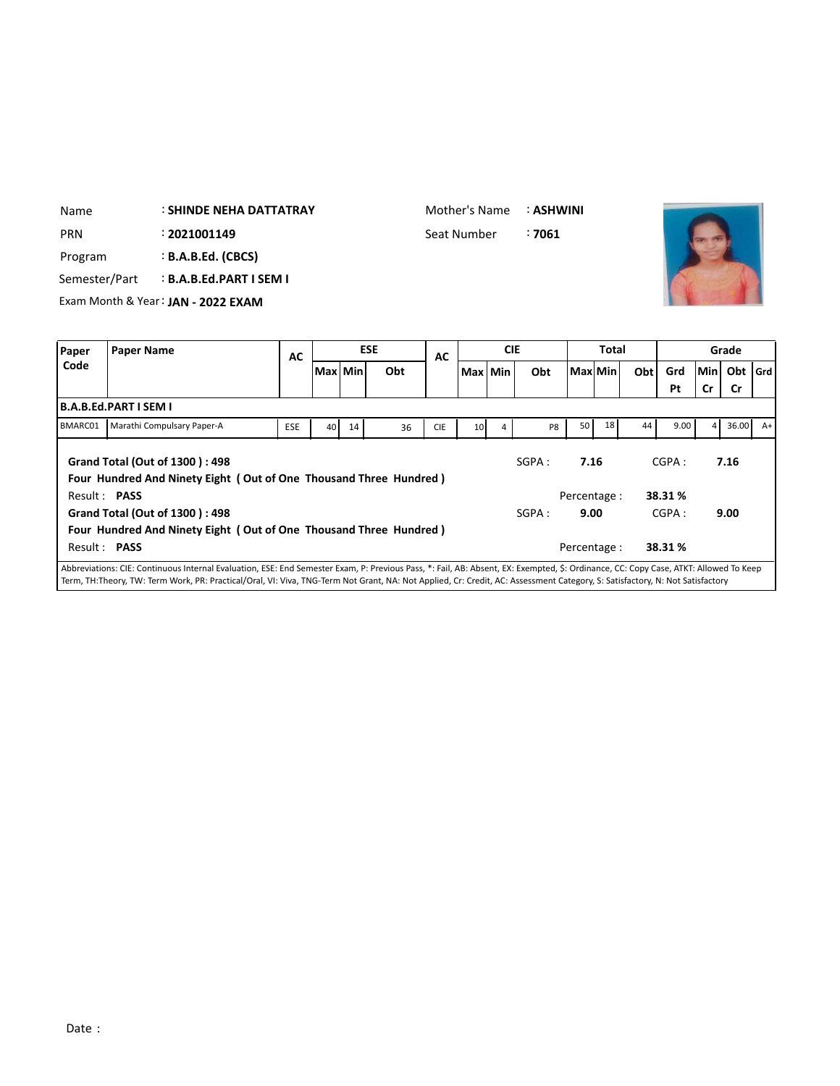# : **SHINDE NEHA DATTATRAY** Name

Mother's Name : **ASHWINI**

: PRN 2021001149 **Seat Number** 37061



Program : **B.A.B.Ed. (CBCS)**

Semester/Part : **B.A.B.Ed.PART I SEM I**

Exam Month & Year: **JAN - 2022 EXAM**

| Paper        | <b>Paper Name</b>                                                                                                                                                                     | AC         |           |    | <b>ESE</b> | AC         |                 | <b>CIE</b> |       | Total        |    |     | Grade  |     |           |      |
|--------------|---------------------------------------------------------------------------------------------------------------------------------------------------------------------------------------|------------|-----------|----|------------|------------|-----------------|------------|-------|--------------|----|-----|--------|-----|-----------|------|
| Code         |                                                                                                                                                                                       |            | Max   Min |    | Obt        |            |                 | Max Min    | Obt   | Max  Min     |    | Obt | Grd    | Min | Obt   Grd |      |
|              |                                                                                                                                                                                       |            |           |    |            |            |                 |            |       |              |    |     | Pt     | Cr  | <b>Cr</b> |      |
|              | B.A.B.Ed.PART I SEM I                                                                                                                                                                 |            |           |    |            |            |                 |            |       |              |    |     |        |     |           |      |
| BMARC01      | Marathi Compulsary Paper-A                                                                                                                                                            | <b>ESE</b> | 40        | 14 | 36         | <b>CIE</b> | 10 <sup>1</sup> | 4          | P8    | 50           | 18 | 44  | 9.00   |     | 36.00     | $A+$ |
|              | Grand Total (Out of 1300): 498<br>Four Hundred And Ninety Eight (Out of One Thousand Three Hundred)                                                                                   |            |           |    |            |            |                 |            | SGPA: | 7.16         |    |     | CGPA:  |     | 7.16      |      |
| Result: PASS |                                                                                                                                                                                       |            |           |    |            |            |                 |            |       | Percentage : |    |     | 38.31% |     |           |      |
|              | Grand Total (Out of 1300): 498<br>Four Hundred And Ninety Eight (Out of One Thousand Three Hundred)                                                                                   |            |           |    |            |            |                 |            | SGPA: | 9.00         |    |     | CGPA:  |     | 9.00      |      |
| Result: PASS |                                                                                                                                                                                       |            |           |    |            |            |                 |            |       | Percentage : |    |     | 38.31% |     |           |      |
|              | l Abbreviations: CIE: Continuous Internal Evaluation. ESE: End Semester Exam. P: Previous Pass. *: Fail. AB: Absent. EX: Exempted. S: Ordinance. CC: Copy Case. ATKT: Allowed To Keep |            |           |    |            |            |                 |            |       |              |    |     |        |     |           |      |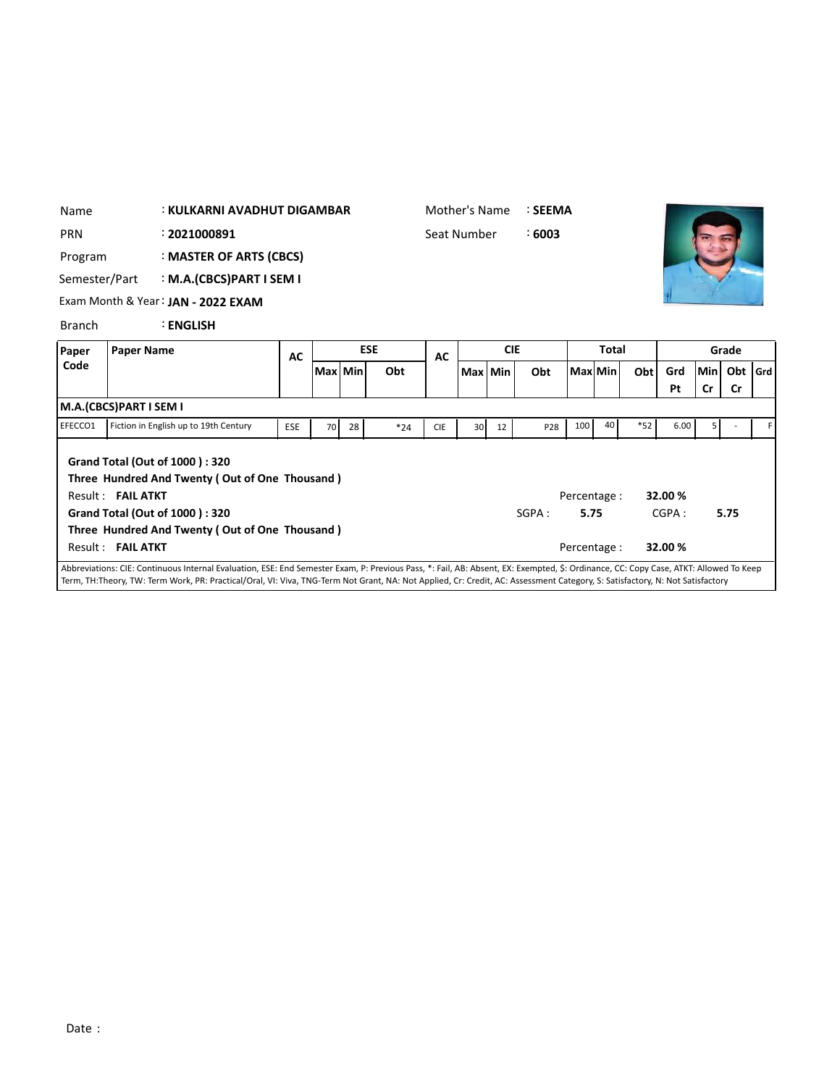| Name          | : KULKARNI AVADHUT DIGAMBAR            |                                                                                                                                                                                      |            |    |            |       | Mother's Name |    |            | : SEEMA |              |                             |       |                             |           |           |  |
|---------------|----------------------------------------|--------------------------------------------------------------------------------------------------------------------------------------------------------------------------------------|------------|----|------------|-------|---------------|----|------------|---------|--------------|-----------------------------|-------|-----------------------------|-----------|-----------|--|
| <b>PRN</b>    | : 2021000891                           |                                                                                                                                                                                      |            |    |            |       | Seat Number   |    |            | :6003   |              |                             |       |                             |           |           |  |
| Program       |                                        | : MASTER OF ARTS (CBCS)                                                                                                                                                              |            |    |            |       |               |    |            |         |              |                             |       |                             |           |           |  |
| Semester/Part |                                        | : M.A.(CBCS)PART I SEM I                                                                                                                                                             |            |    |            |       |               |    |            |         |              |                             |       |                             |           |           |  |
|               |                                        | Exam Month & Year: JAN - 2022 EXAM                                                                                                                                                   |            |    |            |       |               |    |            |         |              |                             |       |                             |           |           |  |
| <b>Branch</b> |                                        | <b>ENGLISH</b>                                                                                                                                                                       |            |    |            |       |               |    |            |         |              |                             |       |                             |           |           |  |
| Paper         | <b>Paper Name</b>                      |                                                                                                                                                                                      | AC         |    | <b>ESE</b> |       | <b>AC</b>     |    | <b>CIE</b> |         | <b>Total</b> |                             |       | Grade                       |           |           |  |
| Code          |                                        |                                                                                                                                                                                      |            |    | Max Min    | Obt   |               |    | Max Min    | Obt     |              | Max Min                     | Obt   | Grd                         | lMinl     | Obt   Grd |  |
|               |                                        |                                                                                                                                                                                      |            |    |            |       |               |    |            |         |              |                             |       | Pt                          | <b>Cr</b> | Cr        |  |
|               | M.A.(CBCS)PART I SEM I                 |                                                                                                                                                                                      |            |    |            |       |               |    |            |         |              |                             |       |                             |           |           |  |
| EFECCO1       |                                        | Fiction in English up to 19th Century                                                                                                                                                | <b>ESE</b> | 70 | 28         | $*24$ | <b>CIE</b>    | 30 | 12         | P28     | 100          | 40                          | $*52$ | 6.00                        | 5         |           |  |
|               | Result: FAIL ATKT<br>Result: FAIL ATKT | Grand Total (Out of 1000): 320<br>Three Hundred And Twenty (Out of One Thousand)<br>Grand Total (Out of 1000): 320<br>Three Hundred And Twenty (Out of One Thousand)                 |            |    |            |       |               |    |            | SGPA:   | 5.75         | Percentage:<br>Percentage : |       | 32.00 %<br>CGPA:<br>32.00 % |           | 5.75      |  |
|               |                                        | Abbreviations: CIE: Continuous Internal Evaluation, ESE: End Semester Exam, P: Previous Pass, *: Fail, AB: Absent, EX: Exempted, \$: Ordinance, CC: Copy Case, ATKT: Allowed To Keep |            |    |            |       |               |    |            |         |              |                             |       |                             |           |           |  |
|               |                                        | Term, TH:Theory, TW: Term Work, PR: Practical/Oral, VI: Viva, TNG-Term Not Grant, NA: Not Applied, Cr: Credit, AC: Assessment Category, S: Satisfactory, N: Not Satisfactory         |            |    |            |       |               |    |            |         |              |                             |       |                             |           |           |  |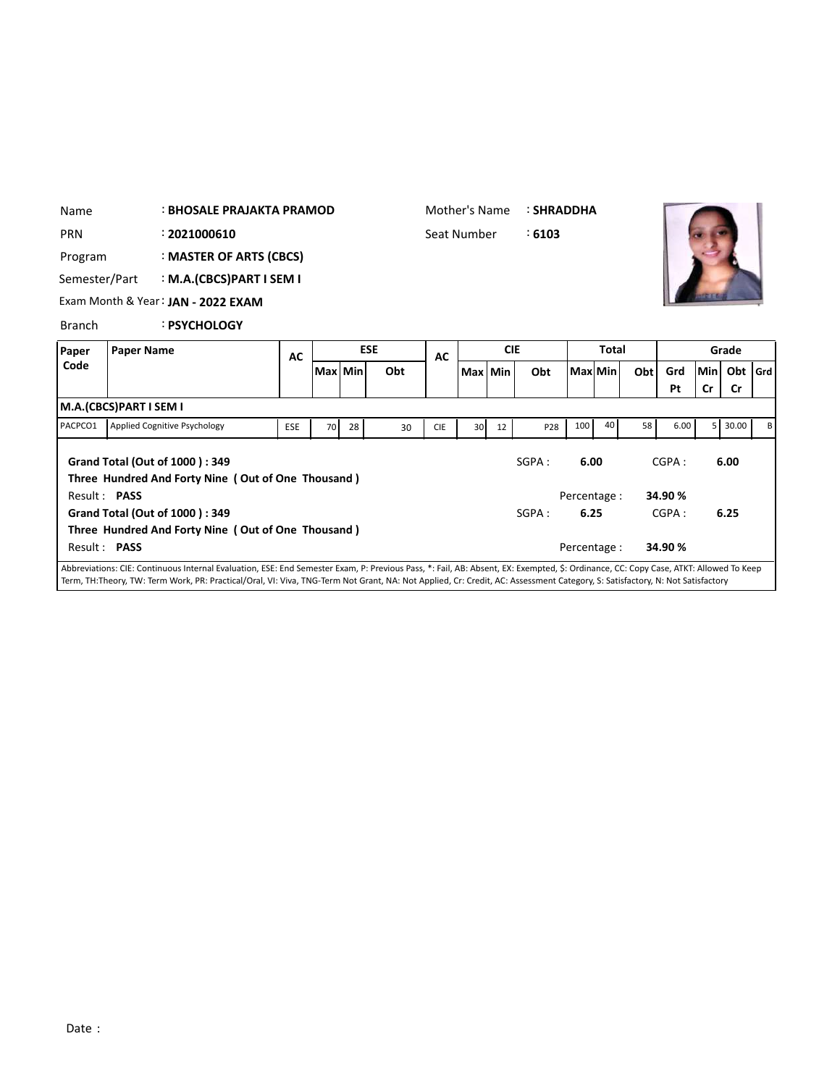| Name                       | : BHOSALE PRAJAKTA PRAMOD |                                                                                                                                                                                      |            |            |     |    | Mother's Name |            |     | <b>: SHRADDHA</b> |              |     |     |         |                |           |  |
|----------------------------|---------------------------|--------------------------------------------------------------------------------------------------------------------------------------------------------------------------------------|------------|------------|-----|----|---------------|------------|-----|-------------------|--------------|-----|-----|---------|----------------|-----------|--|
| <b>PRN</b>                 |                           | : 2021000610                                                                                                                                                                         |            |            |     |    | Seat Number   |            |     | :6103             |              |     |     |         |                |           |  |
| Program                    |                           | : MASTER OF ARTS (CBCS)                                                                                                                                                              |            |            |     |    |               |            |     |                   |              |     |     |         |                |           |  |
| Semester/Part              |                           | : M.A.(CBCS)PART I SEM I                                                                                                                                                             |            |            |     |    |               |            |     |                   |              |     |     |         |                |           |  |
|                            |                           | Exam Month & Year: JAN - 2022 EXAM                                                                                                                                                   |            |            |     |    |               |            |     |                   |              |     |     |         |                |           |  |
| <b>Branch</b>              |                           | : PSYCHOLOGY                                                                                                                                                                         |            |            |     |    |               |            |     |                   |              |     |     |         |                |           |  |
| <b>Paper Name</b><br>Paper |                           |                                                                                                                                                                                      | <b>AC</b>  | <b>ESE</b> |     |    | <b>AC</b>     | <b>CIE</b> |     |                   | <b>Total</b> |     |     |         | Grade          |           |  |
| Code                       |                           |                                                                                                                                                                                      |            | Max   Min  | Obt |    | Max Min       |            | Obt | Max Min           |              | Obt | Grd | Min     | Obt            | l Grd     |  |
|                            | M.A.(CBCS)PART I SEM I    |                                                                                                                                                                                      |            |            |     |    |               |            |     |                   |              |     |     | Pt      | Cr             | <b>Cr</b> |  |
| PACPCO1                    |                           | <b>Applied Cognitive Psychology</b>                                                                                                                                                  | <b>ESE</b> | 70         | 28  | 30 | <b>CIE</b>    | 30         | 12  | P28               | 100          | 40  | 58  | 6.00    | 5 <sup>1</sup> | 30.00     |  |
|                            |                           | <b>Grand Total (Out of 1000): 349</b><br>Three Hundred And Forty Nine (Out of One Thousand)                                                                                          |            |            |     |    |               |            |     | SGPA:             | 6.00         |     |     | CGPA:   |                | 6.00      |  |
|                            | Result: PASS              |                                                                                                                                                                                      |            |            |     |    |               |            |     |                   | Percentage : |     |     | 34.90%  |                |           |  |
|                            |                           | Grand Total (Out of 1000): 349                                                                                                                                                       |            |            |     |    |               |            |     | SGPA:             | 6.25         |     |     | CGPA:   |                | 6.25      |  |
|                            | Result: PASS              | Three Hundred And Forty Nine (Out of One Thousand)                                                                                                                                   |            |            |     |    |               |            |     |                   | Percentage : |     |     | 34.90 % |                |           |  |
|                            |                           | Abbreviations: CIE: Continuous Internal Evaluation, ESE: End Semester Exam, P: Previous Pass, *: Fail, AB: Absent, EX: Exempted, \$: Ordinance, CC: Copy Case, ATKT: Allowed To Keep |            |            |     |    |               |            |     |                   |              |     |     |         |                |           |  |